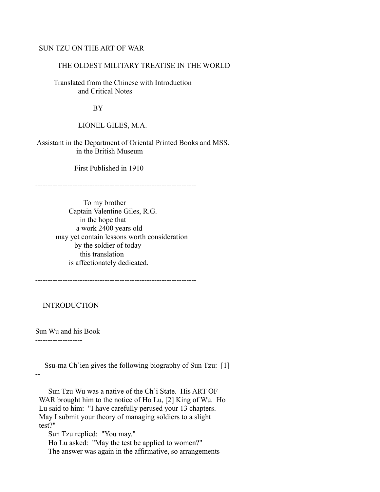# SUN TZU ON THE ART OF WAR

### THE OLDEST MILITARY TREATISE IN THE WORLD

 Translated from the Chinese with Introduction and Critical Notes

BY

LIONEL GILES, M.A.

 Assistant in the Department of Oriental Printed Books and MSS. in the British Museum

First Published in 1910

-----------------------------------------------------------------

 To my brother Captain Valentine Giles, R.G. in the hope that a work 2400 years old may yet contain lessons worth consideration by the soldier of today this translation is affectionately dedicated.

-----------------------------------------------------------------

INTRODUCTION

Sun Wu and his Book

-------------------

 Ssu-ma Ch`ien gives the following biography of Sun Tzu: [1] --

 Sun Tzu Wu was a native of the Ch`i State. His ART OF WAR brought him to the notice of Ho Lu, [2] King of Wu. Ho Lu said to him: "I have carefully perused your 13 chapters. May I submit your theory of managing soldiers to a slight test?"

Sun Tzu replied: "You may."

 Ho Lu asked: "May the test be applied to women?" The answer was again in the affirmative, so arrangements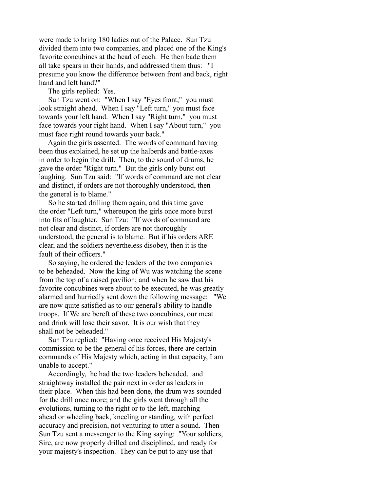were made to bring 180 ladies out of the Palace. Sun Tzu divided them into two companies, and placed one of the King's favorite concubines at the head of each. He then bade them all take spears in their hands, and addressed them thus: "I presume you know the difference between front and back, right hand and left hand?"

The girls replied: Yes.

 Sun Tzu went on: "When I say "Eyes front," you must look straight ahead. When I say "Left turn," you must face towards your left hand. When I say "Right turn," you must face towards your right hand. When I say "About turn," you must face right round towards your back."

 Again the girls assented. The words of command having been thus explained, he set up the halberds and battle-axes in order to begin the drill. Then, to the sound of drums, he gave the order "Right turn." But the girls only burst out laughing. Sun Tzu said: "If words of command are not clear and distinct, if orders are not thoroughly understood, then the general is to blame."

 So he started drilling them again, and this time gave the order "Left turn," whereupon the girls once more burst into fits of laughter. Sun Tzu: "If words of command are not clear and distinct, if orders are not thoroughly understood, the general is to blame. But if his orders ARE clear, and the soldiers nevertheless disobey, then it is the fault of their officers."

 So saying, he ordered the leaders of the two companies to be beheaded. Now the king of Wu was watching the scene from the top of a raised pavilion; and when he saw that his favorite concubines were about to be executed, he was greatly alarmed and hurriedly sent down the following message: "We are now quite satisfied as to our general's ability to handle troops. If We are bereft of these two concubines, our meat and drink will lose their savor. It is our wish that they shall not be beheaded."

 Sun Tzu replied: "Having once received His Majesty's commission to be the general of his forces, there are certain commands of His Majesty which, acting in that capacity, I am unable to accept."

 Accordingly, he had the two leaders beheaded, and straightway installed the pair next in order as leaders in their place. When this had been done, the drum was sounded for the drill once more; and the girls went through all the evolutions, turning to the right or to the left, marching ahead or wheeling back, kneeling or standing, with perfect accuracy and precision, not venturing to utter a sound. Then Sun Tzu sent a messenger to the King saying: "Your soldiers, Sire, are now properly drilled and disciplined, and ready for your majesty's inspection. They can be put to any use that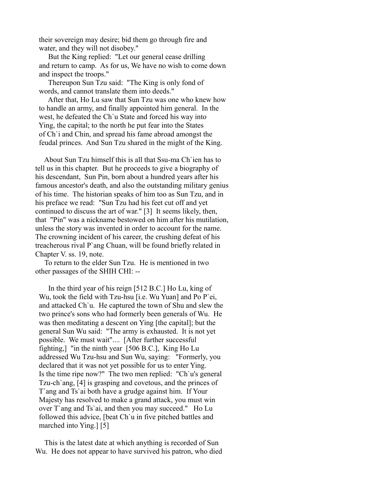their sovereign may desire; bid them go through fire and water, and they will not disobey."

 But the King replied: "Let our general cease drilling and return to camp. As for us, We have no wish to come down and inspect the troops."

 Thereupon Sun Tzu said: "The King is only fond of words, and cannot translate them into deeds."

 After that, Ho Lu saw that Sun Tzu was one who knew how to handle an army, and finally appointed him general. In the west, he defeated the Ch`u State and forced his way into Ying, the capital; to the north he put fear into the States of Ch`i and Chin, and spread his fame abroad amongst the feudal princes. And Sun Tzu shared in the might of the King.

 About Sun Tzu himself this is all that Ssu-ma Ch`ien has to tell us in this chapter. But he proceeds to give a biography of his descendant, Sun Pin, born about a hundred years after his famous ancestor's death, and also the outstanding military genius of his time. The historian speaks of him too as Sun Tzu, and in his preface we read: "Sun Tzu had his feet cut off and yet continued to discuss the art of war." [3] It seems likely, then, that "Pin" was a nickname bestowed on him after his mutilation, unless the story was invented in order to account for the name. The crowning incident of his career, the crushing defeat of his treacherous rival P`ang Chuan, will be found briefly related in Chapter V. ss. 19, note.

 To return to the elder Sun Tzu. He is mentioned in two other passages of the SHIH CHI: --

 In the third year of his reign [512 B.C.] Ho Lu, king of Wu, took the field with Tzu-hsu [i.e. Wu Yuan] and Po P`ei, and attacked Ch`u. He captured the town of Shu and slew the two prince's sons who had formerly been generals of Wu. He was then meditating a descent on Ying [the capital]; but the general Sun Wu said: "The army is exhausted. It is not yet possible. We must wait".... [After further successful fighting,] "in the ninth year [506 B.C.], King Ho Lu addressed Wu Tzu-hsu and Sun Wu, saying: "Formerly, you declared that it was not yet possible for us to enter Ying. Is the time ripe now?" The two men replied: "Ch`u's general Tzu-ch`ang, [4] is grasping and covetous, and the princes of T`ang and Ts`ai both have a grudge against him. If Your Majesty has resolved to make a grand attack, you must win over T`ang and Ts`ai, and then you may succeed." Ho Lu followed this advice, [beat Ch`u in five pitched battles and marched into Ying.] [5]

 This is the latest date at which anything is recorded of Sun Wu. He does not appear to have survived his patron, who died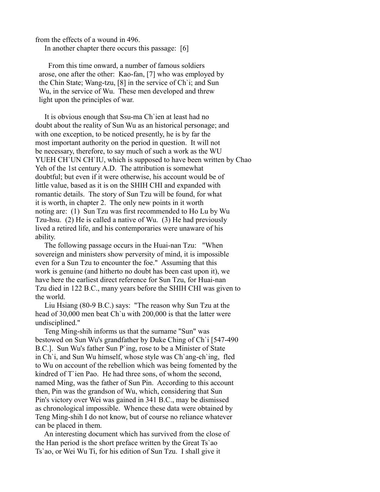from the effects of a wound in 496.

In another chapter there occurs this passage: [6]

 From this time onward, a number of famous soldiers arose, one after the other: Kao-fan, [7] who was employed by the Chin State; Wang-tzu, [8] in the service of Ch`i; and Sun Wu, in the service of Wu. These men developed and threw light upon the principles of war.

 It is obvious enough that Ssu-ma Ch`ien at least had no doubt about the reality of Sun Wu as an historical personage; and with one exception, to be noticed presently, he is by far the most important authority on the period in question. It will not be necessary, therefore, to say much of such a work as the WU YUEH CH`UN CH`IU, which is supposed to have been written by Chao Yeh of the 1st century A.D. The attribution is somewhat doubtful; but even if it were otherwise, his account would be of little value, based as it is on the SHIH CHI and expanded with romantic details. The story of Sun Tzu will be found, for what it is worth, in chapter 2. The only new points in it worth noting are: (1) Sun Tzu was first recommended to Ho Lu by Wu Tzu-hsu. (2) He is called a native of Wu. (3) He had previously lived a retired life, and his contemporaries were unaware of his ability.

 The following passage occurs in the Huai-nan Tzu: "When sovereign and ministers show perversity of mind, it is impossible even for a Sun Tzu to encounter the foe." Assuming that this work is genuine (and hitherto no doubt has been cast upon it), we have here the earliest direct reference for Sun Tzu, for Huai-nan Tzu died in 122 B.C., many years before the SHIH CHI was given to the world.

 Liu Hsiang (80-9 B.C.) says: "The reason why Sun Tzu at the head of 30,000 men beat Ch`u with 200,000 is that the latter were undisciplined."

 Teng Ming-shih informs us that the surname "Sun" was bestowed on Sun Wu's grandfather by Duke Ching of Ch`i [547-490 B.C.]. Sun Wu's father Sun P`ing, rose to be a Minister of State in Ch`i, and Sun Wu himself, whose style was Ch`ang-ch`ing, fled to Wu on account of the rebellion which was being fomented by the kindred of T`ien Pao. He had three sons, of whom the second, named Ming, was the father of Sun Pin. According to this account then, Pin was the grandson of Wu, which, considering that Sun Pin's victory over Wei was gained in 341 B.C., may be dismissed as chronological impossible. Whence these data were obtained by Teng Ming-shih I do not know, but of course no reliance whatever can be placed in them.

 An interesting document which has survived from the close of the Han period is the short preface written by the Great Ts`ao Ts`ao, or Wei Wu Ti, for his edition of Sun Tzu. I shall give it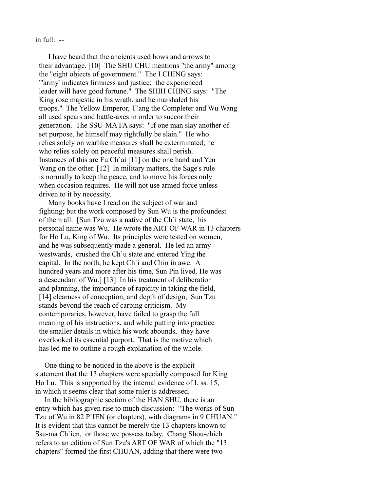$\int$ in full: --

 I have heard that the ancients used bows and arrows to their advantage. [10] The SHU CHU mentions "the army" among the "eight objects of government." The I CHING says: "'army' indicates firmness and justice; the experienced leader will have good fortune." The SHIH CHING says: "The King rose majestic in his wrath, and he marshaled his troops." The Yellow Emperor, T`ang the Completer and Wu Wang all used spears and battle-axes in order to succor their generation. The SSU-MA FA says: "If one man slay another of set purpose, he himself may rightfully be slain." He who relies solely on warlike measures shall be exterminated; he who relies solely on peaceful measures shall perish. Instances of this are Fu Ch`ai [11] on the one hand and Yen Wang on the other. [12] In military matters, the Sage's rule is normally to keep the peace, and to move his forces only when occasion requires. He will not use armed force unless driven to it by necessity.

 Many books have I read on the subject of war and fighting; but the work composed by Sun Wu is the profoundest of them all. [Sun Tzu was a native of the Ch`i state, his personal name was Wu. He wrote the ART OF WAR in 13 chapters for Ho Lu, King of Wu. Its principles were tested on women, and he was subsequently made a general. He led an army westwards, crushed the Ch`u state and entered Ying the capital. In the north, he kept Ch`i and Chin in awe. A hundred years and more after his time, Sun Pin lived. He was a descendant of Wu.] [13] In his treatment of deliberation and planning, the importance of rapidity in taking the field, [14] clearness of conception, and depth of design, Sun Tzu stands beyond the reach of carping criticism. My contemporaries, however, have failed to grasp the full meaning of his instructions, and while putting into practice the smaller details in which his work abounds, they have overlooked its essential purport. That is the motive which has led me to outline a rough explanation of the whole.

 One thing to be noticed in the above is the explicit statement that the 13 chapters were specially composed for King Ho Lu. This is supported by the internal evidence of I. ss. 15, in which it seems clear that some ruler is addressed.

 In the bibliographic section of the HAN SHU, there is an entry which has given rise to much discussion: "The works of Sun Tzu of Wu in 82 P`IEN (or chapters), with diagrams in 9 CHUAN." It is evident that this cannot be merely the 13 chapters known to Ssu-ma Ch`ien, or those we possess today. Chang Shou-chieh refers to an edition of Sun Tzu's ART OF WAR of which the "13 chapters" formed the first CHUAN, adding that there were two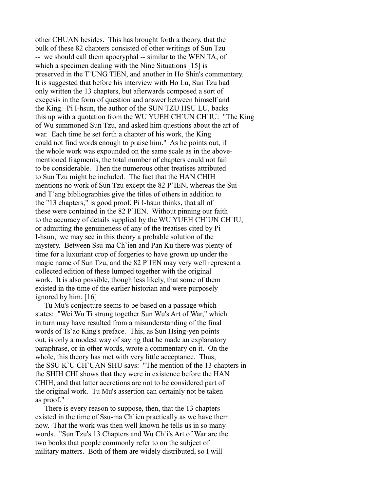other CHUAN besides. This has brought forth a theory, that the bulk of these 82 chapters consisted of other writings of Sun Tzu -- we should call them apocryphal -- similar to the WEN TA, of which a specimen dealing with the Nine Situations [15] is preserved in the T`UNG TIEN, and another in Ho Shin's commentary. It is suggested that before his interview with Ho Lu, Sun Tzu had only written the 13 chapters, but afterwards composed a sort of exegesis in the form of question and answer between himself and the King. Pi I-hsun, the author of the SUN TZU HSU LU, backs this up with a quotation from the WU YUEH CH`UN CH`IU: "The King of Wu summoned Sun Tzu, and asked him questions about the art of war. Each time he set forth a chapter of his work, the King could not find words enough to praise him." As he points out, if the whole work was expounded on the same scale as in the abovementioned fragments, the total number of chapters could not fail to be considerable. Then the numerous other treatises attributed to Sun Tzu might be included. The fact that the HAN CHIH mentions no work of Sun Tzu except the 82 P`IEN, whereas the Sui and T`ang bibliographies give the titles of others in addition to the "13 chapters," is good proof, Pi I-hsun thinks, that all of these were contained in the 82 P`IEN. Without pinning our faith to the accuracy of details supplied by the WU YUEH CH`UN CH`IU, or admitting the genuineness of any of the treatises cited by Pi I-hsun, we may see in this theory a probable solution of the mystery. Between Ssu-ma Ch`ien and Pan Ku there was plenty of time for a luxuriant crop of forgeries to have grown up under the magic name of Sun Tzu, and the 82 P`IEN may very well represent a collected edition of these lumped together with the original work. It is also possible, though less likely, that some of them existed in the time of the earlier historian and were purposely ignored by him. [16]

 Tu Mu's conjecture seems to be based on a passage which states: "Wei Wu Ti strung together Sun Wu's Art of War," which in turn may have resulted from a misunderstanding of the final words of Ts`ao King's preface. This, as Sun Hsing-yen points out, is only a modest way of saying that he made an explanatory paraphrase, or in other words, wrote a commentary on it. On the whole, this theory has met with very little acceptance. Thus, the SSU K`U CH`UAN SHU says: "The mention of the 13 chapters in the SHIH CHI shows that they were in existence before the HAN CHIH, and that latter accretions are not to be considered part of the original work. Tu Mu's assertion can certainly not be taken as proof."

 There is every reason to suppose, then, that the 13 chapters existed in the time of Ssu-ma Ch`ien practically as we have them now. That the work was then well known he tells us in so many words. "Sun Tzu's 13 Chapters and Wu Ch`i's Art of War are the two books that people commonly refer to on the subject of military matters. Both of them are widely distributed, so I will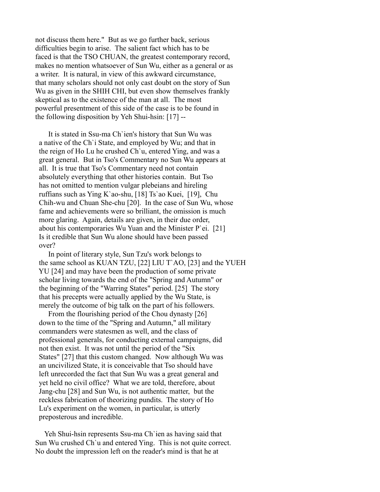not discuss them here." But as we go further back, serious difficulties begin to arise. The salient fact which has to be faced is that the TSO CHUAN, the greatest contemporary record, makes no mention whatsoever of Sun Wu, either as a general or as a writer. It is natural, in view of this awkward circumstance, that many scholars should not only cast doubt on the story of Sun Wu as given in the SHIH CHI, but even show themselves frankly skeptical as to the existence of the man at all. The most powerful presentment of this side of the case is to be found in the following disposition by Yeh Shui-hsin: [17] --

 It is stated in Ssu-ma Ch`ien's history that Sun Wu was a native of the Ch`i State, and employed by Wu; and that in the reign of Ho Lu he crushed Ch`u, entered Ying, and was a great general. But in Tso's Commentary no Sun Wu appears at all. It is true that Tso's Commentary need not contain absolutely everything that other histories contain. But Tso has not omitted to mention vulgar plebeians and hireling ruffians such as Ying K`ao-shu, [18] Ts`ao Kuei, [19], Chu Chih-wu and Chuan She-chu [20]. In the case of Sun Wu, whose fame and achievements were so brilliant, the omission is much more glaring. Again, details are given, in their due order, about his contemporaries Wu Yuan and the Minister P`ei. [21] Is it credible that Sun Wu alone should have been passed over?

 In point of literary style, Sun Tzu's work belongs to the same school as KUAN TZU, [22] LIU T`AO, [23] and the YUEH YU [24] and may have been the production of some private scholar living towards the end of the "Spring and Autumn" or the beginning of the "Warring States" period. [25] The story that his precepts were actually applied by the Wu State, is merely the outcome of big talk on the part of his followers.

 From the flourishing period of the Chou dynasty [26] down to the time of the "Spring and Autumn," all military commanders were statesmen as well, and the class of professional generals, for conducting external campaigns, did not then exist. It was not until the period of the "Six States" [27] that this custom changed. Now although Wu was an uncivilized State, it is conceivable that Tso should have left unrecorded the fact that Sun Wu was a great general and yet held no civil office? What we are told, therefore, about Jang-chu [28] and Sun Wu, is not authentic matter, but the reckless fabrication of theorizing pundits. The story of Ho Lu's experiment on the women, in particular, is utterly preposterous and incredible.

 Yeh Shui-hsin represents Ssu-ma Ch`ien as having said that Sun Wu crushed Ch`u and entered Ying. This is not quite correct. No doubt the impression left on the reader's mind is that he at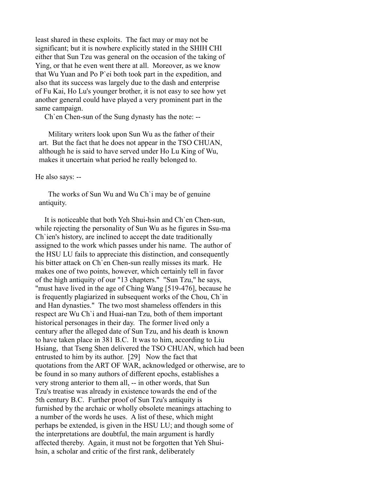least shared in these exploits. The fact may or may not be significant; but it is nowhere explicitly stated in the SHIH CHI either that Sun Tzu was general on the occasion of the taking of Ying, or that he even went there at all. Moreover, as we know that Wu Yuan and Po P`ei both took part in the expedition, and also that its success was largely due to the dash and enterprise of Fu Kai, Ho Lu's younger brother, it is not easy to see how yet another general could have played a very prominent part in the same campaign.

Ch`en Chen-sun of the Sung dynasty has the note: --

 Military writers look upon Sun Wu as the father of their art. But the fact that he does not appear in the TSO CHUAN, although he is said to have served under Ho Lu King of Wu, makes it uncertain what period he really belonged to.

He also says: --

 The works of Sun Wu and Wu Ch`i may be of genuine antiquity.

 It is noticeable that both Yeh Shui-hsin and Ch`en Chen-sun, while rejecting the personality of Sun Wu as he figures in Ssu-ma Ch`ien's history, are inclined to accept the date traditionally assigned to the work which passes under his name. The author of the HSU LU fails to appreciate this distinction, and consequently his bitter attack on Ch`en Chen-sun really misses its mark. He makes one of two points, however, which certainly tell in favor of the high antiquity of our "13 chapters." "Sun Tzu," he says, "must have lived in the age of Ching Wang [519-476], because he is frequently plagiarized in subsequent works of the Chou, Ch`in and Han dynasties." The two most shameless offenders in this respect are Wu Ch`i and Huai-nan Tzu, both of them important historical personages in their day. The former lived only a century after the alleged date of Sun Tzu, and his death is known to have taken place in 381 B.C. It was to him, according to Liu Hsiang, that Tseng Shen delivered the TSO CHUAN, which had been entrusted to him by its author. [29] Now the fact that quotations from the ART OF WAR, acknowledged or otherwise, are to be found in so many authors of different epochs, establishes a very strong anterior to them all, -- in other words, that Sun Tzu's treatise was already in existence towards the end of the 5th century B.C. Further proof of Sun Tzu's antiquity is furnished by the archaic or wholly obsolete meanings attaching to a number of the words he uses. A list of these, which might perhaps be extended, is given in the HSU LU; and though some of the interpretations are doubtful, the main argument is hardly affected thereby. Again, it must not be forgotten that Yeh Shuihsin, a scholar and critic of the first rank, deliberately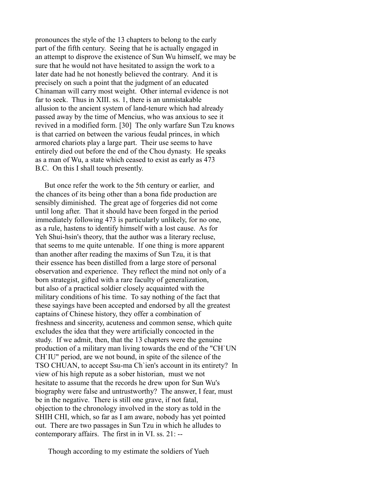pronounces the style of the 13 chapters to belong to the early part of the fifth century. Seeing that he is actually engaged in an attempt to disprove the existence of Sun Wu himself, we may be sure that he would not have hesitated to assign the work to a later date had he not honestly believed the contrary. And it is precisely on such a point that the judgment of an educated Chinaman will carry most weight. Other internal evidence is not far to seek. Thus in XIII. ss. 1, there is an unmistakable allusion to the ancient system of land-tenure which had already passed away by the time of Mencius, who was anxious to see it revived in a modified form. [30] The only warfare Sun Tzu knows is that carried on between the various feudal princes, in which armored chariots play a large part. Their use seems to have entirely died out before the end of the Chou dynasty. He speaks as a man of Wu, a state which ceased to exist as early as 473 B.C. On this I shall touch presently.

 But once refer the work to the 5th century or earlier, and the chances of its being other than a bona fide production are sensibly diminished. The great age of forgeries did not come until long after. That it should have been forged in the period immediately following 473 is particularly unlikely, for no one, as a rule, hastens to identify himself with a lost cause. As for Yeh Shui-hsin's theory, that the author was a literary recluse, that seems to me quite untenable. If one thing is more apparent than another after reading the maxims of Sun Tzu, it is that their essence has been distilled from a large store of personal observation and experience. They reflect the mind not only of a born strategist, gifted with a rare faculty of generalization, but also of a practical soldier closely acquainted with the military conditions of his time. To say nothing of the fact that these sayings have been accepted and endorsed by all the greatest captains of Chinese history, they offer a combination of freshness and sincerity, acuteness and common sense, which quite excludes the idea that they were artificially concocted in the study. If we admit, then, that the 13 chapters were the genuine production of a military man living towards the end of the "CH`UN CH`IU" period, are we not bound, in spite of the silence of the TSO CHUAN, to accept Ssu-ma Ch`ien's account in its entirety? In view of his high repute as a sober historian, must we not hesitate to assume that the records he drew upon for Sun Wu's biography were false and untrustworthy? The answer, I fear, must be in the negative. There is still one grave, if not fatal, objection to the chronology involved in the story as told in the SHIH CHI, which, so far as I am aware, nobody has yet pointed out. There are two passages in Sun Tzu in which he alludes to contemporary affairs. The first in in VI. ss. 21: --

Though according to my estimate the soldiers of Yueh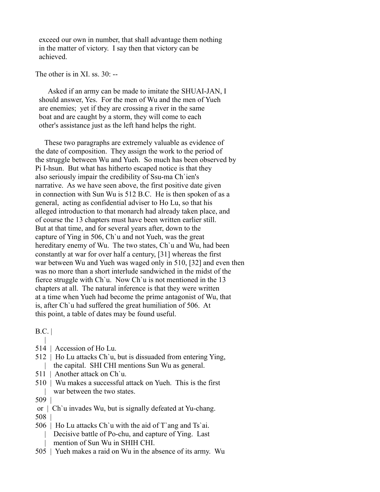exceed our own in number, that shall advantage them nothing in the matter of victory. I say then that victory can be achieved.

The other is in XI ss.  $30$ .

 Asked if an army can be made to imitate the SHUAI-JAN, I should answer, Yes. For the men of Wu and the men of Yueh are enemies; yet if they are crossing a river in the same boat and are caught by a storm, they will come to each other's assistance just as the left hand helps the right.

 These two paragraphs are extremely valuable as evidence of the date of composition. They assign the work to the period of the struggle between Wu and Yueh. So much has been observed by Pi I-hsun. But what has hitherto escaped notice is that they also seriously impair the credibility of Ssu-ma Ch`ien's narrative. As we have seen above, the first positive date given in connection with Sun Wu is 512 B.C. He is then spoken of as a general, acting as confidential adviser to Ho Lu, so that his alleged introduction to that monarch had already taken place, and of course the 13 chapters must have been written earlier still. But at that time, and for several years after, down to the capture of Ying in 506, Ch`u and not Yueh, was the great hereditary enemy of Wu. The two states, Ch'u and Wu, had been constantly at war for over half a century, [31] whereas the first war between Wu and Yueh was waged only in 510, [32] and even then was no more than a short interlude sandwiched in the midst of the fierce struggle with Ch`u. Now Ch`u is not mentioned in the 13 chapters at all. The natural inference is that they were written at a time when Yueh had become the prime antagonist of Wu, that is, after Ch`u had suffered the great humiliation of 506. At this point, a table of dates may be found useful.

B.C. |

- $\blacksquare$ 514 | Accession of Ho Lu.
- 512 | Ho Lu attacks Ch`u, but is dissuaded from entering Ying, | the capital. SHI CHI mentions Sun Wu as general.
- 511 | Another attack on Ch`u.
- 510 | Wu makes a successful attack on Yueh. This is the first war between the two states.
- 509 |
- or | Ch`u invades Wu, but is signally defeated at Yu-chang.
- 508 |
- 506 | Ho Lu attacks Ch`u with the aid of T`ang and Ts`ai. Decisive battle of Po-chu, and capture of Ying. Last mention of Sun Wu in SHIH CHI.
- 505 | Yueh makes a raid on Wu in the absence of its army. Wu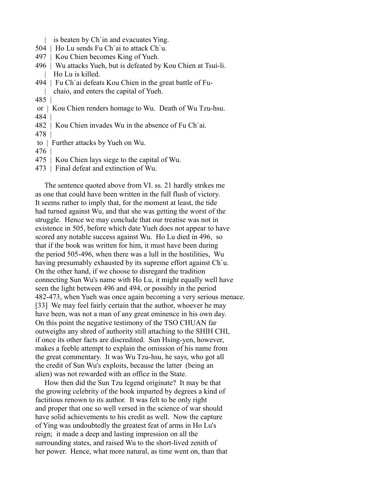|     | is beaten by Ch'in and evacuates Ying.                          |
|-----|-----------------------------------------------------------------|
|     | 504   Ho Lu sends Fu Ch'ai to attack Ch'u.                      |
|     | 497   Kou Chien becomes King of Yueh.                           |
|     | 496   Wu attacks Yueh, but is defeated by Kou Chien at Tsui-li. |
|     | Ho Lu is killed.                                                |
|     | 494   Fu Ch'ai defeats Kou Chien in the great battle of Fu-     |
|     | chaio, and enters the capital of Yueh.                          |
| 485 |                                                                 |
|     | or   Kou Chien renders homage to Wu. Death of Wu Tzu-hsu.       |
| 484 |                                                                 |
|     | 482   Kou Chien invades Wu in the absence of Fu Ch'ai.          |
| 478 |                                                                 |
| to  | Further attacks by Yueh on Wu.                                  |
| 476 |                                                                 |
|     | 475   Kou Chien lays siege to the capital of Wu.                |

473 | Final defeat and extinction of Wu.

 The sentence quoted above from VI. ss. 21 hardly strikes me as one that could have been written in the full flush of victory. It seems rather to imply that, for the moment at least, the tide had turned against Wu, and that she was getting the worst of the struggle. Hence we may conclude that our treatise was not in existence in 505, before which date Yueh does not appear to have scored any notable success against Wu. Ho Lu died in 496, so that if the book was written for him, it must have been during the period 505-496, when there was a lull in the hostilities, Wu having presumably exhausted by its supreme effort against Ch'u. On the other hand, if we choose to disregard the tradition connecting Sun Wu's name with Ho Lu, it might equally well have seen the light between 496 and 494, or possibly in the period 482-473, when Yueh was once again becoming a very serious menace. [33] We may feel fairly certain that the author, whoever he may have been, was not a man of any great eminence in his own day. On this point the negative testimony of the TSO CHUAN far outweighs any shred of authority still attaching to the SHIH CHI, if once its other facts are discredited. Sun Hsing-yen, however, makes a feeble attempt to explain the omission of his name from the great commentary. It was Wu Tzu-hsu, he says, who got all the credit of Sun Wu's exploits, because the latter (being an alien) was not rewarded with an office in the State.

 How then did the Sun Tzu legend originate? It may be that the growing celebrity of the book imparted by degrees a kind of factitious renown to its author. It was felt to be only right and proper that one so well versed in the science of war should have solid achievements to his credit as well. Now the capture of Ying was undoubtedly the greatest feat of arms in Ho Lu's reign; it made a deep and lasting impression on all the surrounding states, and raised Wu to the short-lived zenith of her power. Hence, what more natural, as time went on, than that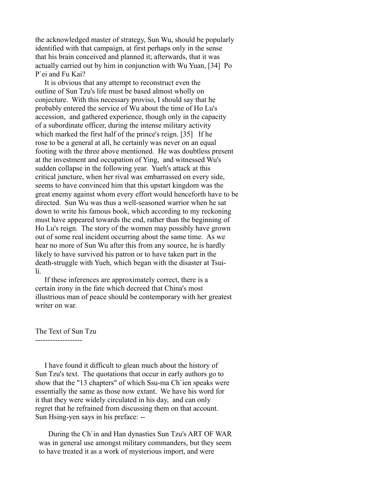the acknowledged master of strategy, Sun Wu, should be popularly identified with that campaign, at first perhaps only in the sense that his brain conceived and planned it; afterwards, that it was actually carried out by him in conjunction with Wu Yuan, [34] Po P`ei and Fu Kai?

 It is obvious that any attempt to reconstruct even the outline of Sun Tzu's life must be based almost wholly on conjecture. With this necessary proviso, I should say that he probably entered the service of Wu about the time of Ho Lu's accession, and gathered experience, though only in the capacity of a subordinate officer, during the intense military activity which marked the first half of the prince's reign. [35] If he rose to be a general at all, he certainly was never on an equal footing with the three above mentioned. He was doubtless present at the investment and occupation of Ying, and witnessed Wu's sudden collapse in the following year. Yueh's attack at this critical juncture, when her rival was embarrassed on every side, seems to have convinced him that this upstart kingdom was the great enemy against whom every effort would henceforth have to be directed. Sun Wu was thus a well-seasoned warrior when he sat down to write his famous book, which according to my reckoning must have appeared towards the end, rather than the beginning of Ho Lu's reign. The story of the women may possibly have grown out of some real incident occurring about the same time. As we hear no more of Sun Wu after this from any source, he is hardly likely to have survived his patron or to have taken part in the death-struggle with Yueh, which began with the disaster at Tsuili.

 If these inferences are approximately correct, there is a certain irony in the fate which decreed that China's most illustrious man of peace should be contemporary with her greatest writer on war.

The Text of Sun Tzu

-------------------

 I have found it difficult to glean much about the history of Sun Tzu's text. The quotations that occur in early authors go to show that the "13 chapters" of which Ssu-ma Ch`ien speaks were essentially the same as those now extant. We have his word for it that they were widely circulated in his day, and can only regret that he refrained from discussing them on that account. Sun Hsing-yen says in his preface: --

 During the Ch`in and Han dynasties Sun Tzu's ART OF WAR was in general use amongst military commanders, but they seem to have treated it as a work of mysterious import, and were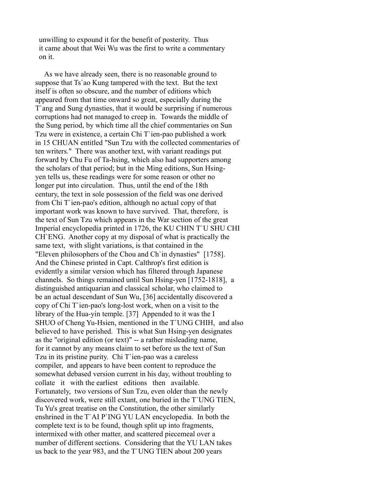unwilling to expound it for the benefit of posterity. Thus it came about that Wei Wu was the first to write a commentary on it.

 As we have already seen, there is no reasonable ground to suppose that Ts`ao Kung tampered with the text. But the text itself is often so obscure, and the number of editions which appeared from that time onward so great, especially during the T`ang and Sung dynasties, that it would be surprising if numerous corruptions had not managed to creep in. Towards the middle of the Sung period, by which time all the chief commentaries on Sun Tzu were in existence, a certain Chi T`ien-pao published a work in 15 CHUAN entitled "Sun Tzu with the collected commentaries of ten writers." There was another text, with variant readings put forward by Chu Fu of Ta-hsing, which also had supporters among the scholars of that period; but in the Ming editions, Sun Hsingyen tells us, these readings were for some reason or other no longer put into circulation. Thus, until the end of the 18th century, the text in sole possession of the field was one derived from Chi T`ien-pao's edition, although no actual copy of that important work was known to have survived. That, therefore, is the text of Sun Tzu which appears in the War section of the great Imperial encyclopedia printed in 1726, the KU CHIN T`U SHU CHI CH`ENG. Another copy at my disposal of what is practically the same text, with slight variations, is that contained in the "Eleven philosophers of the Chou and Ch`in dynasties" [1758]. And the Chinese printed in Capt. Calthrop's first edition is evidently a similar version which has filtered through Japanese channels. So things remained until Sun Hsing-yen [1752-1818], a distinguished antiquarian and classical scholar, who claimed to be an actual descendant of Sun Wu, [36] accidentally discovered a copy of Chi T`ien-pao's long-lost work, when on a visit to the library of the Hua-yin temple. [37] Appended to it was the I SHUO of Cheng Yu-Hsien, mentioned in the T`UNG CHIH, and also believed to have perished. This is what Sun Hsing-yen designates as the "original edition (or text)" -- a rather misleading name, for it cannot by any means claim to set before us the text of Sun Tzu in its pristine purity. Chi T`ien-pao was a careless compiler, and appears to have been content to reproduce the somewhat debased version current in his day, without troubling to collate it with the earliest editions then available. Fortunately, two versions of Sun Tzu, even older than the newly discovered work, were still extant, one buried in the T`UNG TIEN, Tu Yu's great treatise on the Constitution, the other similarly enshrined in the T`AI P`ING YU LAN encyclopedia. In both the complete text is to be found, though split up into fragments, intermixed with other matter, and scattered piecemeal over a number of different sections. Considering that the YU LAN takes us back to the year 983, and the T`UNG TIEN about 200 years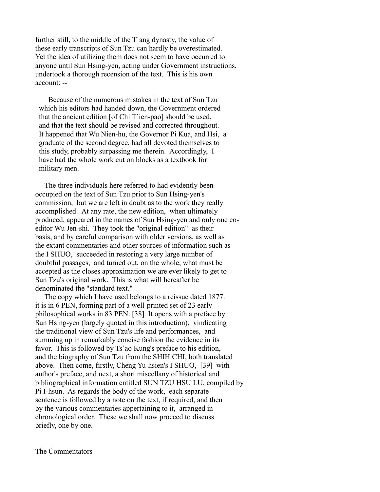further still, to the middle of the T`ang dynasty, the value of these early transcripts of Sun Tzu can hardly be overestimated. Yet the idea of utilizing them does not seem to have occurred to anyone until Sun Hsing-yen, acting under Government instructions, undertook a thorough recension of the text. This is his own account: --

 Because of the numerous mistakes in the text of Sun Tzu which his editors had handed down, the Government ordered that the ancient edition [of Chi T`ien-pao] should be used, and that the text should be revised and corrected throughout. It happened that Wu Nien-hu, the Governor Pi Kua, and Hsi, a graduate of the second degree, had all devoted themselves to this study, probably surpassing me therein. Accordingly, I have had the whole work cut on blocks as a textbook for military men.

 The three individuals here referred to had evidently been occupied on the text of Sun Tzu prior to Sun Hsing-yen's commission, but we are left in doubt as to the work they really accomplished. At any rate, the new edition, when ultimately produced, appeared in the names of Sun Hsing-yen and only one coeditor Wu Jen-shi. They took the "original edition" as their basis, and by careful comparison with older versions, as well as the extant commentaries and other sources of information such as the I SHUO, succeeded in restoring a very large number of doubtful passages, and turned out, on the whole, what must be accepted as the closes approximation we are ever likely to get to Sun Tzu's original work. This is what will hereafter be denominated the "standard text."

 The copy which I have used belongs to a reissue dated 1877. it is in 6 PEN, forming part of a well-printed set of 23 early philosophical works in 83 PEN. [38] It opens with a preface by Sun Hsing-yen (largely quoted in this introduction), vindicating the traditional view of Sun Tzu's life and performances, and summing up in remarkably concise fashion the evidence in its favor. This is followed by Ts`ao Kung's preface to his edition, and the biography of Sun Tzu from the SHIH CHI, both translated above. Then come, firstly, Cheng Yu-hsien's I SHUO, [39] with author's preface, and next, a short miscellany of historical and bibliographical information entitled SUN TZU HSU LU, compiled by Pi I-hsun. As regards the body of the work, each separate sentence is followed by a note on the text, if required, and then by the various commentaries appertaining to it, arranged in chronological order. These we shall now proceed to discuss briefly, one by one.

The Commentators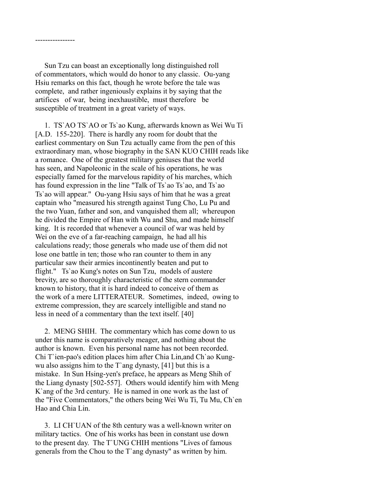Sun Tzu can boast an exceptionally long distinguished roll of commentators, which would do honor to any classic. Ou-yang Hsiu remarks on this fact, though he wrote before the tale was complete, and rather ingeniously explains it by saying that the artifices of war, being inexhaustible, must therefore be susceptible of treatment in a great variety of ways.

----------------

 1. TS`AO TS`AO or Ts`ao Kung, afterwards known as Wei Wu Ti [A.D. 155-220]. There is hardly any room for doubt that the earliest commentary on Sun Tzu actually came from the pen of this extraordinary man, whose biography in the SAN KUO CHIH reads like a romance. One of the greatest military geniuses that the world has seen, and Napoleonic in the scale of his operations, he was especially famed for the marvelous rapidity of his marches, which has found expression in the line "Talk of Ts'ao Ts'ao, and Ts'ao Ts`ao will appear." Ou-yang Hsiu says of him that he was a great captain who "measured his strength against Tung Cho, Lu Pu and the two Yuan, father and son, and vanquished them all; whereupon he divided the Empire of Han with Wu and Shu, and made himself king. It is recorded that whenever a council of war was held by Wei on the eve of a far-reaching campaign, he had all his calculations ready; those generals who made use of them did not lose one battle in ten; those who ran counter to them in any particular saw their armies incontinently beaten and put to flight." Ts`ao Kung's notes on Sun Tzu, models of austere brevity, are so thoroughly characteristic of the stern commander known to history, that it is hard indeed to conceive of them as the work of a mere LITTERATEUR. Sometimes, indeed, owing to extreme compression, they are scarcely intelligible and stand no less in need of a commentary than the text itself. [40]

 2. MENG SHIH. The commentary which has come down to us under this name is comparatively meager, and nothing about the author is known. Even his personal name has not been recorded. Chi T`ien-pao's edition places him after Chia Lin,and Ch`ao Kungwu also assigns him to the T`ang dynasty, [41] but this is a mistake. In Sun Hsing-yen's preface, he appears as Meng Shih of the Liang dynasty [502-557]. Others would identify him with Meng K`ang of the 3rd century. He is named in one work as the last of the "Five Commentators," the others being Wei Wu Ti, Tu Mu, Ch`en Hao and Chia Lin.

 3. LI CH`UAN of the 8th century was a well-known writer on military tactics. One of his works has been in constant use down to the present day. The T`UNG CHIH mentions "Lives of famous generals from the Chou to the T`ang dynasty" as written by him.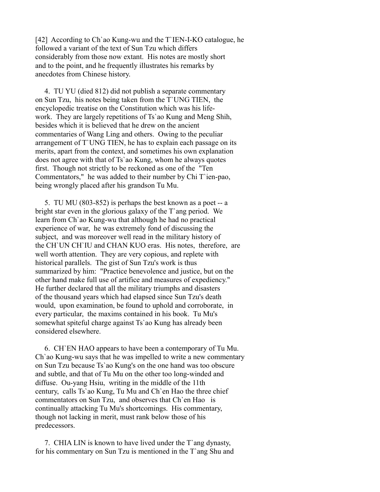[42] According to Ch`ao Kung-wu and the T`IEN-I-KO catalogue, he followed a variant of the text of Sun Tzu which differs considerably from those now extant. His notes are mostly short and to the point, and he frequently illustrates his remarks by anecdotes from Chinese history.

 4. TU YU (died 812) did not publish a separate commentary on Sun Tzu, his notes being taken from the T`UNG TIEN, the encyclopedic treatise on the Constitution which was his lifework. They are largely repetitions of Ts`ao Kung and Meng Shih, besides which it is believed that he drew on the ancient commentaries of Wang Ling and others. Owing to the peculiar arrangement of T`UNG TIEN, he has to explain each passage on its merits, apart from the context, and sometimes his own explanation does not agree with that of Ts`ao Kung, whom he always quotes first. Though not strictly to be reckoned as one of the "Ten Commentators," he was added to their number by Chi T`ien-pao, being wrongly placed after his grandson Tu Mu.

 5. TU MU (803-852) is perhaps the best known as a poet -- a bright star even in the glorious galaxy of the T`ang period. We learn from Ch`ao Kung-wu that although he had no practical experience of war, he was extremely fond of discussing the subject, and was moreover well read in the military history of the CH`UN CH`IU and CHAN KUO eras. His notes, therefore, are well worth attention. They are very copious, and replete with historical parallels. The gist of Sun Tzu's work is thus summarized by him: "Practice benevolence and justice, but on the other hand make full use of artifice and measures of expediency." He further declared that all the military triumphs and disasters of the thousand years which had elapsed since Sun Tzu's death would, upon examination, be found to uphold and corroborate, in every particular, the maxims contained in his book. Tu Mu's somewhat spiteful charge against Ts`ao Kung has already been considered elsewhere.

 6. CH`EN HAO appears to have been a contemporary of Tu Mu. Ch`ao Kung-wu says that he was impelled to write a new commentary on Sun Tzu because Ts`ao Kung's on the one hand was too obscure and subtle, and that of Tu Mu on the other too long-winded and diffuse. Ou-yang Hsiu, writing in the middle of the 11th century, calls Ts`ao Kung, Tu Mu and Ch`en Hao the three chief commentators on Sun Tzu, and observes that Ch`en Hao is continually attacking Tu Mu's shortcomings. His commentary, though not lacking in merit, must rank below those of his predecessors.

 7. CHIA LIN is known to have lived under the T`ang dynasty, for his commentary on Sun Tzu is mentioned in the T`ang Shu and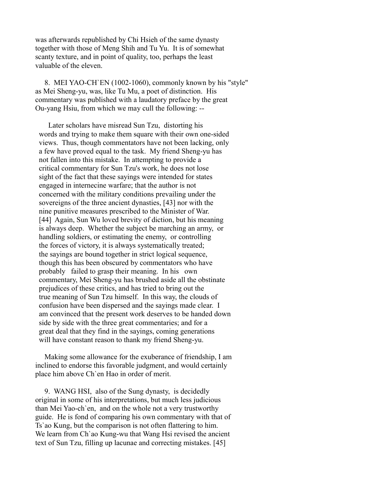was afterwards republished by Chi Hsieh of the same dynasty together with those of Meng Shih and Tu Yu. It is of somewhat scanty texture, and in point of quality, too, perhaps the least valuable of the eleven.

 8. MEI YAO-CH`EN (1002-1060), commonly known by his "style" as Mei Sheng-yu, was, like Tu Mu, a poet of distinction. His commentary was published with a laudatory preface by the great Ou-yang Hsiu, from which we may cull the following: --

 Later scholars have misread Sun Tzu, distorting his words and trying to make them square with their own one-sided views. Thus, though commentators have not been lacking, only a few have proved equal to the task. My friend Sheng-yu has not fallen into this mistake. In attempting to provide a critical commentary for Sun Tzu's work, he does not lose sight of the fact that these sayings were intended for states engaged in internecine warfare; that the author is not concerned with the military conditions prevailing under the sovereigns of the three ancient dynasties, [43] nor with the nine punitive measures prescribed to the Minister of War. [44] Again, Sun Wu loved brevity of diction, but his meaning is always deep. Whether the subject be marching an army, or handling soldiers, or estimating the enemy, or controlling the forces of victory, it is always systematically treated; the sayings are bound together in strict logical sequence, though this has been obscured by commentators who have probably failed to grasp their meaning. In his own commentary, Mei Sheng-yu has brushed aside all the obstinate prejudices of these critics, and has tried to bring out the true meaning of Sun Tzu himself. In this way, the clouds of confusion have been dispersed and the sayings made clear. I am convinced that the present work deserves to be handed down side by side with the three great commentaries; and for a great deal that they find in the sayings, coming generations will have constant reason to thank my friend Sheng-yu.

 Making some allowance for the exuberance of friendship, I am inclined to endorse this favorable judgment, and would certainly place him above Ch`en Hao in order of merit.

 9. WANG HSI, also of the Sung dynasty, is decidedly original in some of his interpretations, but much less judicious than Mei Yao-ch`en, and on the whole not a very trustworthy guide. He is fond of comparing his own commentary with that of Ts`ao Kung, but the comparison is not often flattering to him. We learn from Ch'ao Kung-wu that Wang Hsi revised the ancient text of Sun Tzu, filling up lacunae and correcting mistakes. [45]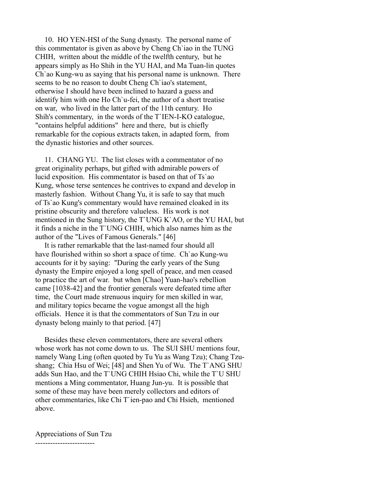10. HO YEN-HSI of the Sung dynasty. The personal name of this commentator is given as above by Cheng Ch`iao in the TUNG CHIH, written about the middle of the twelfth century, but he appears simply as Ho Shih in the YU HAI, and Ma Tuan-lin quotes Ch`ao Kung-wu as saying that his personal name is unknown. There seems to be no reason to doubt Cheng Ch`iao's statement, otherwise I should have been inclined to hazard a guess and identify him with one Ho Ch`u-fei, the author of a short treatise on war, who lived in the latter part of the 11th century. Ho Shih's commentary, in the words of the T`IEN-I-KO catalogue, "contains helpful additions" here and there, but is chiefly remarkable for the copious extracts taken, in adapted form, from the dynastic histories and other sources.

 11. CHANG YU. The list closes with a commentator of no great originality perhaps, but gifted with admirable powers of lucid exposition. His commentator is based on that of Ts`ao Kung, whose terse sentences he contrives to expand and develop in masterly fashion. Without Chang Yu, it is safe to say that much of Ts`ao Kung's commentary would have remained cloaked in its pristine obscurity and therefore valueless. His work is not mentioned in the Sung history, the T`UNG K`AO, or the YU HAI, but it finds a niche in the T`UNG CHIH, which also names him as the author of the "Lives of Famous Generals." [46]

 It is rather remarkable that the last-named four should all have flourished within so short a space of time. Ch`ao Kung-wu accounts for it by saying: "During the early years of the Sung dynasty the Empire enjoyed a long spell of peace, and men ceased to practice the art of war. but when [Chao] Yuan-hao's rebellion came [1038-42] and the frontier generals were defeated time after time, the Court made strenuous inquiry for men skilled in war, and military topics became the vogue amongst all the high officials. Hence it is that the commentators of Sun Tzu in our dynasty belong mainly to that period. [47]

 Besides these eleven commentators, there are several others whose work has not come down to us. The SUI SHU mentions four, namely Wang Ling (often quoted by Tu Yu as Wang Tzu); Chang Tzushang; Chia Hsu of Wei; [48] and Shen Yu of Wu. The T`ANG SHU adds Sun Hao, and the T`UNG CHIH Hsiao Chi, while the T`U SHU mentions a Ming commentator, Huang Jun-yu. It is possible that some of these may have been merely collectors and editors of other commentaries, like Chi T`ien-pao and Chi Hsieh, mentioned above.

Appreciations of Sun Tzu ------------------------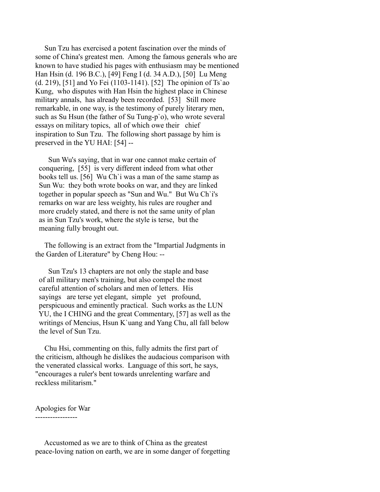Sun Tzu has exercised a potent fascination over the minds of some of China's greatest men. Among the famous generals who are known to have studied his pages with enthusiasm may be mentioned Han Hsin (d. 196 B.C.), [49] Feng I (d. 34 A.D.), [50] Lu Meng (d. 219), [51] and Yo Fei (1103-1141). [52] The opinion of Ts`ao Kung, who disputes with Han Hsin the highest place in Chinese military annals, has already been recorded. [53] Still more remarkable, in one way, is the testimony of purely literary men, such as Su Hsun (the father of Su Tung-p`o), who wrote several essays on military topics, all of which owe their chief inspiration to Sun Tzu. The following short passage by him is preserved in the YU HAI: [54] --

 Sun Wu's saying, that in war one cannot make certain of conquering, [55] is very different indeed from what other books tell us. [56] Wu Ch`i was a man of the same stamp as Sun Wu: they both wrote books on war, and they are linked together in popular speech as "Sun and Wu." But Wu Ch`i's remarks on war are less weighty, his rules are rougher and more crudely stated, and there is not the same unity of plan as in Sun Tzu's work, where the style is terse, but the meaning fully brought out.

 The following is an extract from the "Impartial Judgments in the Garden of Literature" by Cheng Hou: --

 Sun Tzu's 13 chapters are not only the staple and base of all military men's training, but also compel the most careful attention of scholars and men of letters. His sayings are terse yet elegant, simple yet profound, perspicuous and eminently practical. Such works as the LUN YU, the I CHING and the great Commentary, [57] as well as the writings of Mencius, Hsun K`uang and Yang Chu, all fall below the level of Sun Tzu.

 Chu Hsi, commenting on this, fully admits the first part of the criticism, although he dislikes the audacious comparison with the venerated classical works. Language of this sort, he says, "encourages a ruler's bent towards unrelenting warfare and reckless militarism."

Apologies for War -----------------

 Accustomed as we are to think of China as the greatest peace-loving nation on earth, we are in some danger of forgetting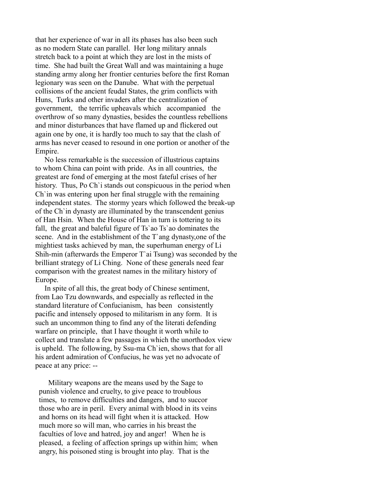that her experience of war in all its phases has also been such as no modern State can parallel. Her long military annals stretch back to a point at which they are lost in the mists of time. She had built the Great Wall and was maintaining a huge standing army along her frontier centuries before the first Roman legionary was seen on the Danube. What with the perpetual collisions of the ancient feudal States, the grim conflicts with Huns, Turks and other invaders after the centralization of government, the terrific upheavals which accompanied the overthrow of so many dynasties, besides the countless rebellions and minor disturbances that have flamed up and flickered out again one by one, it is hardly too much to say that the clash of arms has never ceased to resound in one portion or another of the Empire.

 No less remarkable is the succession of illustrious captains to whom China can point with pride. As in all countries, the greatest are fond of emerging at the most fateful crises of her history. Thus, Po Ch`i stands out conspicuous in the period when Ch`in was entering upon her final struggle with the remaining independent states. The stormy years which followed the break-up of the Ch`in dynasty are illuminated by the transcendent genius of Han Hsin. When the House of Han in turn is tottering to its fall, the great and baleful figure of Ts`ao Ts`ao dominates the scene. And in the establishment of the T`ang dynasty,one of the mightiest tasks achieved by man, the superhuman energy of Li Shih-min (afterwards the Emperor T`ai Tsung) was seconded by the brilliant strategy of Li Ching. None of these generals need fear comparison with the greatest names in the military history of Europe.

 In spite of all this, the great body of Chinese sentiment, from Lao Tzu downwards, and especially as reflected in the standard literature of Confucianism, has been consistently pacific and intensely opposed to militarism in any form. It is such an uncommon thing to find any of the literati defending warfare on principle, that I have thought it worth while to collect and translate a few passages in which the unorthodox view is upheld. The following, by Ssu-ma Ch`ien, shows that for all his ardent admiration of Confucius, he was yet no advocate of peace at any price: --

 Military weapons are the means used by the Sage to punish violence and cruelty, to give peace to troublous times, to remove difficulties and dangers, and to succor those who are in peril. Every animal with blood in its veins and horns on its head will fight when it is attacked. How much more so will man, who carries in his breast the faculties of love and hatred, joy and anger! When he is pleased, a feeling of affection springs up within him; when angry, his poisoned sting is brought into play. That is the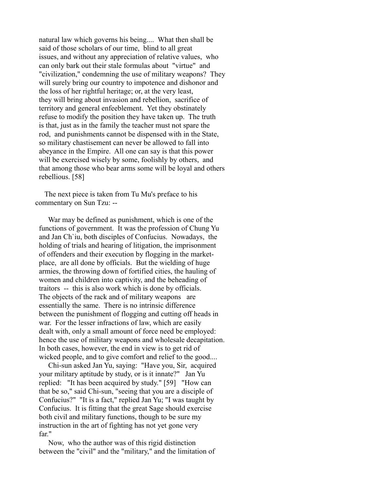natural law which governs his being.... What then shall be said of those scholars of our time, blind to all great issues, and without any appreciation of relative values, who can only bark out their stale formulas about "virtue" and "civilization," condemning the use of military weapons? They will surely bring our country to impotence and dishonor and the loss of her rightful heritage; or, at the very least, they will bring about invasion and rebellion, sacrifice of territory and general enfeeblement. Yet they obstinately refuse to modify the position they have taken up. The truth is that, just as in the family the teacher must not spare the rod, and punishments cannot be dispensed with in the State, so military chastisement can never be allowed to fall into abeyance in the Empire. All one can say is that this power will be exercised wisely by some, foolishly by others, and that among those who bear arms some will be loyal and others rebellious. [58]

 The next piece is taken from Tu Mu's preface to his commentary on Sun Tzu: --

 War may be defined as punishment, which is one of the functions of government. It was the profession of Chung Yu and Jan Ch`iu, both disciples of Confucius. Nowadays, the holding of trials and hearing of litigation, the imprisonment of offenders and their execution by flogging in the market place, are all done by officials. But the wielding of huge armies, the throwing down of fortified cities, the hauling of women and children into captivity, and the beheading of traitors -- this is also work which is done by officials. The objects of the rack and of military weapons are essentially the same. There is no intrinsic difference between the punishment of flogging and cutting off heads in war. For the lesser infractions of law, which are easily dealt with, only a small amount of force need be employed: hence the use of military weapons and wholesale decapitation. In both cases, however, the end in view is to get rid of wicked people, and to give comfort and relief to the good....

 Chi-sun asked Jan Yu, saying: "Have you, Sir, acquired your military aptitude by study, or is it innate?" Jan Yu replied: "It has been acquired by study." [59] "How can that be so," said Chi-sun, "seeing that you are a disciple of Confucius?" "It is a fact," replied Jan Yu; "I was taught by Confucius. It is fitting that the great Sage should exercise both civil and military functions, though to be sure my instruction in the art of fighting has not yet gone very far."

 Now, who the author was of this rigid distinction between the "civil" and the "military," and the limitation of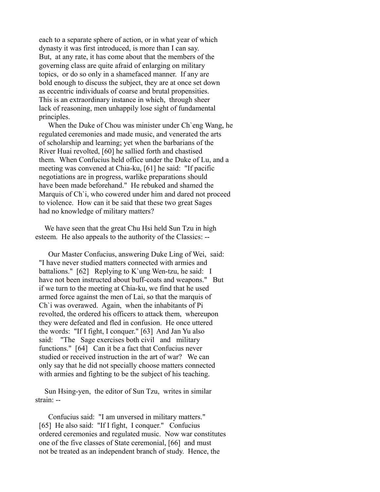each to a separate sphere of action, or in what year of which dynasty it was first introduced, is more than I can say. But, at any rate, it has come about that the members of the governing class are quite afraid of enlarging on military topics, or do so only in a shamefaced manner. If any are bold enough to discuss the subject, they are at once set down as eccentric individuals of coarse and brutal propensities. This is an extraordinary instance in which, through sheer lack of reasoning, men unhappily lose sight of fundamental principles.

 When the Duke of Chou was minister under Ch`eng Wang, he regulated ceremonies and made music, and venerated the arts of scholarship and learning; yet when the barbarians of the River Huai revolted, [60] he sallied forth and chastised them. When Confucius held office under the Duke of Lu, and a meeting was convened at Chia-ku, [61] he said: "If pacific negotiations are in progress, warlike preparations should have been made beforehand." He rebuked and shamed the Marquis of Ch`i, who cowered under him and dared not proceed to violence. How can it be said that these two great Sages had no knowledge of military matters?

We have seen that the great Chu Hsi held Sun Tzu in high esteem. He also appeals to the authority of the Classics: --

 Our Master Confucius, answering Duke Ling of Wei, said: "I have never studied matters connected with armies and battalions." [62] Replying to K`ung Wen-tzu, he said: I have not been instructed about buff-coats and weapons." But if we turn to the meeting at Chia-ku, we find that he used armed force against the men of Lai, so that the marquis of Ch`i was overawed. Again, when the inhabitants of Pi revolted, the ordered his officers to attack them, whereupon they were defeated and fled in confusion. He once uttered the words: "If I fight, I conquer." [63] And Jan Yu also said: "The Sage exercises both civil and military functions." [64] Can it be a fact that Confucius never studied or received instruction in the art of war? We can only say that he did not specially choose matters connected with armies and fighting to be the subject of his teaching.

 Sun Hsing-yen, the editor of Sun Tzu, writes in similar strain: --

 Confucius said: "I am unversed in military matters." [65] He also said: "If I fight, I conquer." Confucius ordered ceremonies and regulated music. Now war constitutes one of the five classes of State ceremonial, [66] and must not be treated as an independent branch of study. Hence, the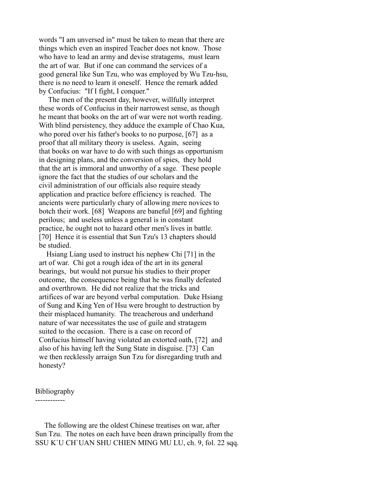words "I am unversed in" must be taken to mean that there are things which even an inspired Teacher does not know. Those who have to lead an army and devise stratagems, must learn the art of war. But if one can command the services of a good general like Sun Tzu, who was employed by Wu Tzu-hsu, there is no need to learn it oneself. Hence the remark added by Confucius: "If I fight, I conquer."

 The men of the present day, however, willfully interpret these words of Confucius in their narrowest sense, as though he meant that books on the art of war were not worth reading. With blind persistency, they adduce the example of Chao Kua, who pored over his father's books to no purpose, [67] as a proof that all military theory is useless. Again, seeing that books on war have to do with such things as opportunism in designing plans, and the conversion of spies, they hold that the art is immoral and unworthy of a sage. These people ignore the fact that the studies of our scholars and the civil administration of our officials also require steady application and practice before efficiency is reached. The ancients were particularly chary of allowing mere novices to botch their work. [68] Weapons are baneful [69] and fighting perilous; and useless unless a general is in constant practice, he ought not to hazard other men's lives in battle. [70] Hence it is essential that Sun Tzu's 13 chapters should be studied.

 Hsiang Liang used to instruct his nephew Chi [71] in the art of war. Chi got a rough idea of the art in its general bearings, but would not pursue his studies to their proper outcome, the consequence being that he was finally defeated and overthrown. He did not realize that the tricks and artifices of war are beyond verbal computation. Duke Hsiang of Sung and King Yen of Hsu were brought to destruction by their misplaced humanity. The treacherous and underhand nature of war necessitates the use of guile and stratagem suited to the occasion. There is a case on record of Confucius himself having violated an extorted oath, [72] and also of his having left the Sung State in disguise. [73] Can we then recklessly arraign Sun Tzu for disregarding truth and honesty?

### Bibliography

------------

 The following are the oldest Chinese treatises on war, after Sun Tzu. The notes on each have been drawn principally from the SSU K`U CH`UAN SHU CHIEN MING MU LU, ch. 9, fol. 22 sqq.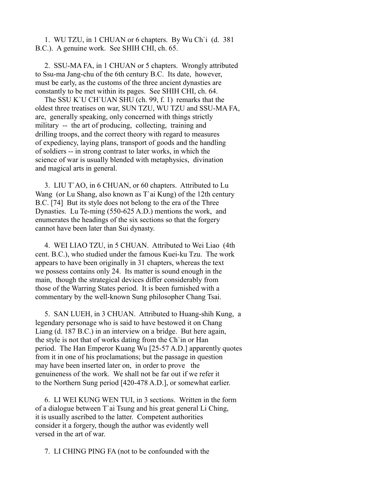1. WU TZU, in 1 CHUAN or 6 chapters. By Wu Ch`i (d. 381 B.C.). A genuine work. See SHIH CHI, ch. 65.

 2. SSU-MA FA, in 1 CHUAN or 5 chapters. Wrongly attributed to Ssu-ma Jang-chu of the 6th century B.C. Its date, however, must be early, as the customs of the three ancient dynasties are constantly to be met within its pages. See SHIH CHI, ch. 64.

 The SSU K`U CH`UAN SHU (ch. 99, f. 1) remarks that the oldest three treatises on war, SUN TZU, WU TZU and SSU-MA FA, are, generally speaking, only concerned with things strictly military -- the art of producing, collecting, training and drilling troops, and the correct theory with regard to measures of expediency, laying plans, transport of goods and the handling of soldiers -- in strong contrast to later works, in which the science of war is usually blended with metaphysics, divination and magical arts in general.

 3. LIU T`AO, in 6 CHUAN, or 60 chapters. Attributed to Lu Wang (or Lu Shang, also known as T`ai Kung) of the 12th century B.C. [74] But its style does not belong to the era of the Three Dynasties. Lu Te-ming (550-625 A.D.) mentions the work, and enumerates the headings of the six sections so that the forgery cannot have been later than Sui dynasty.

 4. WEI LIAO TZU, in 5 CHUAN. Attributed to Wei Liao (4th cent. B.C.), who studied under the famous Kuei-ku Tzu. The work appears to have been originally in 31 chapters, whereas the text we possess contains only 24. Its matter is sound enough in the main, though the strategical devices differ considerably from those of the Warring States period. It is been furnished with a commentary by the well-known Sung philosopher Chang Tsai.

 5. SAN LUEH, in 3 CHUAN. Attributed to Huang-shih Kung, a legendary personage who is said to have bestowed it on Chang Liang (d. 187 B.C.) in an interview on a bridge. But here again, the style is not that of works dating from the Ch`in or Han period. The Han Emperor Kuang Wu [25-57 A.D.] apparently quotes from it in one of his proclamations; but the passage in question may have been inserted later on, in order to prove the genuineness of the work. We shall not be far out if we refer it to the Northern Sung period [420-478 A.D.], or somewhat earlier.

 6. LI WEI KUNG WEN TUI, in 3 sections. Written in the form of a dialogue between T`ai Tsung and his great general Li Ching, it is usually ascribed to the latter. Competent authorities consider it a forgery, though the author was evidently well versed in the art of war.

7. LI CHING PING FA (not to be confounded with the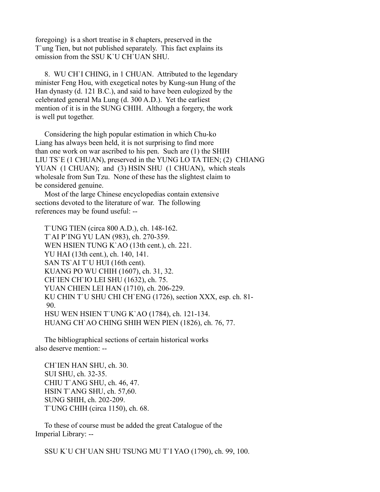foregoing) is a short treatise in 8 chapters, preserved in the T`ung Tien, but not published separately. This fact explains its omission from the SSU K`U CH`UAN SHU.

 8. WU CH`I CHING, in 1 CHUAN. Attributed to the legendary minister Feng Hou, with exegetical notes by Kung-sun Hung of the Han dynasty (d. 121 B.C.), and said to have been eulogized by the celebrated general Ma Lung (d. 300 A.D.). Yet the earliest mention of it is in the SUNG CHIH. Although a forgery, the work is well put together.

 Considering the high popular estimation in which Chu-ko Liang has always been held, it is not surprising to find more than one work on war ascribed to his pen. Such are (1) the SHIH LIU TS`E (1 CHUAN), preserved in the YUNG LO TA TIEN; (2) CHIANG YUAN (1 CHUAN); and (3) HSIN SHU (1 CHUAN), which steals wholesale from Sun Tzu. None of these has the slightest claim to be considered genuine.

 Most of the large Chinese encyclopedias contain extensive sections devoted to the literature of war. The following references may be found useful: --

 T`UNG TIEN (circa 800 A.D.), ch. 148-162. T`AI P`ING YU LAN (983), ch. 270-359. WEN HSIEN TUNG K`AO (13th cent.), ch. 221. YU HAI (13th cent.), ch. 140, 141. SAN TS'AI T'U HUI (16th cent). KUANG PO WU CHIH (1607), ch. 31, 32. CH`IEN CH`IO LEI SHU (1632), ch. 75. YUAN CHIEN LEI HAN (1710), ch. 206-229. KU CHIN T`U SHU CHI CH`ENG (1726), section XXX, esp. ch. 81- 90. HSU WEN HSIEN T`UNG K`AO (1784), ch. 121-134. HUANG CH`AO CHING SHIH WEN PIEN (1826), ch. 76, 77.

 The bibliographical sections of certain historical works also deserve mention: --

 CH`IEN HAN SHU, ch. 30. SUI SHU, ch. 32-35. CHIU T`ANG SHU, ch. 46, 47. HSIN T`ANG SHU, ch. 57,60. SUNG SHIH, ch. 202-209. T`UNG CHIH (circa 1150), ch. 68.

 To these of course must be added the great Catalogue of the Imperial Library: --

SSU K`U CH`UAN SHU TSUNG MU T`I YAO (1790), ch. 99, 100.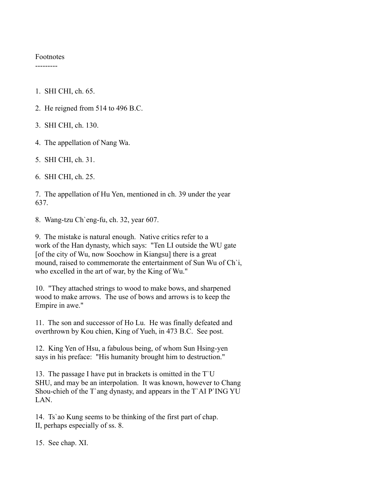#### Footnotes ---------

1. SHI CHI, ch. 65.

- 2. He reigned from 514 to 496 B.C.
- 3. SHI CHI, ch. 130.
- 4. The appellation of Nang Wa.
- 5. SHI CHI, ch. 31.
- 6. SHI CHI, ch. 25.

7. The appellation of Hu Yen, mentioned in ch. 39 under the year 637.

8. Wang-tzu Ch`eng-fu, ch. 32, year 607.

9. The mistake is natural enough. Native critics refer to a work of the Han dynasty, which says: "Ten LI outside the WU gate [of the city of Wu, now Soochow in Kiangsu] there is a great mound, raised to commemorate the entertainment of Sun Wu of Ch`i, who excelled in the art of war, by the King of Wu."

10. "They attached strings to wood to make bows, and sharpened wood to make arrows. The use of bows and arrows is to keep the Empire in awe."

11. The son and successor of Ho Lu. He was finally defeated and overthrown by Kou chien, King of Yueh, in 473 B.C. See post.

12. King Yen of Hsu, a fabulous being, of whom Sun Hsing-yen says in his preface: "His humanity brought him to destruction."

13. The passage I have put in brackets is omitted in the T`U SHU, and may be an interpolation. It was known, however to Chang Shou-chieh of the T`ang dynasty, and appears in the T`AI P`ING YU LAN.

14. Ts`ao Kung seems to be thinking of the first part of chap. II, perhaps especially of ss. 8.

15. See chap. XI.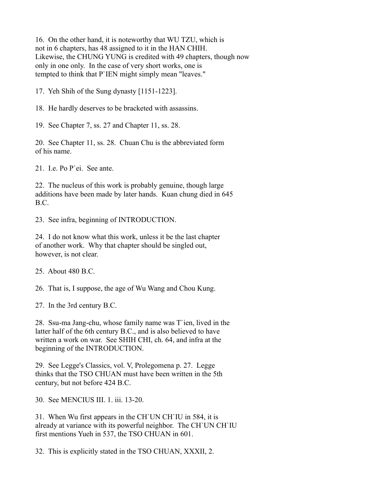16. On the other hand, it is noteworthy that WU TZU, which is not in 6 chapters, has 48 assigned to it in the HAN CHIH. Likewise, the CHUNG YUNG is credited with 49 chapters, though now only in one only. In the case of very short works, one is tempted to think that P`IEN might simply mean "leaves."

17. Yeh Shih of the Sung dynasty [1151-1223].

18. He hardly deserves to be bracketed with assassins.

19. See Chapter 7, ss. 27 and Chapter 11, ss. 28.

20. See Chapter 11, ss. 28. Chuan Chu is the abbreviated form of his name.

21. I.e. Po P`ei. See ante.

22. The nucleus of this work is probably genuine, though large additions have been made by later hands. Kuan chung died in 645 B.C.

23. See infra, beginning of INTRODUCTION.

24. I do not know what this work, unless it be the last chapter of another work. Why that chapter should be singled out, however, is not clear.

25. About 480 B.C.

26. That is, I suppose, the age of Wu Wang and Chou Kung.

27. In the 3rd century B.C.

28. Ssu-ma Jang-chu, whose family name was T`ien, lived in the latter half of the 6th century B.C., and is also believed to have written a work on war. See SHIH CHI, ch. 64, and infra at the beginning of the INTRODUCTION.

29. See Legge's Classics, vol. V, Prolegomena p. 27. Legge thinks that the TSO CHUAN must have been written in the 5th century, but not before 424 B.C.

30. See MENCIUS III. 1. iii. 13-20.

31. When Wu first appears in the CH`UN CH`IU in 584, it is already at variance with its powerful neighbor. The CH`UN CH`IU first mentions Yueh in 537, the TSO CHUAN in 601.

32. This is explicitly stated in the TSO CHUAN, XXXII, 2.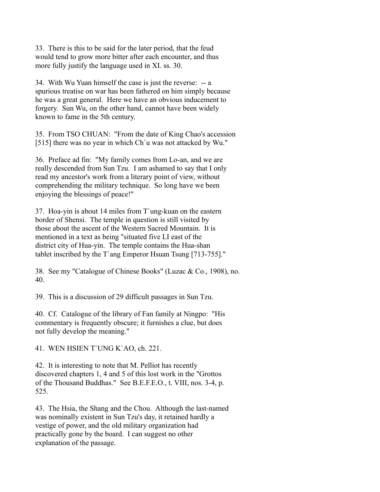33. There is this to be said for the later period, that the feud would tend to grow more bitter after each encounter, and thus more fully justify the language used in XI. ss. 30.

34. With Wu Yuan himself the case is just the reverse: -- a spurious treatise on war has been fathered on him simply because he was a great general. Here we have an obvious inducement to forgery. Sun Wu, on the other hand, cannot have been widely known to fame in the 5th century.

35. From TSO CHUAN: "From the date of King Chao's accession [515] there was no year in which Ch'u was not attacked by Wu."

36. Preface ad fin: "My family comes from Lo-an, and we are really descended from Sun Tzu. I am ashamed to say that I only read my ancestor's work from a literary point of view, without comprehending the military technique. So long have we been enjoying the blessings of peace!"

37. Hoa-yin is about 14 miles from T`ung-kuan on the eastern border of Shensi. The temple in question is still visited by those about the ascent of the Western Sacred Mountain. It is mentioned in a text as being "situated five LI east of the district city of Hua-yin. The temple contains the Hua-shan tablet inscribed by the T`ang Emperor Hsuan Tsung [713-755]."

38. See my "Catalogue of Chinese Books" (Luzac & Co., 1908), no. 40.

39. This is a discussion of 29 difficult passages in Sun Tzu.

40. Cf. Catalogue of the library of Fan family at Ningpo: "His commentary is frequently obscure; it furnishes a clue, but does not fully develop the meaning."

41. WEN HSIEN T`UNG K`AO, ch. 221.

42. It is interesting to note that M. Pelliot has recently discovered chapters 1, 4 and 5 of this lost work in the "Grottos of the Thousand Buddhas." See B.E.F.E.O., t. VIII, nos. 3-4, p. 525.

43. The Hsia, the Shang and the Chou. Although the last-named was nominally existent in Sun Tzu's day, it retained hardly a vestige of power, and the old military organization had practically gone by the board. I can suggest no other explanation of the passage.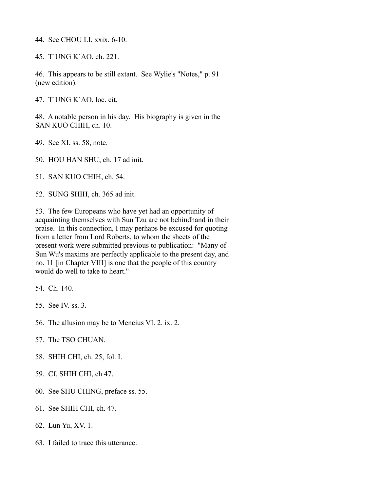44. See CHOU LI, xxix. 6-10.

45. T`UNG K`AO, ch. 221.

46. This appears to be still extant. See Wylie's "Notes," p. 91 (new edition).

47. T`UNG K`AO, loc. cit.

48. A notable person in his day. His biography is given in the SAN KUO CHIH, ch. 10.

49. See XI. ss. 58, note.

50. HOU HAN SHU, ch. 17 ad init.

51. SAN KUO CHIH, ch. 54.

52. SUNG SHIH, ch. 365 ad init.

53. The few Europeans who have yet had an opportunity of acquainting themselves with Sun Tzu are not behindhand in their praise. In this connection, I may perhaps be excused for quoting from a letter from Lord Roberts, to whom the sheets of the present work were submitted previous to publication: "Many of Sun Wu's maxims are perfectly applicable to the present day, and no. 11 [in Chapter VIII] is one that the people of this country would do well to take to heart."

54. Ch. 140.

55. See IV. ss. 3.

56. The allusion may be to Mencius VI. 2. ix. 2.

57. The TSO CHUAN.

58. SHIH CHI, ch. 25, fol. I.

59. Cf. SHIH CHI, ch 47.

60. See SHU CHING, preface ss. 55.

61. See SHIH CHI, ch. 47.

62. Lun Yu, XV. 1.

63. I failed to trace this utterance.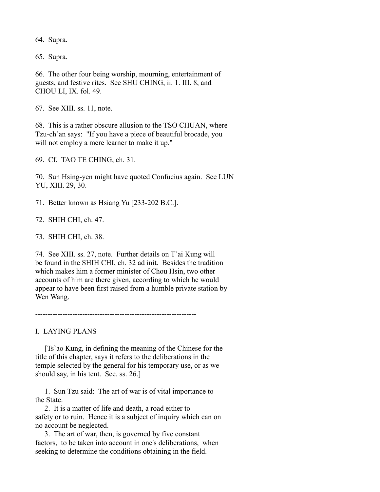64. Supra.

65. Supra.

66. The other four being worship, mourning, entertainment of guests, and festive rites. See SHU CHING, ii. 1. III. 8, and CHOU LI, IX. fol. 49.

67. See XIII. ss. 11, note.

68. This is a rather obscure allusion to the TSO CHUAN, where Tzu-ch`an says: "If you have a piece of beautiful brocade, you will not employ a mere learner to make it up."

69. Cf. TAO TE CHING, ch. 31.

70. Sun Hsing-yen might have quoted Confucius again. See LUN YU, XIII. 29, 30.

71. Better known as Hsiang Yu [233-202 B.C.].

72. SHIH CHI, ch. 47.

73. SHIH CHI, ch. 38.

74. See XIII. ss. 27, note. Further details on T`ai Kung will be found in the SHIH CHI, ch. 32 ad init. Besides the tradition which makes him a former minister of Chou Hsin, two other accounts of him are there given, according to which he would appear to have been first raised from a humble private station by Wen Wang.

 $-$ 

I. LAYING PLANS

 [Ts`ao Kung, in defining the meaning of the Chinese for the title of this chapter, says it refers to the deliberations in the temple selected by the general for his temporary use, or as we should say, in his tent. See. ss. 26.]

 1. Sun Tzu said: The art of war is of vital importance to the State.

 2. It is a matter of life and death, a road either to safety or to ruin. Hence it is a subject of inquiry which can on no account be neglected.

 3. The art of war, then, is governed by five constant factors, to be taken into account in one's deliberations, when seeking to determine the conditions obtaining in the field.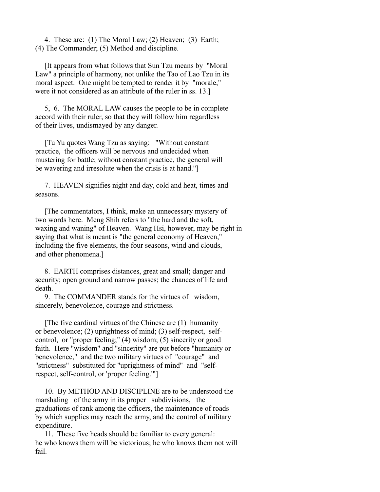4. These are: (1) The Moral Law; (2) Heaven; (3) Earth; (4) The Commander; (5) Method and discipline.

 [It appears from what follows that Sun Tzu means by "Moral Law" a principle of harmony, not unlike the Tao of Lao Tzu in its moral aspect. One might be tempted to render it by "morale," were it not considered as an attribute of the ruler in ss. 13.]

 5, 6. The MORAL LAW causes the people to be in complete accord with their ruler, so that they will follow him regardless of their lives, undismayed by any danger.

 [Tu Yu quotes Wang Tzu as saying: "Without constant practice, the officers will be nervous and undecided when mustering for battle; without constant practice, the general will be wavering and irresolute when the crisis is at hand."]

 7. HEAVEN signifies night and day, cold and heat, times and seasons.

 [The commentators, I think, make an unnecessary mystery of two words here. Meng Shih refers to "the hard and the soft, waxing and waning" of Heaven. Wang Hsi, however, may be right in saying that what is meant is "the general economy of Heaven," including the five elements, the four seasons, wind and clouds, and other phenomena.]

 8. EARTH comprises distances, great and small; danger and security; open ground and narrow passes; the chances of life and death.

 9. The COMMANDER stands for the virtues of wisdom, sincerely, benevolence, courage and strictness.

 [The five cardinal virtues of the Chinese are (1) humanity or benevolence; (2) uprightness of mind; (3) self-respect, selfcontrol, or "proper feeling;" (4) wisdom; (5) sincerity or good faith. Here "wisdom" and "sincerity" are put before "humanity or benevolence," and the two military virtues of "courage" and "strictness" substituted for "uprightness of mind" and "selfrespect, self-control, or 'proper feeling.'"]

 10. By METHOD AND DISCIPLINE are to be understood the marshaling of the army in its proper subdivisions, the graduations of rank among the officers, the maintenance of roads by which supplies may reach the army, and the control of military expenditure.

 11. These five heads should be familiar to every general: he who knows them will be victorious; he who knows them not will fail.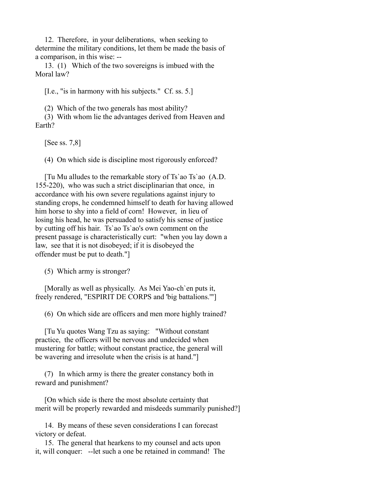12. Therefore, in your deliberations, when seeking to determine the military conditions, let them be made the basis of a comparison, in this wise: --

 13. (1) Which of the two sovereigns is imbued with the Moral law?

[I.e., "is in harmony with his subjects." Cf. ss. 5.]

(2) Which of the two generals has most ability?

 (3) With whom lie the advantages derived from Heaven and Earth?

[See ss. 7,8]

(4) On which side is discipline most rigorously enforced?

 [Tu Mu alludes to the remarkable story of Ts`ao Ts`ao (A.D. 155-220), who was such a strict disciplinarian that once, in accordance with his own severe regulations against injury to standing crops, he condemned himself to death for having allowed him horse to shy into a field of corn! However, in lieu of losing his head, he was persuaded to satisfy his sense of justice by cutting off his hair. Ts`ao Ts`ao's own comment on the present passage is characteristically curt: "when you lay down a law, see that it is not disobeyed; if it is disobeyed the offender must be put to death."]

(5) Which army is stronger?

 [Morally as well as physically. As Mei Yao-ch`en puts it, freely rendered, "ESPIRIT DE CORPS and 'big battalions.'"]

(6) On which side are officers and men more highly trained?

 [Tu Yu quotes Wang Tzu as saying: "Without constant practice, the officers will be nervous and undecided when mustering for battle; without constant practice, the general will be wavering and irresolute when the crisis is at hand."]

 (7) In which army is there the greater constancy both in reward and punishment?

 [On which side is there the most absolute certainty that merit will be properly rewarded and misdeeds summarily punished?]

 14. By means of these seven considerations I can forecast victory or defeat.

 15. The general that hearkens to my counsel and acts upon it, will conquer: --let such a one be retained in command! The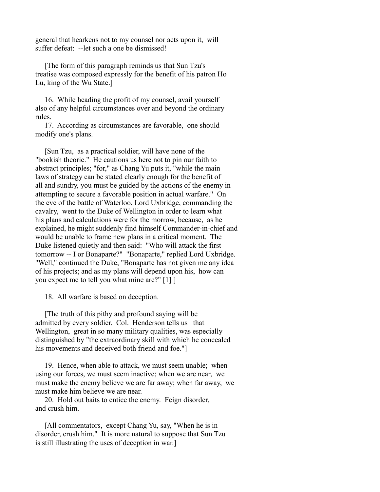general that hearkens not to my counsel nor acts upon it, will suffer defeat: --let such a one be dismissed!

 [The form of this paragraph reminds us that Sun Tzu's treatise was composed expressly for the benefit of his patron Ho Lu, king of the Wu State.]

 16. While heading the profit of my counsel, avail yourself also of any helpful circumstances over and beyond the ordinary rules.

 17. According as circumstances are favorable, one should modify one's plans.

 [Sun Tzu, as a practical soldier, will have none of the "bookish theoric." He cautions us here not to pin our faith to abstract principles; "for," as Chang Yu puts it, "while the main laws of strategy can be stated clearly enough for the benefit of all and sundry, you must be guided by the actions of the enemy in attempting to secure a favorable position in actual warfare." On the eve of the battle of Waterloo, Lord Uxbridge, commanding the cavalry, went to the Duke of Wellington in order to learn what his plans and calculations were for the morrow, because, as he explained, he might suddenly find himself Commander-in-chief and would be unable to frame new plans in a critical moment. The Duke listened quietly and then said: "Who will attack the first tomorrow -- I or Bonaparte?" "Bonaparte," replied Lord Uxbridge. "Well," continued the Duke, "Bonaparte has not given me any idea of his projects; and as my plans will depend upon his, how can you expect me to tell you what mine are?" [1] ]

18. All warfare is based on deception.

 [The truth of this pithy and profound saying will be admitted by every soldier. Col. Henderson tells us that Wellington, great in so many military qualities, was especially distinguished by "the extraordinary skill with which he concealed his movements and deceived both friend and foe."]

 19. Hence, when able to attack, we must seem unable; when using our forces, we must seem inactive; when we are near, we must make the enemy believe we are far away; when far away, we must make him believe we are near.

 20. Hold out baits to entice the enemy. Feign disorder, and crush him.

 [All commentators, except Chang Yu, say, "When he is in disorder, crush him." It is more natural to suppose that Sun Tzu is still illustrating the uses of deception in war.]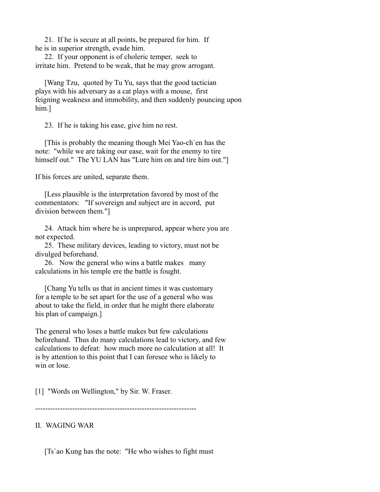21. If he is secure at all points, be prepared for him. If he is in superior strength, evade him.

 22. If your opponent is of choleric temper, seek to irritate him. Pretend to be weak, that he may grow arrogant.

 [Wang Tzu, quoted by Tu Yu, says that the good tactician plays with his adversary as a cat plays with a mouse, first feigning weakness and immobility, and then suddenly pouncing upon him.]

23. If he is taking his ease, give him no rest.

 [This is probably the meaning though Mei Yao-ch`en has the note: "while we are taking our ease, wait for the enemy to tire himself out." The YU LAN has "Lure him on and tire him out."]

If his forces are united, separate them.

 [Less plausible is the interpretation favored by most of the commentators: "If sovereign and subject are in accord, put division between them."]

 24. Attack him where he is unprepared, appear where you are not expected.

 25. These military devices, leading to victory, must not be divulged beforehand.

 26. Now the general who wins a battle makes many calculations in his temple ere the battle is fought.

 [Chang Yu tells us that in ancient times it was customary for a temple to be set apart for the use of a general who was about to take the field, in order that he might there elaborate his plan of campaign.]

The general who loses a battle makes but few calculations beforehand. Thus do many calculations lead to victory, and few calculations to defeat: how much more no calculation at all! It is by attention to this point that I can foresee who is likely to win or lose.

[1] "Words on Wellington," by Sir. W. Fraser.

-----------------------------------------------------------------

# II. WAGING WAR

[Ts`ao Kung has the note: "He who wishes to fight must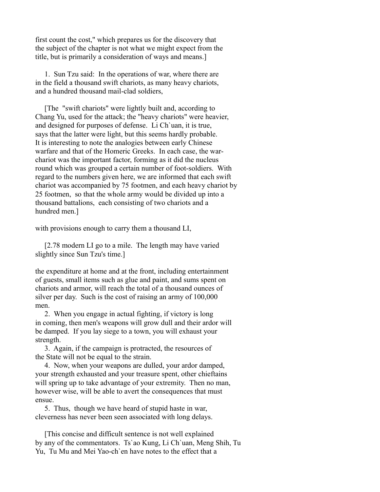first count the cost," which prepares us for the discovery that the subject of the chapter is not what we might expect from the title, but is primarily a consideration of ways and means.]

 1. Sun Tzu said: In the operations of war, where there are in the field a thousand swift chariots, as many heavy chariots, and a hundred thousand mail-clad soldiers,

 [The "swift chariots" were lightly built and, according to Chang Yu, used for the attack; the "heavy chariots" were heavier, and designed for purposes of defense. Li Ch`uan, it is true, says that the latter were light, but this seems hardly probable. It is interesting to note the analogies between early Chinese warfare and that of the Homeric Greeks. In each case, the warchariot was the important factor, forming as it did the nucleus round which was grouped a certain number of foot-soldiers. With regard to the numbers given here, we are informed that each swift chariot was accompanied by 75 footmen, and each heavy chariot by 25 footmen, so that the whole army would be divided up into a thousand battalions, each consisting of two chariots and a hundred men.]

with provisions enough to carry them a thousand LI,

 [2.78 modern LI go to a mile. The length may have varied slightly since Sun Tzu's time.]

the expenditure at home and at the front, including entertainment of guests, small items such as glue and paint, and sums spent on chariots and armor, will reach the total of a thousand ounces of silver per day. Such is the cost of raising an army of 100,000 men.

 2. When you engage in actual fighting, if victory is long in coming, then men's weapons will grow dull and their ardor will be damped. If you lay siege to a town, you will exhaust your strength.

 3. Again, if the campaign is protracted, the resources of the State will not be equal to the strain.

 4. Now, when your weapons are dulled, your ardor damped, your strength exhausted and your treasure spent, other chieftains will spring up to take advantage of your extremity. Then no man, however wise, will be able to avert the consequences that must ensue.

 5. Thus, though we have heard of stupid haste in war, cleverness has never been seen associated with long delays.

 [This concise and difficult sentence is not well explained by any of the commentators. Ts`ao Kung, Li Ch`uan, Meng Shih, Tu Yu, Tu Mu and Mei Yao-ch`en have notes to the effect that a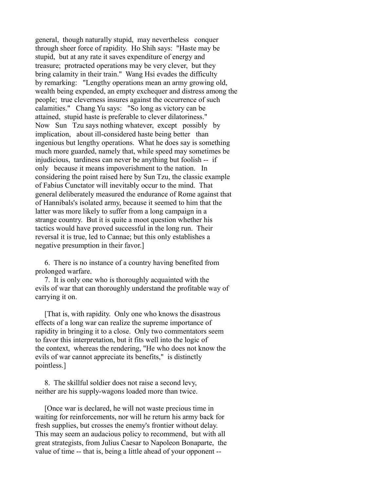general, though naturally stupid, may nevertheless conquer through sheer force of rapidity. Ho Shih says: "Haste may be stupid, but at any rate it saves expenditure of energy and treasure; protracted operations may be very clever, but they bring calamity in their train." Wang Hsi evades the difficulty by remarking: "Lengthy operations mean an army growing old, wealth being expended, an empty exchequer and distress among the people; true cleverness insures against the occurrence of such calamities." Chang Yu says: "So long as victory can be attained, stupid haste is preferable to clever dilatoriness." Now Sun Tzu says nothing whatever, except possibly by implication, about ill-considered haste being better than ingenious but lengthy operations. What he does say is something much more guarded, namely that, while speed may sometimes be injudicious, tardiness can never be anything but foolish -- if only because it means impoverishment to the nation. In considering the point raised here by Sun Tzu, the classic example of Fabius Cunctator will inevitably occur to the mind. That general deliberately measured the endurance of Rome against that of Hannibals's isolated army, because it seemed to him that the latter was more likely to suffer from a long campaign in a strange country. But it is quite a moot question whether his tactics would have proved successful in the long run. Their reversal it is true, led to Cannae; but this only establishes a negative presumption in their favor.]

 6. There is no instance of a country having benefited from prolonged warfare.

 7. It is only one who is thoroughly acquainted with the evils of war that can thoroughly understand the profitable way of carrying it on.

 [That is, with rapidity. Only one who knows the disastrous effects of a long war can realize the supreme importance of rapidity in bringing it to a close. Only two commentators seem to favor this interpretation, but it fits well into the logic of the context, whereas the rendering, "He who does not know the evils of war cannot appreciate its benefits," is distinctly pointless.]

 8. The skillful soldier does not raise a second levy, neither are his supply-wagons loaded more than twice.

 [Once war is declared, he will not waste precious time in waiting for reinforcements, nor will he return his army back for fresh supplies, but crosses the enemy's frontier without delay. This may seem an audacious policy to recommend, but with all great strategists, from Julius Caesar to Napoleon Bonaparte, the value of time -- that is, being a little ahead of your opponent --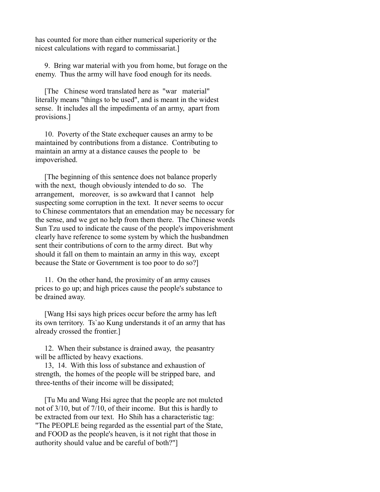has counted for more than either numerical superiority or the nicest calculations with regard to commissariat.]

 9. Bring war material with you from home, but forage on the enemy. Thus the army will have food enough for its needs.

 [The Chinese word translated here as "war material" literally means "things to be used", and is meant in the widest sense. It includes all the impedimenta of an army, apart from provisions.]

 10. Poverty of the State exchequer causes an army to be maintained by contributions from a distance. Contributing to maintain an army at a distance causes the people to be impoverished.

 [The beginning of this sentence does not balance properly with the next, though obviously intended to do so. The arrangement, moreover, is so awkward that I cannot help suspecting some corruption in the text. It never seems to occur to Chinese commentators that an emendation may be necessary for the sense, and we get no help from them there. The Chinese words Sun Tzu used to indicate the cause of the people's impoverishment clearly have reference to some system by which the husbandmen sent their contributions of corn to the army direct. But why should it fall on them to maintain an army in this way, except because the State or Government is too poor to do so?]

 11. On the other hand, the proximity of an army causes prices to go up; and high prices cause the people's substance to be drained away.

 [Wang Hsi says high prices occur before the army has left its own territory. Ts`ao Kung understands it of an army that has already crossed the frontier.]

 12. When their substance is drained away, the peasantry will be afflicted by heavy exactions.

 13, 14. With this loss of substance and exhaustion of strength, the homes of the people will be stripped bare, and three-tenths of their income will be dissipated;

 [Tu Mu and Wang Hsi agree that the people are not mulcted not of 3/10, but of 7/10, of their income. But this is hardly to be extracted from our text. Ho Shih has a characteristic tag: "The PEOPLE being regarded as the essential part of the State, and FOOD as the people's heaven, is it not right that those in authority should value and be careful of both?"]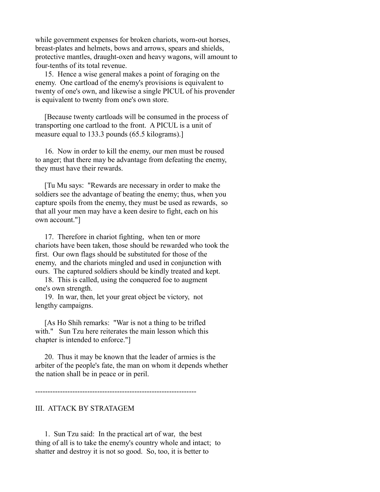while government expenses for broken chariots, worn-out horses, breast-plates and helmets, bows and arrows, spears and shields, protective mantles, draught-oxen and heavy wagons, will amount to four-tenths of its total revenue.

 15. Hence a wise general makes a point of foraging on the enemy. One cartload of the enemy's provisions is equivalent to twenty of one's own, and likewise a single PICUL of his provender is equivalent to twenty from one's own store.

 [Because twenty cartloads will be consumed in the process of transporting one cartload to the front. A PICUL is a unit of measure equal to 133.3 pounds (65.5 kilograms).]

 16. Now in order to kill the enemy, our men must be roused to anger; that there may be advantage from defeating the enemy, they must have their rewards.

 [Tu Mu says: "Rewards are necessary in order to make the soldiers see the advantage of beating the enemy; thus, when you capture spoils from the enemy, they must be used as rewards, so that all your men may have a keen desire to fight, each on his own account."]

 17. Therefore in chariot fighting, when ten or more chariots have been taken, those should be rewarded who took the first. Our own flags should be substituted for those of the enemy, and the chariots mingled and used in conjunction with ours. The captured soldiers should be kindly treated and kept.

 18. This is called, using the conquered foe to augment one's own strength.

 19. In war, then, let your great object be victory, not lengthy campaigns.

 [As Ho Shih remarks: "War is not a thing to be trifled with." Sun Tzu here reiterates the main lesson which this chapter is intended to enforce."]

 20. Thus it may be known that the leader of armies is the arbiter of the people's fate, the man on whom it depends whether the nation shall be in peace or in peril.

-----------------------------------------------------------------

## III. ATTACK BY STRATAGEM

 1. Sun Tzu said: In the practical art of war, the best thing of all is to take the enemy's country whole and intact; to shatter and destroy it is not so good. So, too, it is better to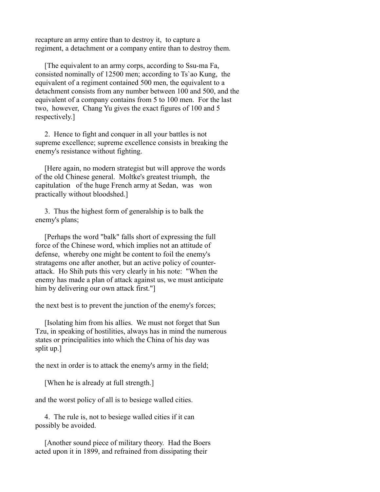recapture an army entire than to destroy it, to capture a regiment, a detachment or a company entire than to destroy them.

 [The equivalent to an army corps, according to Ssu-ma Fa, consisted nominally of 12500 men; according to Ts`ao Kung, the equivalent of a regiment contained 500 men, the equivalent to a detachment consists from any number between 100 and 500, and the equivalent of a company contains from 5 to 100 men. For the last two, however, Chang Yu gives the exact figures of 100 and 5 respectively.]

 2. Hence to fight and conquer in all your battles is not supreme excellence; supreme excellence consists in breaking the enemy's resistance without fighting.

 [Here again, no modern strategist but will approve the words of the old Chinese general. Moltke's greatest triumph, the capitulation of the huge French army at Sedan, was won practically without bloodshed.]

 3. Thus the highest form of generalship is to balk the enemy's plans;

 [Perhaps the word "balk" falls short of expressing the full force of the Chinese word, which implies not an attitude of defense, whereby one might be content to foil the enemy's stratagems one after another, but an active policy of counterattack. Ho Shih puts this very clearly in his note: "When the enemy has made a plan of attack against us, we must anticipate him by delivering our own attack first."

the next best is to prevent the junction of the enemy's forces;

 [Isolating him from his allies. We must not forget that Sun Tzu, in speaking of hostilities, always has in mind the numerous states or principalities into which the China of his day was split up.]

the next in order is to attack the enemy's army in the field;

[When he is already at full strength.]

and the worst policy of all is to besiege walled cities.

 4. The rule is, not to besiege walled cities if it can possibly be avoided.

 [Another sound piece of military theory. Had the Boers acted upon it in 1899, and refrained from dissipating their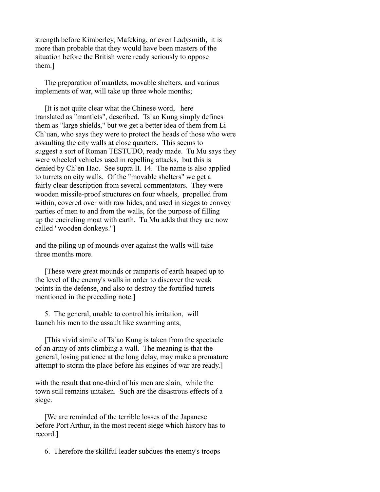strength before Kimberley, Mafeking, or even Ladysmith, it is more than probable that they would have been masters of the situation before the British were ready seriously to oppose them.]

 The preparation of mantlets, movable shelters, and various implements of war, will take up three whole months;

 [It is not quite clear what the Chinese word, here translated as "mantlets", described. Ts`ao Kung simply defines them as "large shields," but we get a better idea of them from Li Ch`uan, who says they were to protect the heads of those who were assaulting the city walls at close quarters. This seems to suggest a sort of Roman TESTUDO, ready made. Tu Mu says they were wheeled vehicles used in repelling attacks, but this is denied by Ch`en Hao. See supra II. 14. The name is also applied to turrets on city walls. Of the "movable shelters" we get a fairly clear description from several commentators. They were wooden missile-proof structures on four wheels, propelled from within, covered over with raw hides, and used in sieges to convey parties of men to and from the walls, for the purpose of filling up the encircling moat with earth. Tu Mu adds that they are now called "wooden donkeys."]

and the piling up of mounds over against the walls will take three months more.

 [These were great mounds or ramparts of earth heaped up to the level of the enemy's walls in order to discover the weak points in the defense, and also to destroy the fortified turrets mentioned in the preceding note.]

 5. The general, unable to control his irritation, will launch his men to the assault like swarming ants,

 [This vivid simile of Ts`ao Kung is taken from the spectacle of an army of ants climbing a wall. The meaning is that the general, losing patience at the long delay, may make a premature attempt to storm the place before his engines of war are ready.]

with the result that one-third of his men are slain, while the town still remains untaken. Such are the disastrous effects of a siege.

 [We are reminded of the terrible losses of the Japanese before Port Arthur, in the most recent siege which history has to record.]

6. Therefore the skillful leader subdues the enemy's troops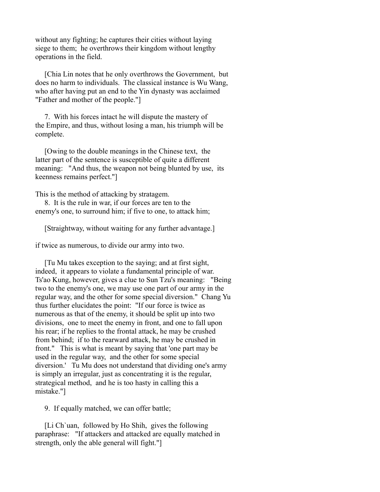without any fighting; he captures their cities without laying siege to them; he overthrows their kingdom without lengthy operations in the field.

 [Chia Lin notes that he only overthrows the Government, but does no harm to individuals. The classical instance is Wu Wang, who after having put an end to the Yin dynasty was acclaimed "Father and mother of the people."]

 7. With his forces intact he will dispute the mastery of the Empire, and thus, without losing a man, his triumph will be complete.

 [Owing to the double meanings in the Chinese text, the latter part of the sentence is susceptible of quite a different meaning: "And thus, the weapon not being blunted by use, its keenness remains perfect."]

This is the method of attacking by stratagem.

 8. It is the rule in war, if our forces are ten to the enemy's one, to surround him; if five to one, to attack him;

[Straightway, without waiting for any further advantage.]

if twice as numerous, to divide our army into two.

 [Tu Mu takes exception to the saying; and at first sight, indeed, it appears to violate a fundamental principle of war. Ts'ao Kung, however, gives a clue to Sun Tzu's meaning: "Being two to the enemy's one, we may use one part of our army in the regular way, and the other for some special diversion." Chang Yu thus further elucidates the point: "If our force is twice as numerous as that of the enemy, it should be split up into two divisions, one to meet the enemy in front, and one to fall upon his rear; if he replies to the frontal attack, he may be crushed from behind; if to the rearward attack, he may be crushed in front." This is what is meant by saying that 'one part may be used in the regular way, and the other for some special diversion.' Tu Mu does not understand that dividing one's army is simply an irregular, just as concentrating it is the regular, strategical method, and he is too hasty in calling this a mistake."]

9. If equally matched, we can offer battle;

 [Li Ch`uan, followed by Ho Shih, gives the following paraphrase: "If attackers and attacked are equally matched in strength, only the able general will fight."]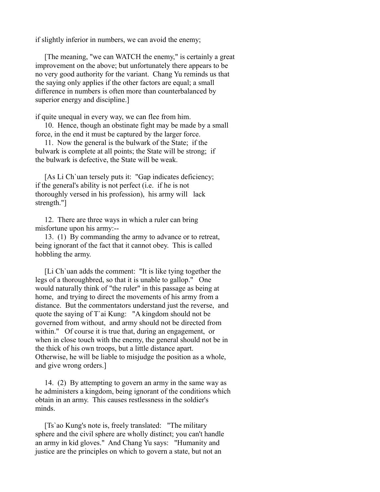if slightly inferior in numbers, we can avoid the enemy;

 [The meaning, "we can WATCH the enemy," is certainly a great improvement on the above; but unfortunately there appears to be no very good authority for the variant. Chang Yu reminds us that the saying only applies if the other factors are equal; a small difference in numbers is often more than counterbalanced by superior energy and discipline.]

if quite unequal in every way, we can flee from him.

 10. Hence, though an obstinate fight may be made by a small force, in the end it must be captured by the larger force.

 11. Now the general is the bulwark of the State; if the bulwark is complete at all points; the State will be strong; if the bulwark is defective, the State will be weak.

 [As Li Ch`uan tersely puts it: "Gap indicates deficiency; if the general's ability is not perfect (i.e. if he is not thoroughly versed in his profession), his army will lack strength."]

 12. There are three ways in which a ruler can bring misfortune upon his army:--

 13. (1) By commanding the army to advance or to retreat, being ignorant of the fact that it cannot obey. This is called hobbling the army.

 [Li Ch`uan adds the comment: "It is like tying together the legs of a thoroughbred, so that it is unable to gallop." One would naturally think of "the ruler" in this passage as being at home, and trying to direct the movements of his army from a distance. But the commentators understand just the reverse, and quote the saying of T`ai Kung: "A kingdom should not be governed from without, and army should not be directed from within." Of course it is true that, during an engagement, or when in close touch with the enemy, the general should not be in the thick of his own troops, but a little distance apart. Otherwise, he will be liable to misjudge the position as a whole, and give wrong orders.]

 14. (2) By attempting to govern an army in the same way as he administers a kingdom, being ignorant of the conditions which obtain in an army. This causes restlessness in the soldier's minds.

 [Ts`ao Kung's note is, freely translated: "The military sphere and the civil sphere are wholly distinct; you can't handle an army in kid gloves." And Chang Yu says: "Humanity and justice are the principles on which to govern a state, but not an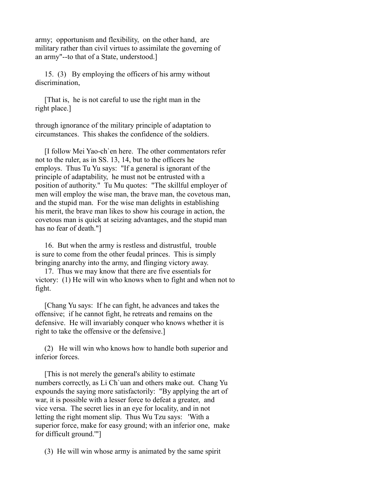army; opportunism and flexibility, on the other hand, are military rather than civil virtues to assimilate the governing of an army"--to that of a State, understood.]

 15. (3) By employing the officers of his army without discrimination,

 [That is, he is not careful to use the right man in the right place.]

through ignorance of the military principle of adaptation to circumstances. This shakes the confidence of the soldiers.

 [I follow Mei Yao-ch`en here. The other commentators refer not to the ruler, as in SS. 13, 14, but to the officers he employs. Thus Tu Yu says: "If a general is ignorant of the principle of adaptability, he must not be entrusted with a position of authority." Tu Mu quotes: "The skillful employer of men will employ the wise man, the brave man, the covetous man, and the stupid man. For the wise man delights in establishing his merit, the brave man likes to show his courage in action, the covetous man is quick at seizing advantages, and the stupid man has no fear of death."]

 16. But when the army is restless and distrustful, trouble is sure to come from the other feudal princes. This is simply bringing anarchy into the army, and flinging victory away.

 17. Thus we may know that there are five essentials for victory: (1) He will win who knows when to fight and when not to fight.

 [Chang Yu says: If he can fight, he advances and takes the offensive; if he cannot fight, he retreats and remains on the defensive. He will invariably conquer who knows whether it is right to take the offensive or the defensive.]

 (2) He will win who knows how to handle both superior and inferior forces.

 [This is not merely the general's ability to estimate numbers correctly, as Li Ch`uan and others make out. Chang Yu expounds the saying more satisfactorily: "By applying the art of war, it is possible with a lesser force to defeat a greater, and vice versa. The secret lies in an eye for locality, and in not letting the right moment slip. Thus Wu Tzu says: 'With a superior force, make for easy ground; with an inferior one, make for difficult ground.'"]

(3) He will win whose army is animated by the same spirit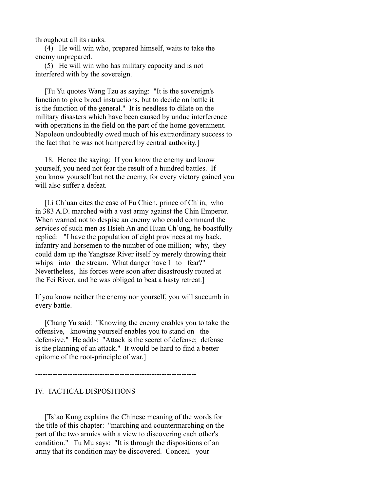throughout all its ranks.

 (4) He will win who, prepared himself, waits to take the enemy unprepared.

 (5) He will win who has military capacity and is not interfered with by the sovereign.

 [Tu Yu quotes Wang Tzu as saying: "It is the sovereign's function to give broad instructions, but to decide on battle it is the function of the general." It is needless to dilate on the military disasters which have been caused by undue interference with operations in the field on the part of the home government. Napoleon undoubtedly owed much of his extraordinary success to the fact that he was not hampered by central authority.]

 18. Hence the saying: If you know the enemy and know yourself, you need not fear the result of a hundred battles. If you know yourself but not the enemy, for every victory gained you will also suffer a defeat.

 [Li Ch`uan cites the case of Fu Chien, prince of Ch`in, who in 383 A.D. marched with a vast army against the Chin Emperor. When warned not to despise an enemy who could command the services of such men as Hsieh An and Huan Ch`ung, he boastfully replied: "I have the population of eight provinces at my back, infantry and horsemen to the number of one million; why, they could dam up the Yangtsze River itself by merely throwing their whips into the stream. What danger have I to fear?" Nevertheless, his forces were soon after disastrously routed at the Fei River, and he was obliged to beat a hasty retreat.]

If you know neither the enemy nor yourself, you will succumb in every battle.

 [Chang Yu said: "Knowing the enemy enables you to take the offensive, knowing yourself enables you to stand on the defensive." He adds: "Attack is the secret of defense; defense is the planning of an attack." It would be hard to find a better epitome of the root-principle of war.]

-----------------------------------------------------------------

## IV. TACTICAL DISPOSITIONS

 [Ts`ao Kung explains the Chinese meaning of the words for the title of this chapter: "marching and countermarching on the part of the two armies with a view to discovering each other's condition." Tu Mu says: "It is through the dispositions of an army that its condition may be discovered. Conceal your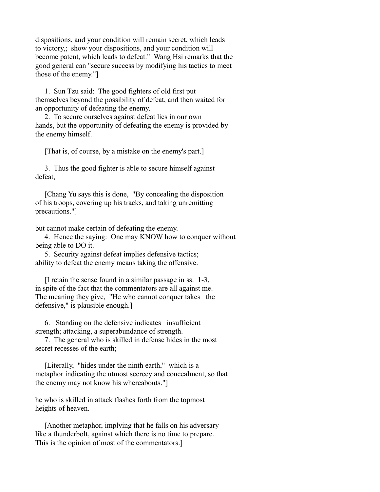dispositions, and your condition will remain secret, which leads to victory,; show your dispositions, and your condition will become patent, which leads to defeat." Wang Hsi remarks that the good general can "secure success by modifying his tactics to meet those of the enemy."]

 1. Sun Tzu said: The good fighters of old first put themselves beyond the possibility of defeat, and then waited for an opportunity of defeating the enemy.

 2. To secure ourselves against defeat lies in our own hands, but the opportunity of defeating the enemy is provided by the enemy himself.

[That is, of course, by a mistake on the enemy's part.]

 3. Thus the good fighter is able to secure himself against defeat,

 [Chang Yu says this is done, "By concealing the disposition of his troops, covering up his tracks, and taking unremitting precautions."]

but cannot make certain of defeating the enemy.

 4. Hence the saying: One may KNOW how to conquer without being able to DO it.

 5. Security against defeat implies defensive tactics; ability to defeat the enemy means taking the offensive.

 [I retain the sense found in a similar passage in ss. 1-3, in spite of the fact that the commentators are all against me. The meaning they give, "He who cannot conquer takes the defensive," is plausible enough.]

 6. Standing on the defensive indicates insufficient strength; attacking, a superabundance of strength.

 7. The general who is skilled in defense hides in the most secret recesses of the earth;

 [Literally, "hides under the ninth earth," which is a metaphor indicating the utmost secrecy and concealment, so that the enemy may not know his whereabouts."]

he who is skilled in attack flashes forth from the topmost heights of heaven.

 [Another metaphor, implying that he falls on his adversary like a thunderbolt, against which there is no time to prepare. This is the opinion of most of the commentators.]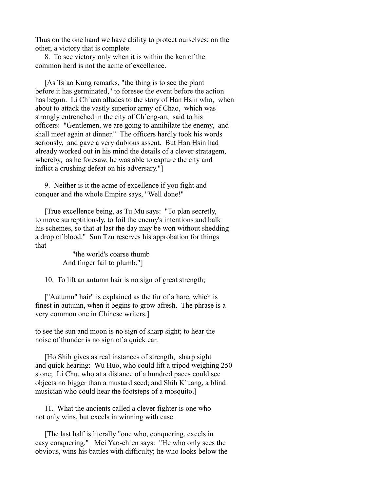Thus on the one hand we have ability to protect ourselves; on the other, a victory that is complete.

 8. To see victory only when it is within the ken of the common herd is not the acme of excellence.

 [As Ts`ao Kung remarks, "the thing is to see the plant before it has germinated," to foresee the event before the action has begun. Li Ch`uan alludes to the story of Han Hsin who, when about to attack the vastly superior army of Chao, which was strongly entrenched in the city of Ch`eng-an, said to his officers: "Gentlemen, we are going to annihilate the enemy, and shall meet again at dinner." The officers hardly took his words seriously, and gave a very dubious assent. But Han Hsin had already worked out in his mind the details of a clever stratagem, whereby, as he foresaw, he was able to capture the city and inflict a crushing defeat on his adversary."]

 9. Neither is it the acme of excellence if you fight and conquer and the whole Empire says, "Well done!"

 [True excellence being, as Tu Mu says: "To plan secretly, to move surreptitiously, to foil the enemy's intentions and balk his schemes, so that at last the day may be won without shedding a drop of blood." Sun Tzu reserves his approbation for things that

> "the world's coarse thumb And finger fail to plumb."]

10. To lift an autumn hair is no sign of great strength;

 ["Autumn" hair" is explained as the fur of a hare, which is finest in autumn, when it begins to grow afresh. The phrase is a very common one in Chinese writers.]

to see the sun and moon is no sign of sharp sight; to hear the noise of thunder is no sign of a quick ear.

 [Ho Shih gives as real instances of strength, sharp sight and quick hearing: Wu Huo, who could lift a tripod weighing 250 stone; Li Chu, who at a distance of a hundred paces could see objects no bigger than a mustard seed; and Shih K`uang, a blind musician who could hear the footsteps of a mosquito.]

 11. What the ancients called a clever fighter is one who not only wins, but excels in winning with ease.

 [The last half is literally "one who, conquering, excels in easy conquering." Mei Yao-ch`en says: "He who only sees the obvious, wins his battles with difficulty; he who looks below the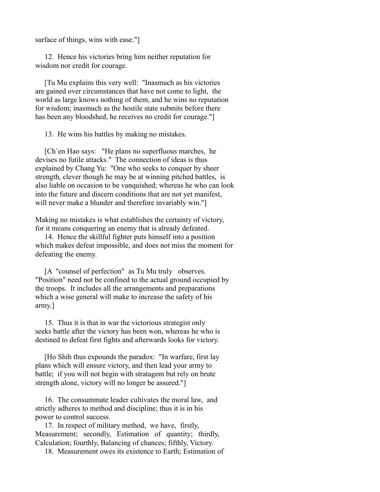surface of things, wins with ease."]

 12. Hence his victories bring him neither reputation for wisdom nor credit for courage.

 [Tu Mu explains this very well: "Inasmuch as his victories are gained over circumstances that have not come to light, the world as large knows nothing of them, and he wins no reputation for wisdom; inasmuch as the hostile state submits before there has been any bloodshed, he receives no credit for courage."

13. He wins his battles by making no mistakes.

 [Ch`en Hao says: "He plans no superfluous marches, he devises no futile attacks." The connection of ideas is thus explained by Chang Yu: "One who seeks to conquer by sheer strength, clever though he may be at winning pitched battles, is also liable on occasion to be vanquished; whereas he who can look into the future and discern conditions that are not yet manifest, will never make a blunder and therefore invariably win."

Making no mistakes is what establishes the certainty of victory, for it means conquering an enemy that is already defeated.

 14. Hence the skillful fighter puts himself into a position which makes defeat impossible, and does not miss the moment for defeating the enemy.

 [A "counsel of perfection" as Tu Mu truly observes. "Position" need not be confined to the actual ground occupied by the troops. It includes all the arrangements and preparations which a wise general will make to increase the safety of his army.]

 15. Thus it is that in war the victorious strategist only seeks battle after the victory has been won, whereas he who is destined to defeat first fights and afterwards looks for victory.

 [Ho Shih thus expounds the paradox: "In warfare, first lay plans which will ensure victory, and then lead your army to battle; if you will not begin with stratagem but rely on brute strength alone, victory will no longer be assured."]

 16. The consummate leader cultivates the moral law, and strictly adheres to method and discipline; thus it is in his power to control success.

 17. In respect of military method, we have, firstly, Measurement; secondly, Estimation of quantity; thirdly, Calculation; fourthly, Balancing of chances; fifthly, Victory.

18. Measurement owes its existence to Earth; Estimation of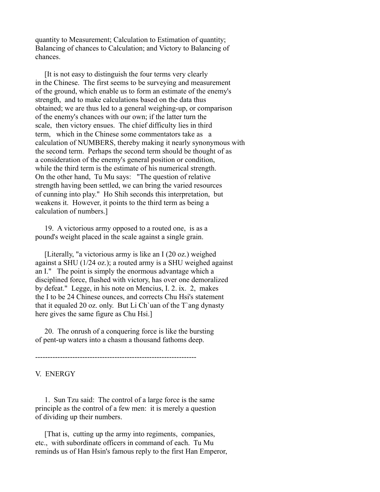quantity to Measurement; Calculation to Estimation of quantity; Balancing of chances to Calculation; and Victory to Balancing of chances.

 [It is not easy to distinguish the four terms very clearly in the Chinese. The first seems to be surveying and measurement of the ground, which enable us to form an estimate of the enemy's strength, and to make calculations based on the data thus obtained; we are thus led to a general weighing-up, or comparison of the enemy's chances with our own; if the latter turn the scale, then victory ensues. The chief difficulty lies in third term, which in the Chinese some commentators take as a calculation of NUMBERS, thereby making it nearly synonymous with the second term. Perhaps the second term should be thought of as a consideration of the enemy's general position or condition, while the third term is the estimate of his numerical strength. On the other hand, Tu Mu says: "The question of relative strength having been settled, we can bring the varied resources of cunning into play." Ho Shih seconds this interpretation, but weakens it. However, it points to the third term as being a calculation of numbers.]

 19. A victorious army opposed to a routed one, is as a pound's weight placed in the scale against a single grain.

 [Literally, "a victorious army is like an I (20 oz.) weighed against a SHU (1/24 oz.); a routed army is a SHU weighed against an I." The point is simply the enormous advantage which a disciplined force, flushed with victory, has over one demoralized by defeat." Legge, in his note on Mencius, I. 2. ix. 2, makes the I to be 24 Chinese ounces, and corrects Chu Hsi's statement that it equaled 20 oz. only. But Li Ch`uan of the T`ang dynasty here gives the same figure as Chu Hsi.]

 20. The onrush of a conquering force is like the bursting of pent-up waters into a chasm a thousand fathoms deep.

-----------------------------------------------------------------

V. ENERGY

 1. Sun Tzu said: The control of a large force is the same principle as the control of a few men: it is merely a question of dividing up their numbers.

 [That is, cutting up the army into regiments, companies, etc., with subordinate officers in command of each. Tu Mu reminds us of Han Hsin's famous reply to the first Han Emperor,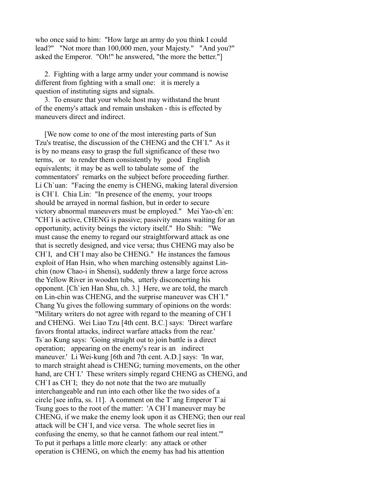who once said to him: "How large an army do you think I could lead?" "Not more than 100,000 men, your Majesty." "And you?" asked the Emperor. "Oh!" he answered, "the more the better."]

 2. Fighting with a large army under your command is nowise different from fighting with a small one: it is merely a question of instituting signs and signals.

 3. To ensure that your whole host may withstand the brunt of the enemy's attack and remain unshaken - this is effected by maneuvers direct and indirect.

 [We now come to one of the most interesting parts of Sun Tzu's treatise, the discussion of the CHENG and the CH`I." As it is by no means easy to grasp the full significance of these two terms, or to render them consistently by good English equivalents; it may be as well to tabulate some of the commentators' remarks on the subject before proceeding further. Li Ch`uan: "Facing the enemy is CHENG, making lateral diversion is CH`I. Chia Lin: "In presence of the enemy, your troops should be arrayed in normal fashion, but in order to secure victory abnormal maneuvers must be employed." Mei Yao-ch`en: "CH`I is active, CHENG is passive; passivity means waiting for an opportunity, activity beings the victory itself." Ho Shih: "We must cause the enemy to regard our straightforward attack as one that is secretly designed, and vice versa; thus CHENG may also be CH`I, and CH`I may also be CHENG." He instances the famous exploit of Han Hsin, who when marching ostensibly against Linchin (now Chao-i in Shensi), suddenly threw a large force across the Yellow River in wooden tubs, utterly disconcerting his opponent. [Ch`ien Han Shu, ch. 3.] Here, we are told, the march on Lin-chin was CHENG, and the surprise maneuver was CH`I." Chang Yu gives the following summary of opinions on the words: "Military writers do not agree with regard to the meaning of CH`I and CHENG. Wei Liao Tzu [4th cent. B.C.] says: 'Direct warfare favors frontal attacks, indirect warfare attacks from the rear.' Ts`ao Kung says: 'Going straight out to join battle is a direct operation; appearing on the enemy's rear is an indirect maneuver.' Li Wei-kung [6th and 7th cent. A.D.] says: 'In war, to march straight ahead is CHENG; turning movements, on the other hand, are CH`I.' These writers simply regard CHENG as CHENG, and CH`I as CH`I; they do not note that the two are mutually interchangeable and run into each other like the two sides of a circle [see infra, ss. 11]. A comment on the T`ang Emperor T`ai Tsung goes to the root of the matter: 'A CH`I maneuver may be CHENG, if we make the enemy look upon it as CHENG; then our real attack will be CH`I, and vice versa. The whole secret lies in confusing the enemy, so that he cannot fathom our real intent.'" To put it perhaps a little more clearly: any attack or other operation is CHENG, on which the enemy has had his attention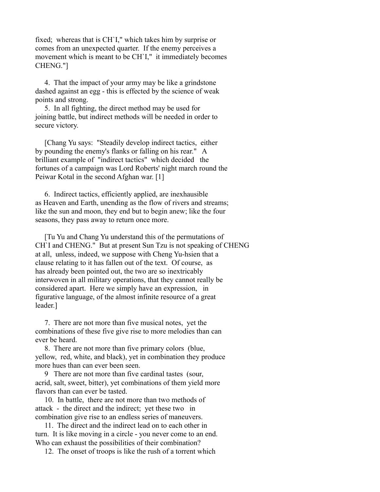fixed; whereas that is CH`I," which takes him by surprise or comes from an unexpected quarter. If the enemy perceives a movement which is meant to be CH`I," it immediately becomes CHENG."]

 4. That the impact of your army may be like a grindstone dashed against an egg - this is effected by the science of weak points and strong.

 5. In all fighting, the direct method may be used for joining battle, but indirect methods will be needed in order to secure victory.

 [Chang Yu says: "Steadily develop indirect tactics, either by pounding the enemy's flanks or falling on his rear." A brilliant example of "indirect tactics" which decided the fortunes of a campaign was Lord Roberts' night march round the Peiwar Kotal in the second Afghan war. [1]

 6. Indirect tactics, efficiently applied, are inexhausible as Heaven and Earth, unending as the flow of rivers and streams; like the sun and moon, they end but to begin anew; like the four seasons, they pass away to return once more.

 [Tu Yu and Chang Yu understand this of the permutations of CH`I and CHENG." But at present Sun Tzu is not speaking of CHENG at all, unless, indeed, we suppose with Cheng Yu-hsien that a clause relating to it has fallen out of the text. Of course, as has already been pointed out, the two are so inextricably interwoven in all military operations, that they cannot really be considered apart. Here we simply have an expression, in figurative language, of the almost infinite resource of a great leader.]

 7. There are not more than five musical notes, yet the combinations of these five give rise to more melodies than can ever be heard.

 8. There are not more than five primary colors (blue, yellow, red, white, and black), yet in combination they produce more hues than can ever been seen.

 9 There are not more than five cardinal tastes (sour, acrid, salt, sweet, bitter), yet combinations of them yield more flavors than can ever be tasted.

 10. In battle, there are not more than two methods of attack - the direct and the indirect; yet these two in combination give rise to an endless series of maneuvers.

 11. The direct and the indirect lead on to each other in turn. It is like moving in a circle - you never come to an end. Who can exhaust the possibilities of their combination?

12. The onset of troops is like the rush of a torrent which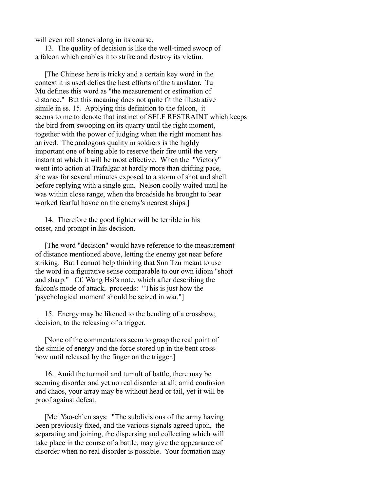will even roll stones along in its course.

 13. The quality of decision is like the well-timed swoop of a falcon which enables it to strike and destroy its victim.

 [The Chinese here is tricky and a certain key word in the context it is used defies the best efforts of the translator. Tu Mu defines this word as "the measurement or estimation of distance." But this meaning does not quite fit the illustrative simile in ss. 15. Applying this definition to the falcon, it seems to me to denote that instinct of SELF RESTRAINT which keeps the bird from swooping on its quarry until the right moment, together with the power of judging when the right moment has arrived. The analogous quality in soldiers is the highly important one of being able to reserve their fire until the very instant at which it will be most effective. When the "Victory" went into action at Trafalgar at hardly more than drifting pace, she was for several minutes exposed to a storm of shot and shell before replying with a single gun. Nelson coolly waited until he was within close range, when the broadside he brought to bear worked fearful havoc on the enemy's nearest ships.]

 14. Therefore the good fighter will be terrible in his onset, and prompt in his decision.

 [The word "decision" would have reference to the measurement of distance mentioned above, letting the enemy get near before striking. But I cannot help thinking that Sun Tzu meant to use the word in a figurative sense comparable to our own idiom "short and sharp." Cf. Wang Hsi's note, which after describing the falcon's mode of attack, proceeds: "This is just how the 'psychological moment' should be seized in war."]

 15. Energy may be likened to the bending of a crossbow; decision, to the releasing of a trigger.

 [None of the commentators seem to grasp the real point of the simile of energy and the force stored up in the bent crossbow until released by the finger on the trigger.]

 16. Amid the turmoil and tumult of battle, there may be seeming disorder and yet no real disorder at all; amid confusion and chaos, your array may be without head or tail, yet it will be proof against defeat.

 [Mei Yao-ch`en says: "The subdivisions of the army having been previously fixed, and the various signals agreed upon, the separating and joining, the dispersing and collecting which will take place in the course of a battle, may give the appearance of disorder when no real disorder is possible. Your formation may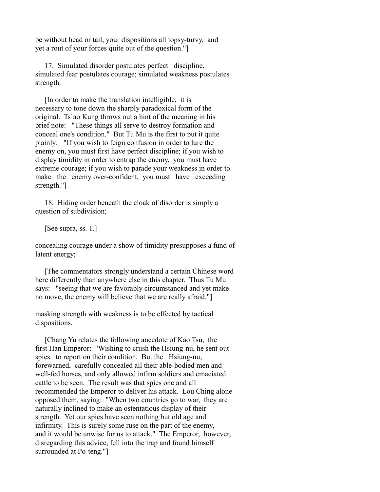be without head or tail, your dispositions all topsy-turvy, and yet a rout of your forces quite out of the question."]

 17. Simulated disorder postulates perfect discipline, simulated fear postulates courage; simulated weakness postulates strength.

 [In order to make the translation intelligible, it is necessary to tone down the sharply paradoxical form of the original. Ts`ao Kung throws out a hint of the meaning in his brief note: "These things all serve to destroy formation and conceal one's condition." But Tu Mu is the first to put it quite plainly: "If you wish to feign confusion in order to lure the enemy on, you must first have perfect discipline; if you wish to display timidity in order to entrap the enemy, you must have extreme courage; if you wish to parade your weakness in order to make the enemy over-confident, you must have exceeding strength."]

 18. Hiding order beneath the cloak of disorder is simply a question of subdivision;

[See supra, ss. 1.]

concealing courage under a show of timidity presupposes a fund of latent energy;

 [The commentators strongly understand a certain Chinese word here differently than anywhere else in this chapter. Thus Tu Mu says: "seeing that we are favorably circumstanced and yet make no move, the enemy will believe that we are really afraid."]

masking strength with weakness is to be effected by tactical dispositions.

 [Chang Yu relates the following anecdote of Kao Tsu, the first Han Emperor: "Wishing to crush the Hsiung-nu, he sent out spies to report on their condition. But the Hsiung-nu, forewarned, carefully concealed all their able-bodied men and well-fed horses, and only allowed infirm soldiers and emaciated cattle to be seen. The result was that spies one and all recommended the Emperor to deliver his attack. Lou Ching alone opposed them, saying: "When two countries go to war, they are naturally inclined to make an ostentatious display of their strength. Yet our spies have seen nothing but old age and infirmity. This is surely some ruse on the part of the enemy, and it would be unwise for us to attack." The Emperor, however, disregarding this advice, fell into the trap and found himself surrounded at Po-teng."]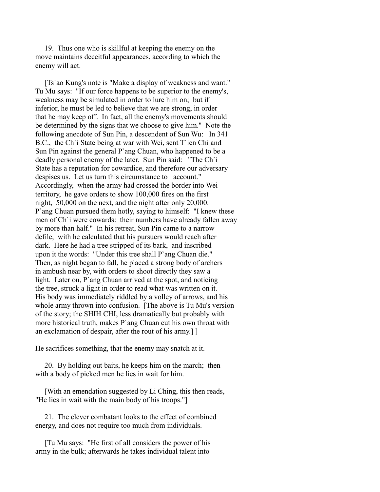19. Thus one who is skillful at keeping the enemy on the move maintains deceitful appearances, according to which the enemy will act.

 [Ts`ao Kung's note is "Make a display of weakness and want." Tu Mu says: "If our force happens to be superior to the enemy's, weakness may be simulated in order to lure him on; but if inferior, he must be led to believe that we are strong, in order that he may keep off. In fact, all the enemy's movements should be determined by the signs that we choose to give him." Note the following anecdote of Sun Pin, a descendent of Sun Wu: In 341 B.C., the Ch`i State being at war with Wei, sent T`ien Chi and Sun Pin against the general P`ang Chuan, who happened to be a deadly personal enemy of the later. Sun Pin said: "The Ch`i State has a reputation for cowardice, and therefore our adversary despises us. Let us turn this circumstance to account." Accordingly, when the army had crossed the border into Wei territory, he gave orders to show 100,000 fires on the first night, 50,000 on the next, and the night after only 20,000. P`ang Chuan pursued them hotly, saying to himself: "I knew these men of Ch`i were cowards: their numbers have already fallen away by more than half." In his retreat, Sun Pin came to a narrow defile, with he calculated that his pursuers would reach after dark. Here he had a tree stripped of its bark, and inscribed upon it the words: "Under this tree shall P`ang Chuan die." Then, as night began to fall, he placed a strong body of archers in ambush near by, with orders to shoot directly they saw a light. Later on, P`ang Chuan arrived at the spot, and noticing the tree, struck a light in order to read what was written on it. His body was immediately riddled by a volley of arrows, and his whole army thrown into confusion. [The above is Tu Mu's version of the story; the SHIH CHI, less dramatically but probably with more historical truth, makes P`ang Chuan cut his own throat with an exclamation of despair, after the rout of his army.] ]

He sacrifices something, that the enemy may snatch at it.

 20. By holding out baits, he keeps him on the march; then with a body of picked men he lies in wait for him.

 [With an emendation suggested by Li Ching, this then reads, "He lies in wait with the main body of his troops."]

 21. The clever combatant looks to the effect of combined energy, and does not require too much from individuals.

 [Tu Mu says: "He first of all considers the power of his army in the bulk; afterwards he takes individual talent into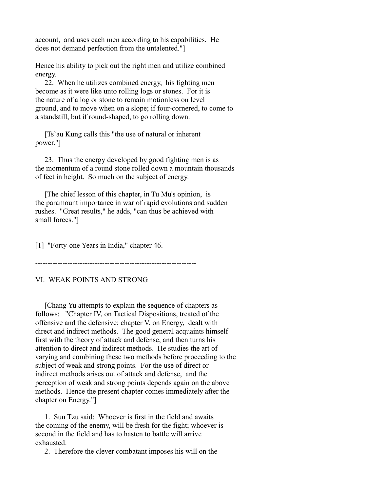account, and uses each men according to his capabilities. He does not demand perfection from the untalented."]

Hence his ability to pick out the right men and utilize combined energy.

 22. When he utilizes combined energy, his fighting men become as it were like unto rolling logs or stones. For it is the nature of a log or stone to remain motionless on level ground, and to move when on a slope; if four-cornered, to come to a standstill, but if round-shaped, to go rolling down.

 [Ts`au Kung calls this "the use of natural or inherent power."]

 23. Thus the energy developed by good fighting men is as the momentum of a round stone rolled down a mountain thousands of feet in height. So much on the subject of energy.

 [The chief lesson of this chapter, in Tu Mu's opinion, is the paramount importance in war of rapid evolutions and sudden rushes. "Great results," he adds, "can thus be achieved with small forces."]

[1] "Forty-one Years in India," chapter 46.

-----------------------------------------------------------------

## VI. WEAK POINTS AND STRONG

 [Chang Yu attempts to explain the sequence of chapters as follows: "Chapter IV, on Tactical Dispositions, treated of the offensive and the defensive; chapter V, on Energy, dealt with direct and indirect methods. The good general acquaints himself first with the theory of attack and defense, and then turns his attention to direct and indirect methods. He studies the art of varying and combining these two methods before proceeding to the subject of weak and strong points. For the use of direct or indirect methods arises out of attack and defense, and the perception of weak and strong points depends again on the above methods. Hence the present chapter comes immediately after the chapter on Energy."]

 1. Sun Tzu said: Whoever is first in the field and awaits the coming of the enemy, will be fresh for the fight; whoever is second in the field and has to hasten to battle will arrive exhausted.

2. Therefore the clever combatant imposes his will on the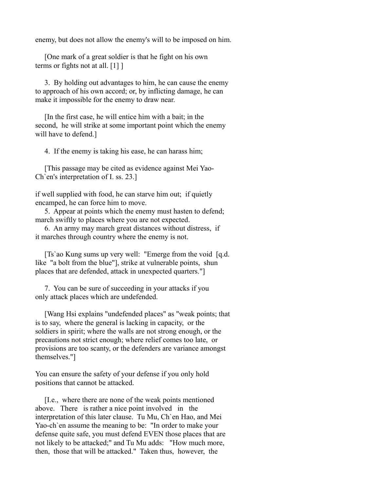enemy, but does not allow the enemy's will to be imposed on him.

 [One mark of a great soldier is that he fight on his own terms or fights not at all. [1] ]

 3. By holding out advantages to him, he can cause the enemy to approach of his own accord; or, by inflicting damage, he can make it impossible for the enemy to draw near.

 [In the first case, he will entice him with a bait; in the second, he will strike at some important point which the enemy will have to defend.]

4. If the enemy is taking his ease, he can harass him;

 [This passage may be cited as evidence against Mei Yao-Ch`en's interpretation of I. ss. 23.]

if well supplied with food, he can starve him out; if quietly encamped, he can force him to move.

 5. Appear at points which the enemy must hasten to defend; march swiftly to places where you are not expected.

 6. An army may march great distances without distress, if it marches through country where the enemy is not.

 [Ts`ao Kung sums up very well: "Emerge from the void [q.d. like "a bolt from the blue"], strike at vulnerable points, shun places that are defended, attack in unexpected quarters."]

 7. You can be sure of succeeding in your attacks if you only attack places which are undefended.

 [Wang Hsi explains "undefended places" as "weak points; that is to say, where the general is lacking in capacity, or the soldiers in spirit; where the walls are not strong enough, or the precautions not strict enough; where relief comes too late, or provisions are too scanty, or the defenders are variance amongst themselves."]

You can ensure the safety of your defense if you only hold positions that cannot be attacked.

 [I.e., where there are none of the weak points mentioned above. There is rather a nice point involved in the interpretation of this later clause. Tu Mu, Ch`en Hao, and Mei Yao-ch`en assume the meaning to be: "In order to make your defense quite safe, you must defend EVEN those places that are not likely to be attacked;" and Tu Mu adds: "How much more, then, those that will be attacked." Taken thus, however, the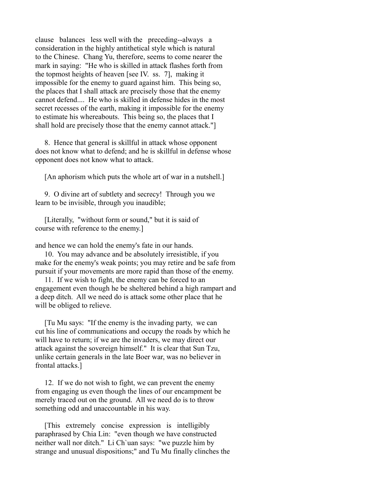clause balances less well with the preceding--always a consideration in the highly antithetical style which is natural to the Chinese. Chang Yu, therefore, seems to come nearer the mark in saying: "He who is skilled in attack flashes forth from the topmost heights of heaven [see IV. ss. 7], making it impossible for the enemy to guard against him. This being so, the places that I shall attack are precisely those that the enemy cannot defend.... He who is skilled in defense hides in the most secret recesses of the earth, making it impossible for the enemy to estimate his whereabouts. This being so, the places that I shall hold are precisely those that the enemy cannot attack."]

 8. Hence that general is skillful in attack whose opponent does not know what to defend; and he is skillful in defense whose opponent does not know what to attack.

[An aphorism which puts the whole art of war in a nutshell.]

 9. O divine art of subtlety and secrecy! Through you we learn to be invisible, through you inaudible;

 [Literally, "without form or sound," but it is said of course with reference to the enemy.]

and hence we can hold the enemy's fate in our hands.

 10. You may advance and be absolutely irresistible, if you make for the enemy's weak points; you may retire and be safe from pursuit if your movements are more rapid than those of the enemy.

 11. If we wish to fight, the enemy can be forced to an engagement even though he be sheltered behind a high rampart and a deep ditch. All we need do is attack some other place that he will be obliged to relieve.

 [Tu Mu says: "If the enemy is the invading party, we can cut his line of communications and occupy the roads by which he will have to return; if we are the invaders, we may direct our attack against the sovereign himself." It is clear that Sun Tzu, unlike certain generals in the late Boer war, was no believer in frontal attacks.]

 12. If we do not wish to fight, we can prevent the enemy from engaging us even though the lines of our encampment be merely traced out on the ground. All we need do is to throw something odd and unaccountable in his way.

 [This extremely concise expression is intelligibly paraphrased by Chia Lin: "even though we have constructed neither wall nor ditch." Li Ch`uan says: "we puzzle him by strange and unusual dispositions;" and Tu Mu finally clinches the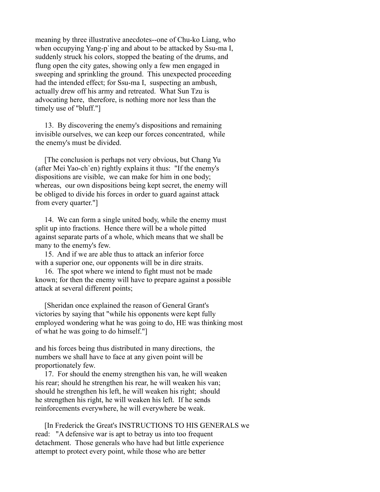meaning by three illustrative anecdotes--one of Chu-ko Liang, who when occupying Yang-p`ing and about to be attacked by Ssu-ma I, suddenly struck his colors, stopped the beating of the drums, and flung open the city gates, showing only a few men engaged in sweeping and sprinkling the ground. This unexpected proceeding had the intended effect; for Ssu-ma I, suspecting an ambush, actually drew off his army and retreated. What Sun Tzu is advocating here, therefore, is nothing more nor less than the timely use of "bluff."]

 13. By discovering the enemy's dispositions and remaining invisible ourselves, we can keep our forces concentrated, while the enemy's must be divided.

 [The conclusion is perhaps not very obvious, but Chang Yu (after Mei Yao-ch`en) rightly explains it thus: "If the enemy's dispositions are visible, we can make for him in one body; whereas, our own dispositions being kept secret, the enemy will be obliged to divide his forces in order to guard against attack from every quarter."]

 14. We can form a single united body, while the enemy must split up into fractions. Hence there will be a whole pitted against separate parts of a whole, which means that we shall be many to the enemy's few.

 15. And if we are able thus to attack an inferior force with a superior one, our opponents will be in dire straits.

 16. The spot where we intend to fight must not be made known; for then the enemy will have to prepare against a possible attack at several different points;

 [Sheridan once explained the reason of General Grant's victories by saying that "while his opponents were kept fully employed wondering what he was going to do, HE was thinking most of what he was going to do himself."]

and his forces being thus distributed in many directions, the numbers we shall have to face at any given point will be proportionately few.

 17. For should the enemy strengthen his van, he will weaken his rear; should he strengthen his rear, he will weaken his van; should he strengthen his left, he will weaken his right; should he strengthen his right, he will weaken his left. If he sends reinforcements everywhere, he will everywhere be weak.

 [In Frederick the Great's INSTRUCTIONS TO HIS GENERALS we read: "A defensive war is apt to betray us into too frequent detachment. Those generals who have had but little experience attempt to protect every point, while those who are better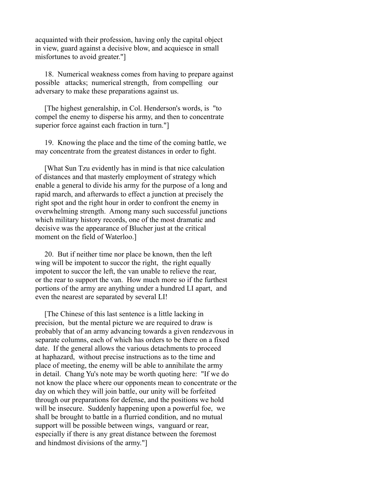acquainted with their profession, having only the capital object in view, guard against a decisive blow, and acquiesce in small misfortunes to avoid greater."]

 18. Numerical weakness comes from having to prepare against possible attacks; numerical strength, from compelling our adversary to make these preparations against us.

 [The highest generalship, in Col. Henderson's words, is "to compel the enemy to disperse his army, and then to concentrate superior force against each fraction in turn."]

 19. Knowing the place and the time of the coming battle, we may concentrate from the greatest distances in order to fight.

 [What Sun Tzu evidently has in mind is that nice calculation of distances and that masterly employment of strategy which enable a general to divide his army for the purpose of a long and rapid march, and afterwards to effect a junction at precisely the right spot and the right hour in order to confront the enemy in overwhelming strength. Among many such successful junctions which military history records, one of the most dramatic and decisive was the appearance of Blucher just at the critical moment on the field of Waterloo.]

 20. But if neither time nor place be known, then the left wing will be impotent to succor the right, the right equally impotent to succor the left, the van unable to relieve the rear, or the rear to support the van. How much more so if the furthest portions of the army are anything under a hundred LI apart, and even the nearest are separated by several LI!

 [The Chinese of this last sentence is a little lacking in precision, but the mental picture we are required to draw is probably that of an army advancing towards a given rendezvous in separate columns, each of which has orders to be there on a fixed date. If the general allows the various detachments to proceed at haphazard, without precise instructions as to the time and place of meeting, the enemy will be able to annihilate the army in detail. Chang Yu's note may be worth quoting here: "If we do not know the place where our opponents mean to concentrate or the day on which they will join battle, our unity will be forfeited through our preparations for defense, and the positions we hold will be insecure. Suddenly happening upon a powerful foe, we shall be brought to battle in a flurried condition, and no mutual support will be possible between wings, vanguard or rear, especially if there is any great distance between the foremost and hindmost divisions of the army."]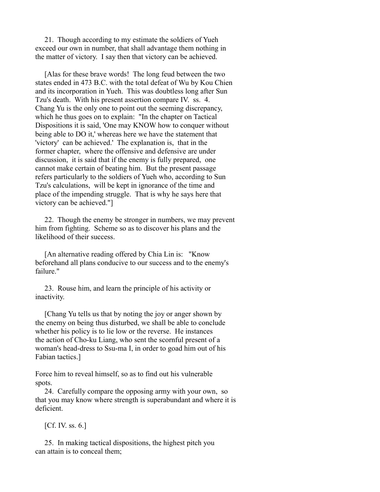21. Though according to my estimate the soldiers of Yueh exceed our own in number, that shall advantage them nothing in the matter of victory. I say then that victory can be achieved.

 [Alas for these brave words! The long feud between the two states ended in 473 B.C. with the total defeat of Wu by Kou Chien and its incorporation in Yueh. This was doubtless long after Sun Tzu's death. With his present assertion compare IV. ss. 4. Chang Yu is the only one to point out the seeming discrepancy, which he thus goes on to explain: "In the chapter on Tactical Dispositions it is said, 'One may KNOW how to conquer without being able to DO it,' whereas here we have the statement that 'victory' can be achieved.' The explanation is, that in the former chapter, where the offensive and defensive are under discussion, it is said that if the enemy is fully prepared, one cannot make certain of beating him. But the present passage refers particularly to the soldiers of Yueh who, according to Sun Tzu's calculations, will be kept in ignorance of the time and place of the impending struggle. That is why he says here that victory can be achieved."]

 22. Though the enemy be stronger in numbers, we may prevent him from fighting. Scheme so as to discover his plans and the likelihood of their success.

 [An alternative reading offered by Chia Lin is: "Know beforehand all plans conducive to our success and to the enemy's failure."

 23. Rouse him, and learn the principle of his activity or inactivity.

 [Chang Yu tells us that by noting the joy or anger shown by the enemy on being thus disturbed, we shall be able to conclude whether his policy is to lie low or the reverse. He instances the action of Cho-ku Liang, who sent the scornful present of a woman's head-dress to Ssu-ma I, in order to goad him out of his Fabian tactics.]

Force him to reveal himself, so as to find out his vulnerable spots.

 24. Carefully compare the opposing army with your own, so that you may know where strength is superabundant and where it is deficient.

 $[Cf. IV. s s. 6.]$ 

 25. In making tactical dispositions, the highest pitch you can attain is to conceal them;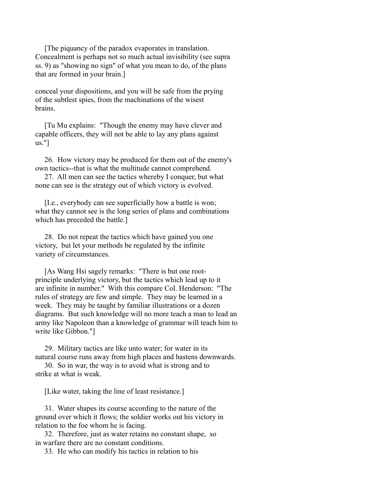[The piquancy of the paradox evaporates in translation. Concealment is perhaps not so much actual invisibility (see supra ss. 9) as "showing no sign" of what you mean to do, of the plans that are formed in your brain.]

conceal your dispositions, and you will be safe from the prying of the subtlest spies, from the machinations of the wisest brains.

 [Tu Mu explains: "Though the enemy may have clever and capable officers, they will not be able to lay any plans against us."]

 26. How victory may be produced for them out of the enemy's own tactics--that is what the multitude cannot comprehend.

 27. All men can see the tactics whereby I conquer, but what none can see is the strategy out of which victory is evolved.

 [I.e., everybody can see superficially how a battle is won; what they cannot see is the long series of plans and combinations which has preceded the battle.]

 28. Do not repeat the tactics which have gained you one victory, but let your methods be regulated by the infinite variety of circumstances.

 [As Wang Hsi sagely remarks: "There is but one rootprinciple underlying victory, but the tactics which lead up to it are infinite in number." With this compare Col. Henderson: "The rules of strategy are few and simple. They may be learned in a week. They may be taught by familiar illustrations or a dozen diagrams. But such knowledge will no more teach a man to lead an army like Napoleon than a knowledge of grammar will teach him to write like Gibbon."]

 29. Military tactics are like unto water; for water in its natural course runs away from high places and hastens downwards.

 30. So in war, the way is to avoid what is strong and to strike at what is weak.

[Like water, taking the line of least resistance.]

 31. Water shapes its course according to the nature of the ground over which it flows; the soldier works out his victory in relation to the foe whom he is facing.

 32. Therefore, just as water retains no constant shape, so in warfare there are no constant conditions.

33. He who can modify his tactics in relation to his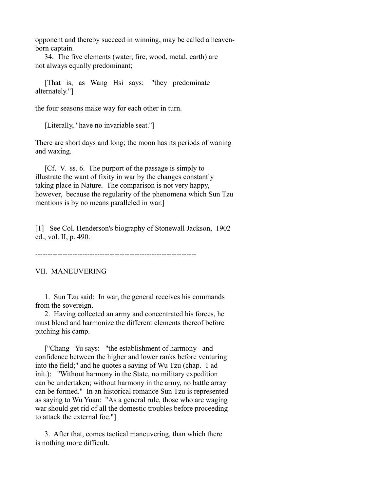opponent and thereby succeed in winning, may be called a heavenborn captain.

 34. The five elements (water, fire, wood, metal, earth) are not always equally predominant;

 [That is, as Wang Hsi says: "they predominate alternately."]

the four seasons make way for each other in turn.

[Literally, "have no invariable seat."]

There are short days and long; the moon has its periods of waning and waxing.

 [Cf. V. ss. 6. The purport of the passage is simply to illustrate the want of fixity in war by the changes constantly taking place in Nature. The comparison is not very happy, however, because the regularity of the phenomena which Sun Tzu mentions is by no means paralleled in war.]

[1] See Col. Henderson's biography of Stonewall Jackson, 1902 ed., vol. II, p. 490.

-----------------------------------------------------------------

VII. MANEUVERING

 1. Sun Tzu said: In war, the general receives his commands from the sovereign.

 2. Having collected an army and concentrated his forces, he must blend and harmonize the different elements thereof before pitching his camp.

["Chang Yu says: "the establishment of harmony and confidence between the higher and lower ranks before venturing into the field;" and he quotes a saying of Wu Tzu (chap. 1 ad init.): "Without harmony in the State, no military expedition can be undertaken; without harmony in the army, no battle array can be formed." In an historical romance Sun Tzu is represented as saying to Wu Yuan: "As a general rule, those who are waging war should get rid of all the domestic troubles before proceeding to attack the external foe."]

 3. After that, comes tactical maneuvering, than which there is nothing more difficult.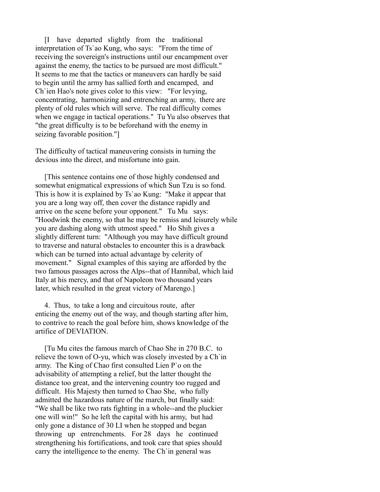[I have departed slightly from the traditional interpretation of Ts`ao Kung, who says: "From the time of receiving the sovereign's instructions until our encampment over against the enemy, the tactics to be pursued are most difficult." It seems to me that the tactics or maneuvers can hardly be said to begin until the army has sallied forth and encamped, and Ch`ien Hao's note gives color to this view: "For levying, concentrating, harmonizing and entrenching an army, there are plenty of old rules which will serve. The real difficulty comes when we engage in tactical operations." Tu Yu also observes that "the great difficulty is to be beforehand with the enemy in seizing favorable position."]

The difficulty of tactical maneuvering consists in turning the devious into the direct, and misfortune into gain.

 [This sentence contains one of those highly condensed and somewhat enigmatical expressions of which Sun Tzu is so fond. This is how it is explained by Ts`ao Kung: "Make it appear that you are a long way off, then cover the distance rapidly and arrive on the scene before your opponent." Tu Mu says: "Hoodwink the enemy, so that he may be remiss and leisurely while you are dashing along with utmost speed." Ho Shih gives a slightly different turn: "Although you may have difficult ground to traverse and natural obstacles to encounter this is a drawback which can be turned into actual advantage by celerity of movement." Signal examples of this saying are afforded by the two famous passages across the Alps--that of Hannibal, which laid Italy at his mercy, and that of Napoleon two thousand years later, which resulted in the great victory of Marengo.]

 4. Thus, to take a long and circuitous route, after enticing the enemy out of the way, and though starting after him, to contrive to reach the goal before him, shows knowledge of the artifice of DEVIATION.

 [Tu Mu cites the famous march of Chao She in 270 B.C. to relieve the town of O-yu, which was closely invested by a Ch`in army. The King of Chao first consulted Lien P`o on the advisability of attempting a relief, but the latter thought the distance too great, and the intervening country too rugged and difficult. His Majesty then turned to Chao She, who fully admitted the hazardous nature of the march, but finally said: "We shall be like two rats fighting in a whole--and the pluckier one will win!" So he left the capital with his army, but had only gone a distance of 30 LI when he stopped and began throwing up entrenchments. For 28 days he continued strengthening his fortifications, and took care that spies should carry the intelligence to the enemy. The Ch`in general was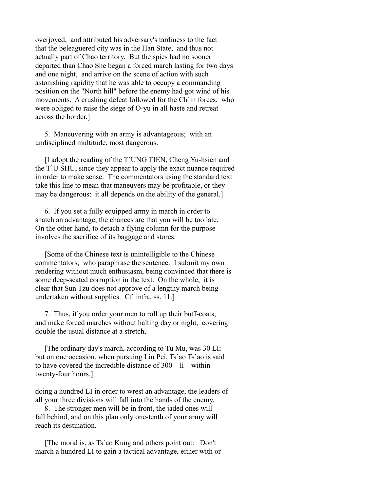overjoyed, and attributed his adversary's tardiness to the fact that the beleaguered city was in the Han State, and thus not actually part of Chao territory. But the spies had no sooner departed than Chao She began a forced march lasting for two days and one night, and arrive on the scene of action with such astonishing rapidity that he was able to occupy a commanding position on the "North hill" before the enemy had got wind of his movements. A crushing defeat followed for the Ch'in forces, who were obliged to raise the siege of O-yu in all haste and retreat across the border.]

 5. Maneuvering with an army is advantageous; with an undisciplined multitude, most dangerous.

 [I adopt the reading of the T`UNG TIEN, Cheng Yu-hsien and the T`U SHU, since they appear to apply the exact nuance required in order to make sense. The commentators using the standard text take this line to mean that maneuvers may be profitable, or they may be dangerous: it all depends on the ability of the general.]

 6. If you set a fully equipped army in march in order to snatch an advantage, the chances are that you will be too late. On the other hand, to detach a flying column for the purpose involves the sacrifice of its baggage and stores.

 [Some of the Chinese text is unintelligible to the Chinese commentators, who paraphrase the sentence. I submit my own rendering without much enthusiasm, being convinced that there is some deep-seated corruption in the text. On the whole, it is clear that Sun Tzu does not approve of a lengthy march being undertaken without supplies. Cf. infra, ss. 11.]

 7. Thus, if you order your men to roll up their buff-coats, and make forced marches without halting day or night, covering double the usual distance at a stretch,

 [The ordinary day's march, according to Tu Mu, was 30 LI; but on one occasion, when pursuing Liu Pei, Ts`ao Ts`ao is said to have covered the incredible distance of 300  $\;$  li within twenty-four hours.]

doing a hundred LI in order to wrest an advantage, the leaders of all your three divisions will fall into the hands of the enemy.

 8. The stronger men will be in front, the jaded ones will fall behind, and on this plan only one-tenth of your army will reach its destination.

 [The moral is, as Ts`ao Kung and others point out: Don't march a hundred LI to gain a tactical advantage, either with or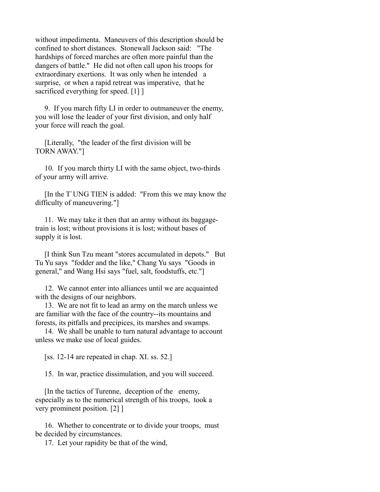without impedimenta. Maneuvers of this description should be confined to short distances. Stonewall Jackson said: "The hardships of forced marches are often more painful than the dangers of battle." He did not often call upon his troops for extraordinary exertions. It was only when he intended a surprise, or when a rapid retreat was imperative, that he sacrificed everything for speed. [1] ]

 9. If you march fifty LI in order to outmaneuver the enemy, you will lose the leader of your first division, and only half your force will reach the goal.

 [Literally, "the leader of the first division will be TORN AWAY."]

 10. If you march thirty LI with the same object, two-thirds of your army will arrive.

 [In the T`UNG TIEN is added: "From this we may know the difficulty of maneuvering."]

 11. We may take it then that an army without its baggagetrain is lost; without provisions it is lost; without bases of supply it is lost.

 [I think Sun Tzu meant "stores accumulated in depots." But Tu Yu says "fodder and the like," Chang Yu says "Goods in general," and Wang Hsi says "fuel, salt, foodstuffs, etc."]

 12. We cannot enter into alliances until we are acquainted with the designs of our neighbors.

 13. We are not fit to lead an army on the march unless we are familiar with the face of the country--its mountains and forests, its pitfalls and precipices, its marshes and swamps.

 14. We shall be unable to turn natural advantage to account unless we make use of local guides.

[ss. 12-14 are repeated in chap. XI. ss. 52.]

15. In war, practice dissimulation, and you will succeed.

 [In the tactics of Turenne, deception of the enemy, especially as to the numerical strength of his troops, took a very prominent position. [2] ]

 16. Whether to concentrate or to divide your troops, must be decided by circumstances.

17. Let your rapidity be that of the wind,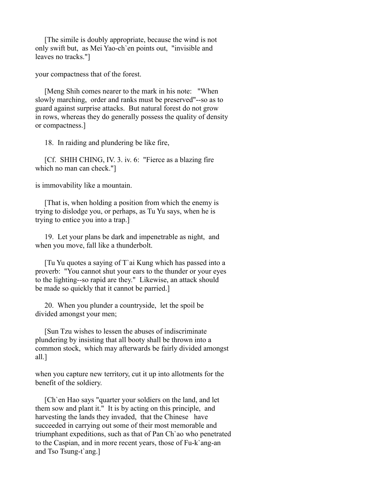[The simile is doubly appropriate, because the wind is not only swift but, as Mei Yao-ch`en points out, "invisible and leaves no tracks."]

your compactness that of the forest.

 [Meng Shih comes nearer to the mark in his note: "When slowly marching, order and ranks must be preserved"--so as to guard against surprise attacks. But natural forest do not grow in rows, whereas they do generally possess the quality of density or compactness.]

18. In raiding and plundering be like fire,

 [Cf. SHIH CHING, IV. 3. iv. 6: "Fierce as a blazing fire which no man can check."]

is immovability like a mountain.

 [That is, when holding a position from which the enemy is trying to dislodge you, or perhaps, as Tu Yu says, when he is trying to entice you into a trap.]

 19. Let your plans be dark and impenetrable as night, and when you move, fall like a thunderbolt.

 [Tu Yu quotes a saying of T`ai Kung which has passed into a proverb: "You cannot shut your ears to the thunder or your eyes to the lighting--so rapid are they." Likewise, an attack should be made so quickly that it cannot be parried.]

 20. When you plunder a countryside, let the spoil be divided amongst your men;

 [Sun Tzu wishes to lessen the abuses of indiscriminate plundering by insisting that all booty shall be thrown into a common stock, which may afterwards be fairly divided amongst all.]

when you capture new territory, cut it up into allotments for the benefit of the soldiery.

 [Ch`en Hao says "quarter your soldiers on the land, and let them sow and plant it." It is by acting on this principle, and harvesting the lands they invaded, that the Chinese have succeeded in carrying out some of their most memorable and triumphant expeditions, such as that of Pan Ch`ao who penetrated to the Caspian, and in more recent years, those of Fu-k`ang-an and Tso Tsung-t`ang.]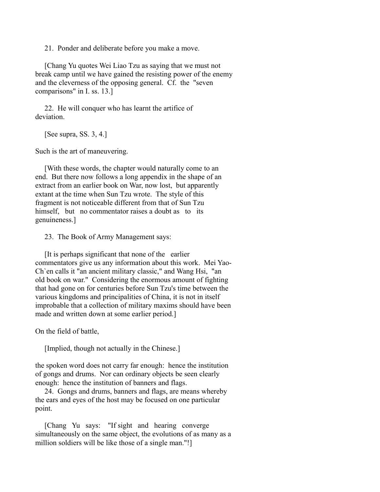21. Ponder and deliberate before you make a move.

 [Chang Yu quotes Wei Liao Tzu as saying that we must not break camp until we have gained the resisting power of the enemy and the cleverness of the opposing general. Cf. the "seven comparisons" in I. ss. 13.]

 22. He will conquer who has learnt the artifice of deviation.

[See supra, SS. 3, 4.]

Such is the art of maneuvering.

 [With these words, the chapter would naturally come to an end. But there now follows a long appendix in the shape of an extract from an earlier book on War, now lost, but apparently extant at the time when Sun Tzu wrote. The style of this fragment is not noticeable different from that of Sun Tzu himself, but no commentator raises a doubt as to its genuineness.]

23. The Book of Army Management says:

 [It is perhaps significant that none of the earlier commentators give us any information about this work. Mei Yao-Ch`en calls it "an ancient military classic," and Wang Hsi, "an old book on war." Considering the enormous amount of fighting that had gone on for centuries before Sun Tzu's time between the various kingdoms and principalities of China, it is not in itself improbable that a collection of military maxims should have been made and written down at some earlier period.]

On the field of battle,

[Implied, though not actually in the Chinese.]

the spoken word does not carry far enough: hence the institution of gongs and drums. Nor can ordinary objects be seen clearly enough: hence the institution of banners and flags.

 24. Gongs and drums, banners and flags, are means whereby the ears and eyes of the host may be focused on one particular point.

 [Chang Yu says: "If sight and hearing converge simultaneously on the same object, the evolutions of as many as a million soldiers will be like those of a single man."!]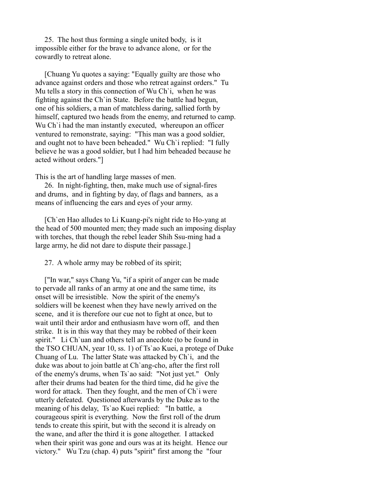25. The host thus forming a single united body, is it impossible either for the brave to advance alone, or for the cowardly to retreat alone.

 [Chuang Yu quotes a saying: "Equally guilty are those who advance against orders and those who retreat against orders." Tu Mu tells a story in this connection of Wu Ch`i, when he was fighting against the Ch`in State. Before the battle had begun, one of his soldiers, a man of matchless daring, sallied forth by himself, captured two heads from the enemy, and returned to camp. Wu Ch' i had the man instantly executed, whereupon an officer ventured to remonstrate, saying: "This man was a good soldier, and ought not to have been beheaded." Wu Ch`i replied: "I fully believe he was a good soldier, but I had him beheaded because he acted without orders."]

This is the art of handling large masses of men.

 26. In night-fighting, then, make much use of signal-fires and drums, and in fighting by day, of flags and banners, as a means of influencing the ears and eyes of your army.

 [Ch`en Hao alludes to Li Kuang-pi's night ride to Ho-yang at the head of 500 mounted men; they made such an imposing display with torches, that though the rebel leader Shih Ssu-ming had a large army, he did not dare to dispute their passage.]

27. A whole army may be robbed of its spirit;

 ["In war," says Chang Yu, "if a spirit of anger can be made to pervade all ranks of an army at one and the same time, its onset will be irresistible. Now the spirit of the enemy's soldiers will be keenest when they have newly arrived on the scene, and it is therefore our cue not to fight at once, but to wait until their ardor and enthusiasm have worn off, and then strike. It is in this way that they may be robbed of their keen spirit." Li Ch'uan and others tell an anecdote (to be found in the TSO CHUAN, year 10, ss. 1) of Ts`ao Kuei, a protege of Duke Chuang of Lu. The latter State was attacked by Ch`i, and the duke was about to join battle at Ch`ang-cho, after the first roll of the enemy's drums, when Ts`ao said: "Not just yet." Only after their drums had beaten for the third time, did he give the word for attack. Then they fought, and the men of Ch`i were utterly defeated. Questioned afterwards by the Duke as to the meaning of his delay, Ts`ao Kuei replied: "In battle, a courageous spirit is everything. Now the first roll of the drum tends to create this spirit, but with the second it is already on the wane, and after the third it is gone altogether. I attacked when their spirit was gone and ours was at its height. Hence our victory." Wu Tzu (chap. 4) puts "spirit" first among the "four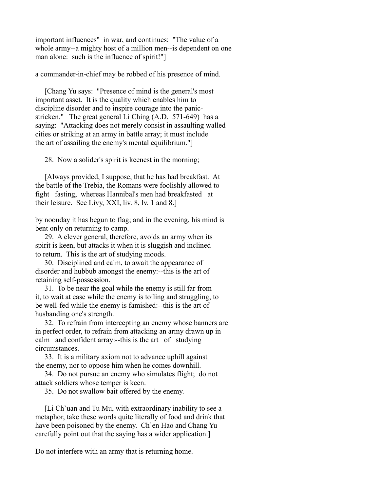important influences" in war, and continues: "The value of a whole army--a mighty host of a million men--is dependent on one man alone: such is the influence of spirit!"]

a commander-in-chief may be robbed of his presence of mind.

 [Chang Yu says: "Presence of mind is the general's most important asset. It is the quality which enables him to discipline disorder and to inspire courage into the panicstricken." The great general Li Ching (A.D. 571-649) has a saying: "Attacking does not merely consist in assaulting walled cities or striking at an army in battle array; it must include the art of assailing the enemy's mental equilibrium."]

28. Now a solider's spirit is keenest in the morning;

 [Always provided, I suppose, that he has had breakfast. At the battle of the Trebia, the Romans were foolishly allowed to fight fasting, whereas Hannibal's men had breakfasted at their leisure. See Livy, XXI, liv. 8, lv. 1 and 8.]

by noonday it has begun to flag; and in the evening, his mind is bent only on returning to camp.

 29. A clever general, therefore, avoids an army when its spirit is keen, but attacks it when it is sluggish and inclined to return. This is the art of studying moods.

 30. Disciplined and calm, to await the appearance of disorder and hubbub amongst the enemy:--this is the art of retaining self-possession.

 31. To be near the goal while the enemy is still far from it, to wait at ease while the enemy is toiling and struggling, to be well-fed while the enemy is famished:--this is the art of husbanding one's strength.

 32. To refrain from intercepting an enemy whose banners are in perfect order, to refrain from attacking an army drawn up in calm and confident array:--this is the art of studying circumstances.

 33. It is a military axiom not to advance uphill against the enemy, nor to oppose him when he comes downhill.

 34. Do not pursue an enemy who simulates flight; do not attack soldiers whose temper is keen.

35. Do not swallow bait offered by the enemy.

 [Li Ch`uan and Tu Mu, with extraordinary inability to see a metaphor, take these words quite literally of food and drink that have been poisoned by the enemy. Ch`en Hao and Chang Yu carefully point out that the saying has a wider application.]

Do not interfere with an army that is returning home.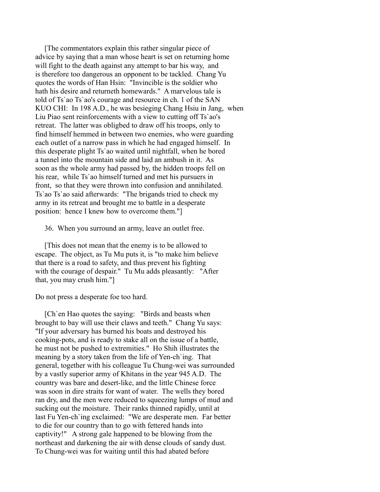[The commentators explain this rather singular piece of advice by saying that a man whose heart is set on returning home will fight to the death against any attempt to bar his way, and is therefore too dangerous an opponent to be tackled. Chang Yu quotes the words of Han Hsin: "Invincible is the soldier who hath his desire and returneth homewards." A marvelous tale is told of Ts`ao Ts`ao's courage and resource in ch. 1 of the SAN KUO CHI: In 198 A.D., he was besieging Chang Hsiu in Jang, when Liu Piao sent reinforcements with a view to cutting off Ts`ao's retreat. The latter was obligbed to draw off his troops, only to find himself hemmed in between two enemies, who were guarding each outlet of a narrow pass in which he had engaged himself. In this desperate plight Ts`ao waited until nightfall, when he bored a tunnel into the mountain side and laid an ambush in it. As soon as the whole army had passed by, the hidden troops fell on his rear, while Ts`ao himself turned and met his pursuers in front, so that they were thrown into confusion and annihilated. Ts`ao Ts`ao said afterwards: "The brigands tried to check my army in its retreat and brought me to battle in a desperate position: hence I knew how to overcome them."]

36. When you surround an army, leave an outlet free.

 [This does not mean that the enemy is to be allowed to escape. The object, as Tu Mu puts it, is "to make him believe that there is a road to safety, and thus prevent his fighting with the courage of despair." Tu Mu adds pleasantly: "After that, you may crush him."]

Do not press a desperate foe too hard.

 [Ch`en Hao quotes the saying: "Birds and beasts when brought to bay will use their claws and teeth." Chang Yu says: "If your adversary has burned his boats and destroyed his cooking-pots, and is ready to stake all on the issue of a battle, he must not be pushed to extremities." Ho Shih illustrates the meaning by a story taken from the life of Yen-ch`ing. That general, together with his colleague Tu Chung-wei was surrounded by a vastly superior army of Khitans in the year 945 A.D. The country was bare and desert-like, and the little Chinese force was soon in dire straits for want of water. The wells they bored ran dry, and the men were reduced to squeezing lumps of mud and sucking out the moisture. Their ranks thinned rapidly, until at last Fu Yen-ch`ing exclaimed: "We are desperate men. Far better to die for our country than to go with fettered hands into captivity!" A strong gale happened to be blowing from the northeast and darkening the air with dense clouds of sandy dust. To Chung-wei was for waiting until this had abated before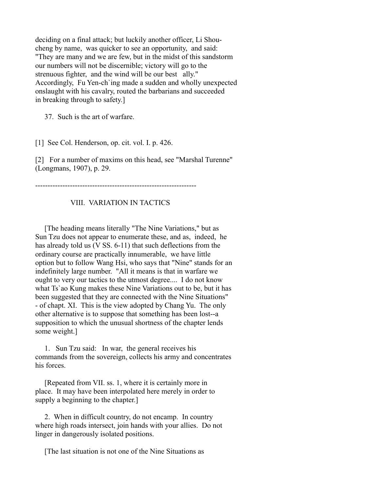deciding on a final attack; but luckily another officer, Li Shoucheng by name, was quicker to see an opportunity, and said: "They are many and we are few, but in the midst of this sandstorm our numbers will not be discernible; victory will go to the strenuous fighter, and the wind will be our best ally." Accordingly, Fu Yen-ch`ing made a sudden and wholly unexpected onslaught with his cavalry, routed the barbarians and succeeded in breaking through to safety.]

37. Such is the art of warfare.

[1] See Col. Henderson, op. cit. vol. I. p. 426.

[2] For a number of maxims on this head, see "Marshal Turenne" (Longmans, 1907), p. 29.

-----------------------------------------------------------------

## VIII. VARIATION IN TACTICS

 [The heading means literally "The Nine Variations," but as Sun Tzu does not appear to enumerate these, and as, indeed, he has already told us (V SS. 6-11) that such deflections from the ordinary course are practically innumerable, we have little option but to follow Wang Hsi, who says that "Nine" stands for an indefinitely large number. "All it means is that in warfare we ought to very our tactics to the utmost degree.... I do not know what Ts'ao Kung makes these Nine Variations out to be, but it has been suggested that they are connected with the Nine Situations" - of chapt. XI. This is the view adopted by Chang Yu. The only other alternative is to suppose that something has been lost--a supposition to which the unusual shortness of the chapter lends some weight.]

 1. Sun Tzu said: In war, the general receives his commands from the sovereign, collects his army and concentrates his forces.

 [Repeated from VII. ss. 1, where it is certainly more in place. It may have been interpolated here merely in order to supply a beginning to the chapter.]

 2. When in difficult country, do not encamp. In country where high roads intersect, join hands with your allies. Do not linger in dangerously isolated positions.

[The last situation is not one of the Nine Situations as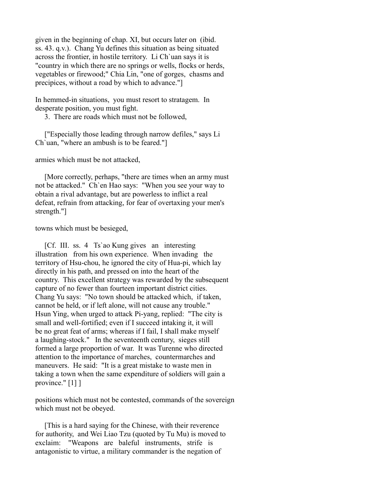given in the beginning of chap. XI, but occurs later on (ibid. ss. 43. q.v.). Chang Yu defines this situation as being situated across the frontier, in hostile territory. Li Ch`uan says it is "country in which there are no springs or wells, flocks or herds, vegetables or firewood;" Chia Lin, "one of gorges, chasms and precipices, without a road by which to advance."]

In hemmed-in situations, you must resort to stratagem. In desperate position, you must fight.

3. There are roads which must not be followed,

 ["Especially those leading through narrow defiles," says Li Ch`uan, "where an ambush is to be feared."]

armies which must be not attacked,

 [More correctly, perhaps, "there are times when an army must not be attacked." Ch`en Hao says: "When you see your way to obtain a rival advantage, but are powerless to inflict a real defeat, refrain from attacking, for fear of overtaxing your men's strength."]

towns which must be besieged,

 [Cf. III. ss. 4 Ts`ao Kung gives an interesting illustration from his own experience. When invading the territory of Hsu-chou, he ignored the city of Hua-pi, which lay directly in his path, and pressed on into the heart of the country. This excellent strategy was rewarded by the subsequent capture of no fewer than fourteen important district cities. Chang Yu says: "No town should be attacked which, if taken, cannot be held, or if left alone, will not cause any trouble." Hsun Ying, when urged to attack Pi-yang, replied: "The city is small and well-fortified; even if I succeed intaking it, it will be no great feat of arms; whereas if I fail, I shall make myself a laughing-stock." In the seventeenth century, sieges still formed a large proportion of war. It was Turenne who directed attention to the importance of marches, countermarches and maneuvers. He said: "It is a great mistake to waste men in taking a town when the same expenditure of soldiers will gain a province." [1] ]

positions which must not be contested, commands of the sovereign which must not be obeyed.

 [This is a hard saying for the Chinese, with their reverence for authority, and Wei Liao Tzu (quoted by Tu Mu) is moved to exclaim: "Weapons are baleful instruments, strife is antagonistic to virtue, a military commander is the negation of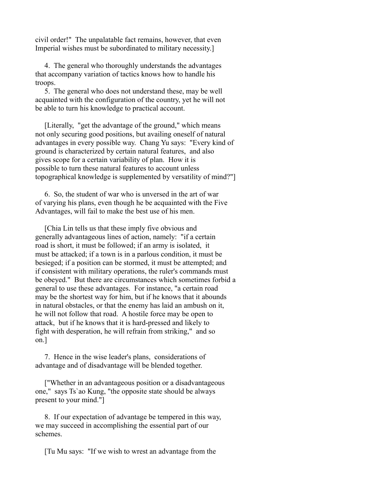civil order!" The unpalatable fact remains, however, that even Imperial wishes must be subordinated to military necessity.]

 4. The general who thoroughly understands the advantages that accompany variation of tactics knows how to handle his troops.

 5. The general who does not understand these, may be well acquainted with the configuration of the country, yet he will not be able to turn his knowledge to practical account.

 [Literally, "get the advantage of the ground," which means not only securing good positions, but availing oneself of natural advantages in every possible way. Chang Yu says: "Every kind of ground is characterized by certain natural features, and also gives scope for a certain variability of plan. How it is possible to turn these natural features to account unless topographical knowledge is supplemented by versatility of mind?"]

 6. So, the student of war who is unversed in the art of war of varying his plans, even though he be acquainted with the Five Advantages, will fail to make the best use of his men.

 [Chia Lin tells us that these imply five obvious and generally advantageous lines of action, namely: "if a certain road is short, it must be followed; if an army is isolated, it must be attacked; if a town is in a parlous condition, it must be besieged; if a position can be stormed, it must be attempted; and if consistent with military operations, the ruler's commands must be obeyed." But there are circumstances which sometimes forbid a general to use these advantages. For instance, "a certain road may be the shortest way for him, but if he knows that it abounds in natural obstacles, or that the enemy has laid an ambush on it, he will not follow that road. A hostile force may be open to attack, but if he knows that it is hard-pressed and likely to fight with desperation, he will refrain from striking," and so on.]

 7. Hence in the wise leader's plans, considerations of advantage and of disadvantage will be blended together.

 ["Whether in an advantageous position or a disadvantageous one," says Ts`ao Kung, "the opposite state should be always present to your mind."]

 8. If our expectation of advantage be tempered in this way, we may succeed in accomplishing the essential part of our schemes.

[Tu Mu says: "If we wish to wrest an advantage from the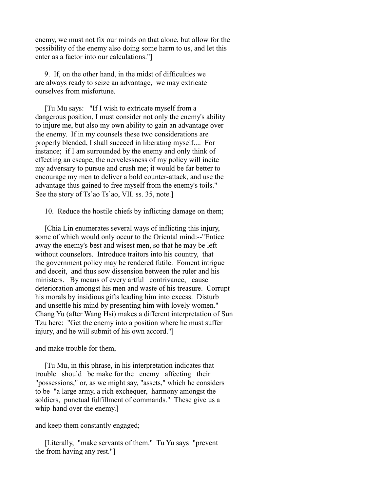enemy, we must not fix our minds on that alone, but allow for the possibility of the enemy also doing some harm to us, and let this enter as a factor into our calculations."]

 9. If, on the other hand, in the midst of difficulties we are always ready to seize an advantage, we may extricate ourselves from misfortune.

 [Tu Mu says: "If I wish to extricate myself from a dangerous position, I must consider not only the enemy's ability to injure me, but also my own ability to gain an advantage over the enemy. If in my counsels these two considerations are properly blended, I shall succeed in liberating myself.... For instance; if I am surrounded by the enemy and only think of effecting an escape, the nervelessness of my policy will incite my adversary to pursue and crush me; it would be far better to encourage my men to deliver a bold counter-attack, and use the advantage thus gained to free myself from the enemy's toils." See the story of Ts'ao Ts'ao, VII. ss. 35, note.]

10. Reduce the hostile chiefs by inflicting damage on them;

 [Chia Lin enumerates several ways of inflicting this injury, some of which would only occur to the Oriental mind:--"Entice away the enemy's best and wisest men, so that he may be left without counselors. Introduce traitors into his country, that the government policy may be rendered futile. Foment intrigue and deceit, and thus sow dissension between the ruler and his ministers. By means of every artful contrivance, cause deterioration amongst his men and waste of his treasure. Corrupt his morals by insidious gifts leading him into excess. Disturb and unsettle his mind by presenting him with lovely women." Chang Yu (after Wang Hsi) makes a different interpretation of Sun Tzu here: "Get the enemy into a position where he must suffer injury, and he will submit of his own accord."]

and make trouble for them,

 [Tu Mu, in this phrase, in his interpretation indicates that trouble should be make for the enemy affecting their "possessions," or, as we might say, "assets," which he considers to be "a large army, a rich exchequer, harmony amongst the soldiers, punctual fulfillment of commands." These give us a whip-hand over the enemy.]

and keep them constantly engaged;

 [Literally, "make servants of them." Tu Yu says "prevent the from having any rest."]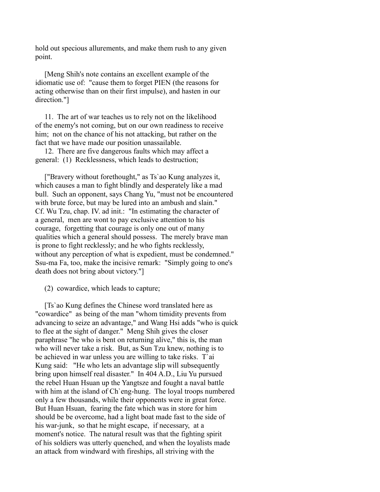hold out specious allurements, and make them rush to any given point.

 [Meng Shih's note contains an excellent example of the idiomatic use of: "cause them to forget PIEN (the reasons for acting otherwise than on their first impulse), and hasten in our direction."]

 11. The art of war teaches us to rely not on the likelihood of the enemy's not coming, but on our own readiness to receive him; not on the chance of his not attacking, but rather on the fact that we have made our position unassailable.

 12. There are five dangerous faults which may affect a general: (1) Recklessness, which leads to destruction;

 ["Bravery without forethought," as Ts`ao Kung analyzes it, which causes a man to fight blindly and desperately like a mad bull. Such an opponent, says Chang Yu, "must not be encountered with brute force, but may be lured into an ambush and slain." Cf. Wu Tzu, chap. IV. ad init.: "In estimating the character of a general, men are wont to pay exclusive attention to his courage, forgetting that courage is only one out of many qualities which a general should possess. The merely brave man is prone to fight recklessly; and he who fights recklessly, without any perception of what is expedient, must be condemned." Ssu-ma Fa, too, make the incisive remark: "Simply going to one's death does not bring about victory."]

(2) cowardice, which leads to capture;

 [Ts`ao Kung defines the Chinese word translated here as "cowardice" as being of the man "whom timidity prevents from advancing to seize an advantage," and Wang Hsi adds "who is quick to flee at the sight of danger." Meng Shih gives the closer paraphrase "he who is bent on returning alive," this is, the man who will never take a risk. But, as Sun Tzu knew, nothing is to be achieved in war unless you are willing to take risks. T`ai Kung said: "He who lets an advantage slip will subsequently bring upon himself real disaster." In 404 A.D., Liu Yu pursued the rebel Huan Hsuan up the Yangtsze and fought a naval battle with him at the island of Ch'eng-hung. The loyal troops numbered only a few thousands, while their opponents were in great force. But Huan Hsuan, fearing the fate which was in store for him should be be overcome, had a light boat made fast to the side of his war-junk, so that he might escape, if necessary, at a moment's notice. The natural result was that the fighting spirit of his soldiers was utterly quenched, and when the loyalists made an attack from windward with fireships, all striving with the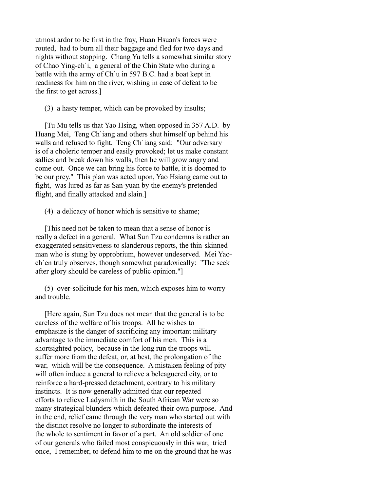utmost ardor to be first in the fray, Huan Hsuan's forces were routed, had to burn all their baggage and fled for two days and nights without stopping. Chang Yu tells a somewhat similar story of Chao Ying-ch`i, a general of the Chin State who during a battle with the army of Ch`u in 597 B.C. had a boat kept in readiness for him on the river, wishing in case of defeat to be the first to get across.]

(3) a hasty temper, which can be provoked by insults;

 [Tu Mu tells us that Yao Hsing, when opposed in 357 A.D. by Huang Mei, Teng Ch`iang and others shut himself up behind his walls and refused to fight. Teng Ch`iang said: "Our adversary is of a choleric temper and easily provoked; let us make constant sallies and break down his walls, then he will grow angry and come out. Once we can bring his force to battle, it is doomed to be our prey." This plan was acted upon, Yao Hsiang came out to fight, was lured as far as San-yuan by the enemy's pretended flight, and finally attacked and slain.]

(4) a delicacy of honor which is sensitive to shame;

 [This need not be taken to mean that a sense of honor is really a defect in a general. What Sun Tzu condemns is rather an exaggerated sensitiveness to slanderous reports, the thin-skinned man who is stung by opprobrium, however undeserved. Mei Yaoch`en truly observes, though somewhat paradoxically: "The seek after glory should be careless of public opinion."]

 (5) over-solicitude for his men, which exposes him to worry and trouble.

 [Here again, Sun Tzu does not mean that the general is to be careless of the welfare of his troops. All he wishes to emphasize is the danger of sacrificing any important military advantage to the immediate comfort of his men. This is a shortsighted policy, because in the long run the troops will suffer more from the defeat, or, at best, the prolongation of the war, which will be the consequence. A mistaken feeling of pity will often induce a general to relieve a beleaguered city, or to reinforce a hard-pressed detachment, contrary to his military instincts. It is now generally admitted that our repeated efforts to relieve Ladysmith in the South African War were so many strategical blunders which defeated their own purpose. And in the end, relief came through the very man who started out with the distinct resolve no longer to subordinate the interests of the whole to sentiment in favor of a part. An old soldier of one of our generals who failed most conspicuously in this war, tried once, I remember, to defend him to me on the ground that he was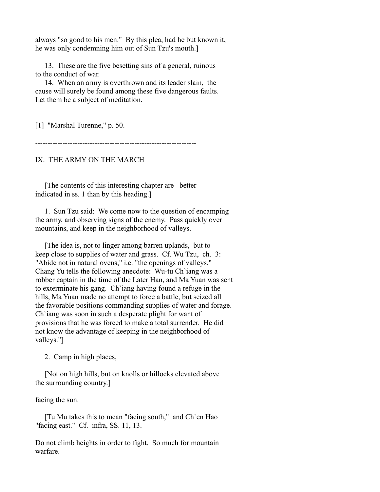always "so good to his men." By this plea, had he but known it, he was only condemning him out of Sun Tzu's mouth.]

 13. These are the five besetting sins of a general, ruinous to the conduct of war.

 14. When an army is overthrown and its leader slain, the cause will surely be found among these five dangerous faults. Let them be a subject of meditation.

[1] "Marshal Turenne," p. 50.

-----------------------------------------------------------------

IX. THE ARMY ON THE MARCH

 [The contents of this interesting chapter are better indicated in ss. 1 than by this heading.]

 1. Sun Tzu said: We come now to the question of encamping the army, and observing signs of the enemy. Pass quickly over mountains, and keep in the neighborhood of valleys.

 [The idea is, not to linger among barren uplands, but to keep close to supplies of water and grass. Cf. Wu Tzu, ch. 3: "Abide not in natural ovens," i.e. "the openings of valleys." Chang Yu tells the following anecdote: Wu-tu Ch`iang was a robber captain in the time of the Later Han, and Ma Yuan was sent to exterminate his gang. Ch`iang having found a refuge in the hills, Ma Yuan made no attempt to force a battle, but seized all the favorable positions commanding supplies of water and forage. Ch`iang was soon in such a desperate plight for want of provisions that he was forced to make a total surrender. He did not know the advantage of keeping in the neighborhood of valleys."]

2. Camp in high places,

 [Not on high hills, but on knolls or hillocks elevated above the surrounding country.]

facing the sun.

 [Tu Mu takes this to mean "facing south," and Ch`en Hao "facing east." Cf. infra, SS. 11, 13.

Do not climb heights in order to fight. So much for mountain warfare.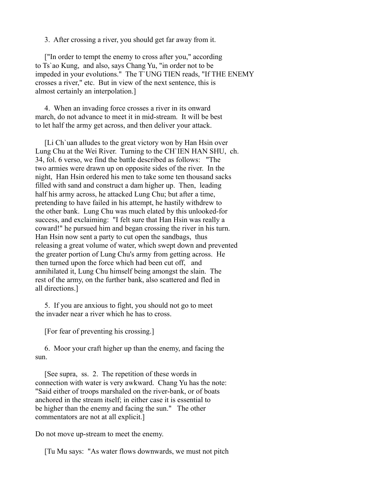3. After crossing a river, you should get far away from it.

 ["In order to tempt the enemy to cross after you," according to Ts`ao Kung, and also, says Chang Yu, "in order not to be impeded in your evolutions." The T`UNG TIEN reads, "If THE ENEMY crosses a river," etc. But in view of the next sentence, this is almost certainly an interpolation.]

 4. When an invading force crosses a river in its onward march, do not advance to meet it in mid-stream. It will be best to let half the army get across, and then deliver your attack.

 [Li Ch`uan alludes to the great victory won by Han Hsin over Lung Chu at the Wei River. Turning to the CH`IEN HAN SHU, ch. 34, fol. 6 verso, we find the battle described as follows: "The two armies were drawn up on opposite sides of the river. In the night, Han Hsin ordered his men to take some ten thousand sacks filled with sand and construct a dam higher up. Then, leading half his army across, he attacked Lung Chu; but after a time, pretending to have failed in his attempt, he hastily withdrew to the other bank. Lung Chu was much elated by this unlooked-for success, and exclaiming: "I felt sure that Han Hsin was really a coward!" he pursued him and began crossing the river in his turn. Han Hsin now sent a party to cut open the sandbags, thus releasing a great volume of water, which swept down and prevented the greater portion of Lung Chu's army from getting across. He then turned upon the force which had been cut off, and annihilated it, Lung Chu himself being amongst the slain. The rest of the army, on the further bank, also scattered and fled in all directions.]

 5. If you are anxious to fight, you should not go to meet the invader near a river which he has to cross.

[For fear of preventing his crossing.]

 6. Moor your craft higher up than the enemy, and facing the sun.

 [See supra, ss. 2. The repetition of these words in connection with water is very awkward. Chang Yu has the note: "Said either of troops marshaled on the river-bank, or of boats anchored in the stream itself; in either case it is essential to be higher than the enemy and facing the sun." The other commentators are not at all explicit.]

Do not move up-stream to meet the enemy.

[Tu Mu says: "As water flows downwards, we must not pitch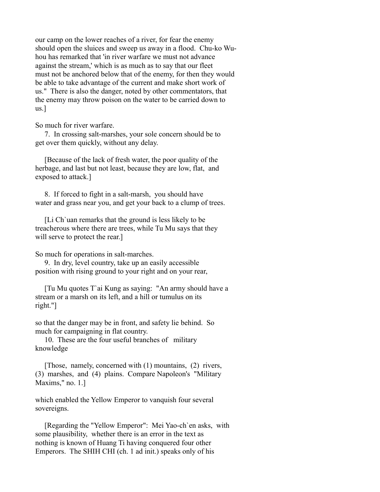our camp on the lower reaches of a river, for fear the enemy should open the sluices and sweep us away in a flood. Chu-ko Wuhou has remarked that 'in river warfare we must not advance against the stream,' which is as much as to say that our fleet must not be anchored below that of the enemy, for then they would be able to take advantage of the current and make short work of us." There is also the danger, noted by other commentators, that the enemy may throw poison on the water to be carried down to us.]

So much for river warfare.

 7. In crossing salt-marshes, your sole concern should be to get over them quickly, without any delay.

 [Because of the lack of fresh water, the poor quality of the herbage, and last but not least, because they are low, flat, and exposed to attack.]

 8. If forced to fight in a salt-marsh, you should have water and grass near you, and get your back to a clump of trees.

 [Li Ch`uan remarks that the ground is less likely to be treacherous where there are trees, while Tu Mu says that they will serve to protect the rear.

So much for operations in salt-marches.

 9. In dry, level country, take up an easily accessible position with rising ground to your right and on your rear,

 [Tu Mu quotes T`ai Kung as saying: "An army should have a stream or a marsh on its left, and a hill or tumulus on its right."]

so that the danger may be in front, and safety lie behind. So much for campaigning in flat country.

 10. These are the four useful branches of military knowledge

 [Those, namely, concerned with (1) mountains, (2) rivers, (3) marshes, and (4) plains. Compare Napoleon's "Military Maxims," no. 1.]

which enabled the Yellow Emperor to vanquish four several sovereigns.

 [Regarding the "Yellow Emperor": Mei Yao-ch`en asks, with some plausibility, whether there is an error in the text as nothing is known of Huang Ti having conquered four other Emperors. The SHIH CHI (ch. 1 ad init.) speaks only of his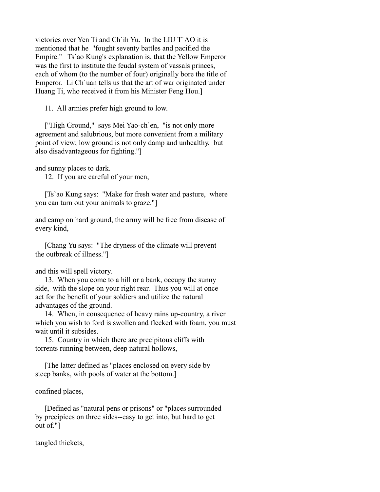victories over Yen Ti and Ch`ih Yu. In the LIU T`AO it is mentioned that he "fought seventy battles and pacified the Empire." Ts`ao Kung's explanation is, that the Yellow Emperor was the first to institute the feudal system of vassals princes, each of whom (to the number of four) originally bore the title of Emperor. Li Ch`uan tells us that the art of war originated under Huang Ti, who received it from his Minister Feng Hou.]

11. All armies prefer high ground to low.

 ["High Ground," says Mei Yao-ch`en, "is not only more agreement and salubrious, but more convenient from a military point of view; low ground is not only damp and unhealthy, but also disadvantageous for fighting."]

and sunny places to dark.

12. If you are careful of your men,

 [Ts`ao Kung says: "Make for fresh water and pasture, where you can turn out your animals to graze."]

and camp on hard ground, the army will be free from disease of every kind,

 [Chang Yu says: "The dryness of the climate will prevent the outbreak of illness."]

and this will spell victory.

 13. When you come to a hill or a bank, occupy the sunny side, with the slope on your right rear. Thus you will at once act for the benefit of your soldiers and utilize the natural advantages of the ground.

 14. When, in consequence of heavy rains up-country, a river which you wish to ford is swollen and flecked with foam, you must wait until it subsides.

 15. Country in which there are precipitous cliffs with torrents running between, deep natural hollows,

 [The latter defined as "places enclosed on every side by steep banks, with pools of water at the bottom.]

confined places,

 [Defined as "natural pens or prisons" or "places surrounded by precipices on three sides--easy to get into, but hard to get out of."]

tangled thickets,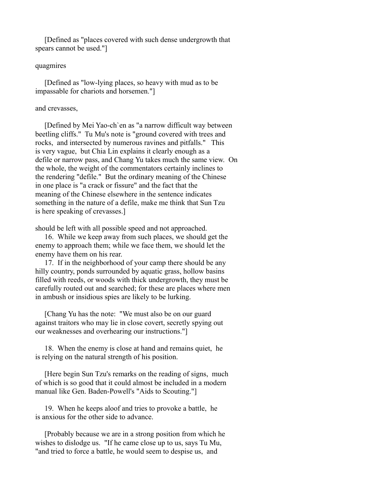[Defined as "places covered with such dense undergrowth that spears cannot be used."]

## quagmires

 [Defined as "low-lying places, so heavy with mud as to be impassable for chariots and horsemen."]

## and crevasses,

 [Defined by Mei Yao-ch`en as "a narrow difficult way between beetling cliffs." Tu Mu's note is "ground covered with trees and rocks, and intersected by numerous ravines and pitfalls." This is very vague, but Chia Lin explains it clearly enough as a defile or narrow pass, and Chang Yu takes much the same view. On the whole, the weight of the commentators certainly inclines to the rendering "defile." But the ordinary meaning of the Chinese in one place is "a crack or fissure" and the fact that the meaning of the Chinese elsewhere in the sentence indicates something in the nature of a defile, make me think that Sun Tzu is here speaking of crevasses.]

should be left with all possible speed and not approached.

 16. While we keep away from such places, we should get the enemy to approach them; while we face them, we should let the enemy have them on his rear.

 17. If in the neighborhood of your camp there should be any hilly country, ponds surrounded by aquatic grass, hollow basins filled with reeds, or woods with thick undergrowth, they must be carefully routed out and searched; for these are places where men in ambush or insidious spies are likely to be lurking.

 [Chang Yu has the note: "We must also be on our guard against traitors who may lie in close covert, secretly spying out our weaknesses and overhearing our instructions."]

 18. When the enemy is close at hand and remains quiet, he is relying on the natural strength of his position.

 [Here begin Sun Tzu's remarks on the reading of signs, much of which is so good that it could almost be included in a modern manual like Gen. Baden-Powell's "Aids to Scouting."]

 19. When he keeps aloof and tries to provoke a battle, he is anxious for the other side to advance.

 [Probably because we are in a strong position from which he wishes to dislodge us. "If he came close up to us, says Tu Mu, "and tried to force a battle, he would seem to despise us, and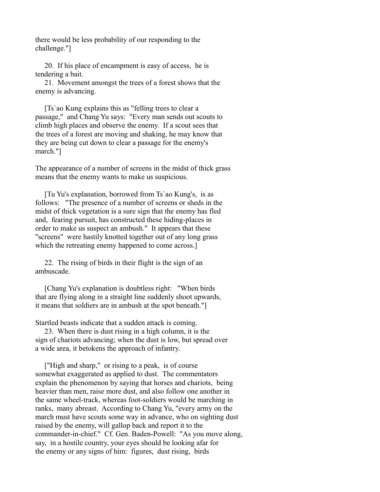there would be less probability of our responding to the challenge."]

 20. If his place of encampment is easy of access, he is tendering a bait.

 21. Movement amongst the trees of a forest shows that the enemy is advancing.

 [Ts`ao Kung explains this as "felling trees to clear a passage," and Chang Yu says: "Every man sends out scouts to climb high places and observe the enemy. If a scout sees that the trees of a forest are moving and shaking, he may know that they are being cut down to clear a passage for the enemy's march."]

The appearance of a number of screens in the midst of thick grass means that the enemy wants to make us suspicious.

 [Tu Yu's explanation, borrowed from Ts`ao Kung's, is as follows: "The presence of a number of screens or sheds in the midst of thick vegetation is a sure sign that the enemy has fled and, fearing pursuit, has constructed these hiding-places in order to make us suspect an ambush." It appears that these "screens" were hastily knotted together out of any long grass which the retreating enemy happened to come across.]

 22. The rising of birds in their flight is the sign of an ambuscade.

 [Chang Yu's explanation is doubtless right: "When birds that are flying along in a straight line suddenly shoot upwards, it means that soldiers are in ambush at the spot beneath."]

Startled beasts indicate that a sudden attack is coming.

 23. When there is dust rising in a high column, it is the sign of chariots advancing; when the dust is low, but spread over a wide area, it betokens the approach of infantry.

 ["High and sharp," or rising to a peak, is of course somewhat exaggerated as applied to dust. The commentators explain the phenomenon by saying that horses and chariots, being heavier than men, raise more dust, and also follow one another in the same wheel-track, whereas foot-soldiers would be marching in ranks, many abreast. According to Chang Yu, "every army on the march must have scouts some way in advance, who on sighting dust raised by the enemy, will gallop back and report it to the commander-in-chief." Cf. Gen. Baden-Powell: "As you move along, say, in a hostile country, your eyes should be looking afar for the enemy or any signs of him: figures, dust rising, birds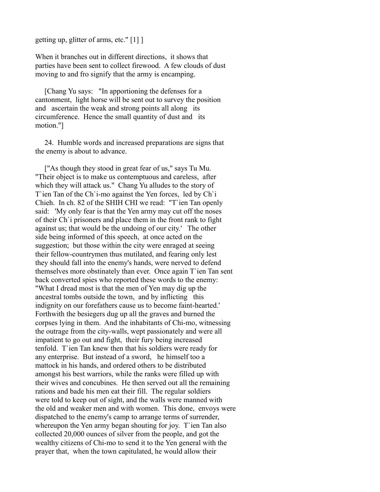getting up, glitter of arms, etc." [1] ]

When it branches out in different directions, it shows that parties have been sent to collect firewood. A few clouds of dust moving to and fro signify that the army is encamping.

 [Chang Yu says: "In apportioning the defenses for a cantonment, light horse will be sent out to survey the position and ascertain the weak and strong points all along its circumference. Hence the small quantity of dust and its motion."]

 24. Humble words and increased preparations are signs that the enemy is about to advance.

 ["As though they stood in great fear of us," says Tu Mu. "Their object is to make us contemptuous and careless, after which they will attack us." Chang Yu alludes to the story of T'ien Tan of the Ch'i-mo against the Yen forces, led by Ch'i Chieh. In ch. 82 of the SHIH CHI we read: "T`ien Tan openly said: 'My only fear is that the Yen army may cut off the noses of their Ch`i prisoners and place them in the front rank to fight against us; that would be the undoing of our city.' The other side being informed of this speech, at once acted on the suggestion; but those within the city were enraged at seeing their fellow-countrymen thus mutilated, and fearing only lest they should fall into the enemy's hands, were nerved to defend themselves more obstinately than ever. Once again T`ien Tan sent back converted spies who reported these words to the enemy: "What I dread most is that the men of Yen may dig up the ancestral tombs outside the town, and by inflicting this indignity on our forefathers cause us to become faint-hearted.' Forthwith the besiegers dug up all the graves and burned the corpses lying in them. And the inhabitants of Chi-mo, witnessing the outrage from the city-walls, wept passionately and were all impatient to go out and fight, their fury being increased tenfold. T`ien Tan knew then that his soldiers were ready for any enterprise. But instead of a sword, he himself too a mattock in his hands, and ordered others to be distributed amongst his best warriors, while the ranks were filled up with their wives and concubines. He then served out all the remaining rations and bade his men eat their fill. The regular soldiers were told to keep out of sight, and the walls were manned with the old and weaker men and with women. This done, envoys were dispatched to the enemy's camp to arrange terms of surrender, whereupon the Yen army began shouting for joy. T ien Tan also collected 20,000 ounces of silver from the people, and got the wealthy citizens of Chi-mo to send it to the Yen general with the prayer that, when the town capitulated, he would allow their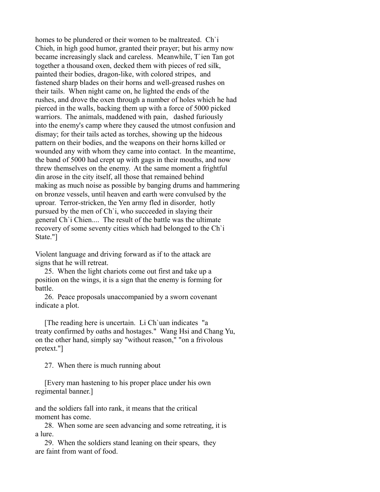homes to be plundered or their women to be maltreated. Ch`i Chieh, in high good humor, granted their prayer; but his army now became increasingly slack and careless. Meanwhile, T`ien Tan got together a thousand oxen, decked them with pieces of red silk, painted their bodies, dragon-like, with colored stripes, and fastened sharp blades on their horns and well-greased rushes on their tails. When night came on, he lighted the ends of the rushes, and drove the oxen through a number of holes which he had pierced in the walls, backing them up with a force of 5000 picked warriors. The animals, maddened with pain, dashed furiously into the enemy's camp where they caused the utmost confusion and dismay; for their tails acted as torches, showing up the hideous pattern on their bodies, and the weapons on their horns killed or wounded any with whom they came into contact. In the meantime, the band of 5000 had crept up with gags in their mouths, and now threw themselves on the enemy. At the same moment a frightful din arose in the city itself, all those that remained behind making as much noise as possible by banging drums and hammering on bronze vessels, until heaven and earth were convulsed by the uproar. Terror-stricken, the Yen army fled in disorder, hotly pursued by the men of Ch`i, who succeeded in slaying their general Ch`i Chien.... The result of the battle was the ultimate recovery of some seventy cities which had belonged to the Ch`i State."]

Violent language and driving forward as if to the attack are signs that he will retreat.

 25. When the light chariots come out first and take up a position on the wings, it is a sign that the enemy is forming for battle.

 26. Peace proposals unaccompanied by a sworn covenant indicate a plot.

 [The reading here is uncertain. Li Ch`uan indicates "a treaty confirmed by oaths and hostages." Wang Hsi and Chang Yu, on the other hand, simply say "without reason," "on a frivolous pretext."]

27. When there is much running about

 [Every man hastening to his proper place under his own regimental banner.]

and the soldiers fall into rank, it means that the critical moment has come.

 28. When some are seen advancing and some retreating, it is a lure.

 29. When the soldiers stand leaning on their spears, they are faint from want of food.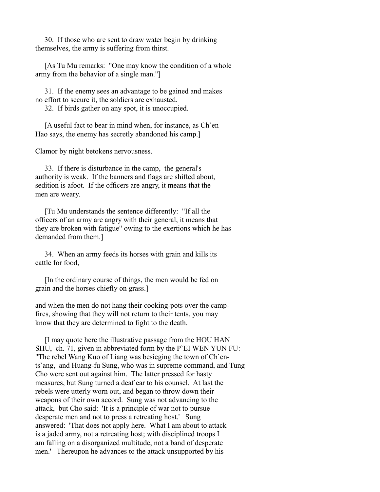30. If those who are sent to draw water begin by drinking themselves, the army is suffering from thirst.

 [As Tu Mu remarks: "One may know the condition of a whole army from the behavior of a single man."]

 31. If the enemy sees an advantage to be gained and makes no effort to secure it, the soldiers are exhausted.

32. If birds gather on any spot, it is unoccupied.

 [A useful fact to bear in mind when, for instance, as Ch`en Hao says, the enemy has secretly abandoned his camp.]

Clamor by night betokens nervousness.

 33. If there is disturbance in the camp, the general's authority is weak. If the banners and flags are shifted about, sedition is afoot. If the officers are angry, it means that the men are weary.

 [Tu Mu understands the sentence differently: "If all the officers of an army are angry with their general, it means that they are broken with fatigue" owing to the exertions which he has demanded from them.]

 34. When an army feeds its horses with grain and kills its cattle for food,

 [In the ordinary course of things, the men would be fed on grain and the horses chiefly on grass.]

and when the men do not hang their cooking-pots over the campfires, showing that they will not return to their tents, you may know that they are determined to fight to the death.

 [I may quote here the illustrative passage from the HOU HAN SHU, ch. 71, given in abbreviated form by the P`EI WEN YUN FU: "The rebel Wang Kuo of Liang was besieging the town of Ch`ents`ang, and Huang-fu Sung, who was in supreme command, and Tung Cho were sent out against him. The latter pressed for hasty measures, but Sung turned a deaf ear to his counsel. At last the rebels were utterly worn out, and began to throw down their weapons of their own accord. Sung was not advancing to the attack, but Cho said: 'It is a principle of war not to pursue desperate men and not to press a retreating host.' Sung answered: 'That does not apply here. What I am about to attack is a jaded army, not a retreating host; with disciplined troops I am falling on a disorganized multitude, not a band of desperate men.' Thereupon he advances to the attack unsupported by his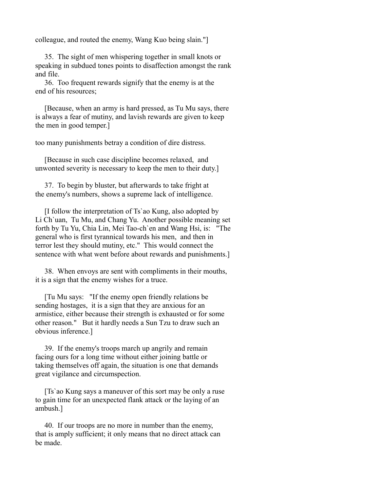colleague, and routed the enemy, Wang Kuo being slain."]

 35. The sight of men whispering together in small knots or speaking in subdued tones points to disaffection amongst the rank and file.

 36. Too frequent rewards signify that the enemy is at the end of his resources;

 [Because, when an army is hard pressed, as Tu Mu says, there is always a fear of mutiny, and lavish rewards are given to keep the men in good temper.]

too many punishments betray a condition of dire distress.

 [Because in such case discipline becomes relaxed, and unwonted severity is necessary to keep the men to their duty.]

 37. To begin by bluster, but afterwards to take fright at the enemy's numbers, shows a supreme lack of intelligence.

 [I follow the interpretation of Ts`ao Kung, also adopted by Li Ch`uan, Tu Mu, and Chang Yu. Another possible meaning set forth by Tu Yu, Chia Lin, Mei Tao-ch`en and Wang Hsi, is: "The general who is first tyrannical towards his men, and then in terror lest they should mutiny, etc." This would connect the sentence with what went before about rewards and punishments.]

 38. When envoys are sent with compliments in their mouths, it is a sign that the enemy wishes for a truce.

 [Tu Mu says: "If the enemy open friendly relations be sending hostages, it is a sign that they are anxious for an armistice, either because their strength is exhausted or for some other reason." But it hardly needs a Sun Tzu to draw such an obvious inference.]

 39. If the enemy's troops march up angrily and remain facing ours for a long time without either joining battle or taking themselves off again, the situation is one that demands great vigilance and circumspection.

 [Ts`ao Kung says a maneuver of this sort may be only a ruse to gain time for an unexpected flank attack or the laying of an ambush.]

 40. If our troops are no more in number than the enemy, that is amply sufficient; it only means that no direct attack can be made.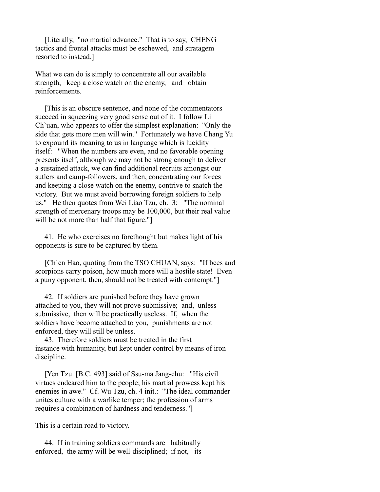[Literally, "no martial advance." That is to say, CHENG tactics and frontal attacks must be eschewed, and stratagem resorted to instead.]

What we can do is simply to concentrate all our available strength, keep a close watch on the enemy, and obtain reinforcements.

 [This is an obscure sentence, and none of the commentators succeed in squeezing very good sense out of it. I follow Li Ch`uan, who appears to offer the simplest explanation: "Only the side that gets more men will win." Fortunately we have Chang Yu to expound its meaning to us in language which is lucidity itself: "When the numbers are even, and no favorable opening presents itself, although we may not be strong enough to deliver a sustained attack, we can find additional recruits amongst our sutlers and camp-followers, and then, concentrating our forces and keeping a close watch on the enemy, contrive to snatch the victory. But we must avoid borrowing foreign soldiers to help us." He then quotes from Wei Liao Tzu, ch. 3: "The nominal strength of mercenary troops may be 100,000, but their real value will be not more than half that figure."

 41. He who exercises no forethought but makes light of his opponents is sure to be captured by them.

 [Ch`en Hao, quoting from the TSO CHUAN, says: "If bees and scorpions carry poison, how much more will a hostile state! Even a puny opponent, then, should not be treated with contempt."]

 42. If soldiers are punished before they have grown attached to you, they will not prove submissive; and, unless submissive, then will be practically useless. If, when the soldiers have become attached to you, punishments are not enforced, they will still be unless.

 43. Therefore soldiers must be treated in the first instance with humanity, but kept under control by means of iron discipline.

 [Yen Tzu [B.C. 493] said of Ssu-ma Jang-chu: "His civil virtues endeared him to the people; his martial prowess kept his enemies in awe." Cf. Wu Tzu, ch. 4 init.: "The ideal commander unites culture with a warlike temper; the profession of arms requires a combination of hardness and tenderness."]

This is a certain road to victory.

 44. If in training soldiers commands are habitually enforced, the army will be well-disciplined; if not, its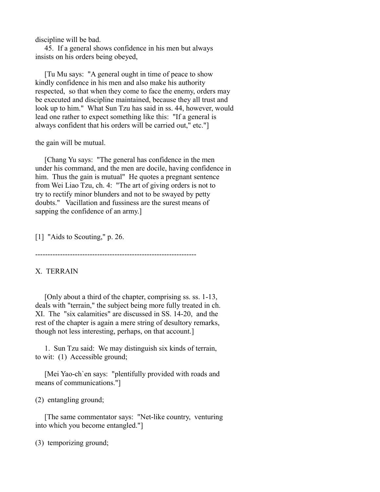discipline will be bad.

 45. If a general shows confidence in his men but always insists on his orders being obeyed,

 [Tu Mu says: "A general ought in time of peace to show kindly confidence in his men and also make his authority respected, so that when they come to face the enemy, orders may be executed and discipline maintained, because they all trust and look up to him." What Sun Tzu has said in ss. 44, however, would lead one rather to expect something like this: "If a general is always confident that his orders will be carried out," etc."]

the gain will be mutual.

 [Chang Yu says: "The general has confidence in the men under his command, and the men are docile, having confidence in him. Thus the gain is mutual" He quotes a pregnant sentence from Wei Liao Tzu, ch. 4: "The art of giving orders is not to try to rectify minor blunders and not to be swayed by petty doubts." Vacillation and fussiness are the surest means of sapping the confidence of an army.]

[1] "Aids to Scouting," p. 26.

-----------------------------------------------------------------

## X. TERRAIN

 [Only about a third of the chapter, comprising ss. ss. 1-13, deals with "terrain," the subject being more fully treated in ch. XI. The "six calamities" are discussed in SS. 14-20, and the rest of the chapter is again a mere string of desultory remarks, though not less interesting, perhaps, on that account.]

 1. Sun Tzu said: We may distinguish six kinds of terrain, to wit: (1) Accessible ground;

 [Mei Yao-ch`en says: "plentifully provided with roads and means of communications."]

(2) entangling ground;

 [The same commentator says: "Net-like country, venturing into which you become entangled."]

(3) temporizing ground;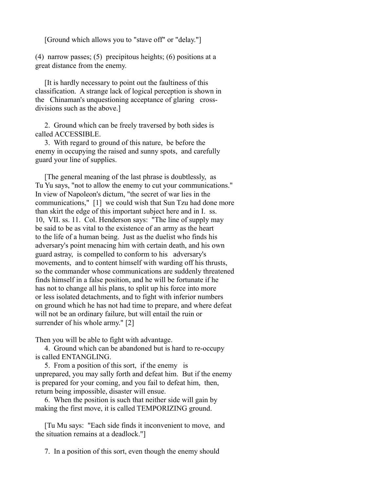[Ground which allows you to "stave off" or "delay."]

(4) narrow passes; (5) precipitous heights; (6) positions at a great distance from the enemy.

 [It is hardly necessary to point out the faultiness of this classification. A strange lack of logical perception is shown in the Chinaman's unquestioning acceptance of glaring crossdivisions such as the above.]

 2. Ground which can be freely traversed by both sides is called ACCESSIBLE.

 3. With regard to ground of this nature, be before the enemy in occupying the raised and sunny spots, and carefully guard your line of supplies.

 [The general meaning of the last phrase is doubtlessly, as Tu Yu says, "not to allow the enemy to cut your communications." In view of Napoleon's dictum, "the secret of war lies in the communications," [1] we could wish that Sun Tzu had done more than skirt the edge of this important subject here and in I. ss. 10, VII. ss. 11. Col. Henderson says: "The line of supply may be said to be as vital to the existence of an army as the heart to the life of a human being. Just as the duelist who finds his adversary's point menacing him with certain death, and his own guard astray, is compelled to conform to his adversary's movements, and to content himself with warding off his thrusts, so the commander whose communications are suddenly threatened finds himself in a false position, and he will be fortunate if he has not to change all his plans, to split up his force into more or less isolated detachments, and to fight with inferior numbers on ground which he has not had time to prepare, and where defeat will not be an ordinary failure, but will entail the ruin or surrender of his whole army." [2]

Then you will be able to fight with advantage.

 4. Ground which can be abandoned but is hard to re-occupy is called ENTANGLING.

 5. From a position of this sort, if the enemy is unprepared, you may sally forth and defeat him. But if the enemy is prepared for your coming, and you fail to defeat him, then, return being impossible, disaster will ensue.

 6. When the position is such that neither side will gain by making the first move, it is called TEMPORIZING ground.

 [Tu Mu says: "Each side finds it inconvenient to move, and the situation remains at a deadlock."]

7. In a position of this sort, even though the enemy should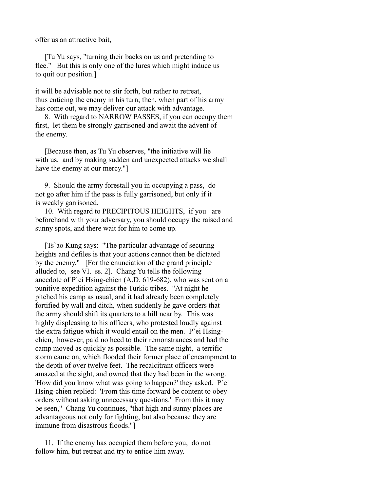offer us an attractive bait,

 [Tu Yu says, "turning their backs on us and pretending to flee." But this is only one of the lures which might induce us to quit our position.]

it will be advisable not to stir forth, but rather to retreat, thus enticing the enemy in his turn; then, when part of his army has come out, we may deliver our attack with advantage.

 8. With regard to NARROW PASSES, if you can occupy them first, let them be strongly garrisoned and await the advent of the enemy.

 [Because then, as Tu Yu observes, "the initiative will lie with us, and by making sudden and unexpected attacks we shall have the enemy at our mercy."]

 9. Should the army forestall you in occupying a pass, do not go after him if the pass is fully garrisoned, but only if it is weakly garrisoned.

 10. With regard to PRECIPITOUS HEIGHTS, if you are beforehand with your adversary, you should occupy the raised and sunny spots, and there wait for him to come up.

 [Ts`ao Kung says: "The particular advantage of securing heights and defiles is that your actions cannot then be dictated by the enemy." [For the enunciation of the grand principle alluded to, see VI. ss. 2]. Chang Yu tells the following anecdote of P`ei Hsing-chien (A.D. 619-682), who was sent on a punitive expedition against the Turkic tribes. "At night he pitched his camp as usual, and it had already been completely fortified by wall and ditch, when suddenly he gave orders that the army should shift its quarters to a hill near by. This was highly displeasing to his officers, who protested loudly against the extra fatigue which it would entail on the men. P`ei Hsingchien, however, paid no heed to their remonstrances and had the camp moved as quickly as possible. The same night, a terrific storm came on, which flooded their former place of encampment to the depth of over twelve feet. The recalcitrant officers were amazed at the sight, and owned that they had been in the wrong. 'How did you know what was going to happen?' they asked. P`ei Hsing-chien replied: 'From this time forward be content to obey orders without asking unnecessary questions.' From this it may be seen," Chang Yu continues, "that high and sunny places are advantageous not only for fighting, but also because they are immune from disastrous floods."]

 11. If the enemy has occupied them before you, do not follow him, but retreat and try to entice him away.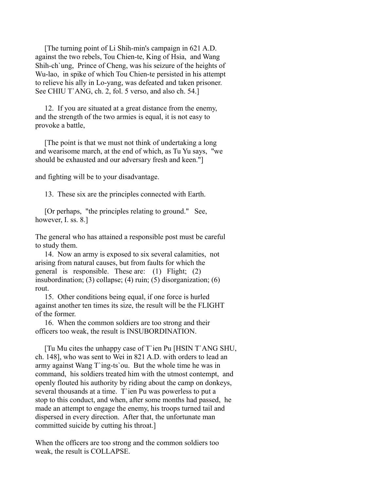[The turning point of Li Shih-min's campaign in 621 A.D. against the two rebels, Tou Chien-te, King of Hsia, and Wang Shih-ch`ung, Prince of Cheng, was his seizure of the heights of Wu-lao, in spike of which Tou Chien-te persisted in his attempt to relieve his ally in Lo-yang, was defeated and taken prisoner. See CHIU T`ANG, ch. 2, fol. 5 verso, and also ch. 54.]

 12. If you are situated at a great distance from the enemy, and the strength of the two armies is equal, it is not easy to provoke a battle,

 [The point is that we must not think of undertaking a long and wearisome march, at the end of which, as Tu Yu says, "we should be exhausted and our adversary fresh and keen."]

and fighting will be to your disadvantage.

13. These six are the principles connected with Earth.

 [Or perhaps, "the principles relating to ground." See, however, I. ss. 8.]

The general who has attained a responsible post must be careful to study them.

 14. Now an army is exposed to six several calamities, not arising from natural causes, but from faults for which the general is responsible. These are: (1) Flight; (2) insubordination; (3) collapse; (4) ruin; (5) disorganization; (6) rout.

 15. Other conditions being equal, if one force is hurled against another ten times its size, the result will be the FLIGHT of the former.

 16. When the common soldiers are too strong and their officers too weak, the result is INSUBORDINATION.

 [Tu Mu cites the unhappy case of T`ien Pu [HSIN T`ANG SHU, ch. 148], who was sent to Wei in 821 A.D. with orders to lead an army against Wang T`ing-ts`ou. But the whole time he was in command, his soldiers treated him with the utmost contempt, and openly flouted his authority by riding about the camp on donkeys, several thousands at a time. T`ien Pu was powerless to put a stop to this conduct, and when, after some months had passed, he made an attempt to engage the enemy, his troops turned tail and dispersed in every direction. After that, the unfortunate man committed suicide by cutting his throat.]

When the officers are too strong and the common soldiers too weak, the result is COLLAPSE.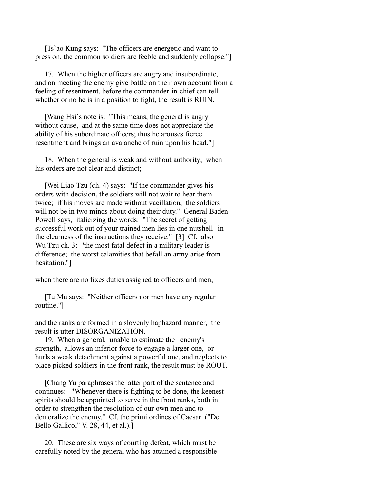[Ts`ao Kung says: "The officers are energetic and want to press on, the common soldiers are feeble and suddenly collapse."]

 17. When the higher officers are angry and insubordinate, and on meeting the enemy give battle on their own account from a feeling of resentment, before the commander-in-chief can tell whether or no he is in a position to fight, the result is RUIN.

 [Wang Hsi`s note is: "This means, the general is angry without cause, and at the same time does not appreciate the ability of his subordinate officers; thus he arouses fierce resentment and brings an avalanche of ruin upon his head."]

 18. When the general is weak and without authority; when his orders are not clear and distinct;

 [Wei Liao Tzu (ch. 4) says: "If the commander gives his orders with decision, the soldiers will not wait to hear them twice; if his moves are made without vacillation, the soldiers will not be in two minds about doing their duty." General Baden-Powell says, italicizing the words: "The secret of getting successful work out of your trained men lies in one nutshell--in the clearness of the instructions they receive." [3] Cf. also Wu Tzu ch. 3: "the most fatal defect in a military leader is difference; the worst calamities that befall an army arise from hesitation."]

when there are no fixes duties assigned to officers and men,

 [Tu Mu says: "Neither officers nor men have any regular routine."]

and the ranks are formed in a slovenly haphazard manner, the result is utter DISORGANIZATION.

 19. When a general, unable to estimate the enemy's strength, allows an inferior force to engage a larger one, or hurls a weak detachment against a powerful one, and neglects to place picked soldiers in the front rank, the result must be ROUT.

 [Chang Yu paraphrases the latter part of the sentence and continues: "Whenever there is fighting to be done, the keenest spirits should be appointed to serve in the front ranks, both in order to strengthen the resolution of our own men and to demoralize the enemy." Cf. the primi ordines of Caesar ("De Bello Gallico," V. 28, 44, et al.).]

 20. These are six ways of courting defeat, which must be carefully noted by the general who has attained a responsible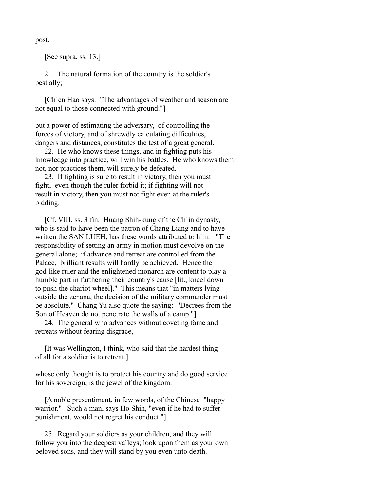post.

[See supra, ss. 13.]

 21. The natural formation of the country is the soldier's best ally;

 [Ch`en Hao says: "The advantages of weather and season are not equal to those connected with ground."]

but a power of estimating the adversary, of controlling the forces of victory, and of shrewdly calculating difficulties, dangers and distances, constitutes the test of a great general.

 22. He who knows these things, and in fighting puts his knowledge into practice, will win his battles. He who knows them not, nor practices them, will surely be defeated.

 23. If fighting is sure to result in victory, then you must fight, even though the ruler forbid it; if fighting will not result in victory, then you must not fight even at the ruler's bidding.

 [Cf. VIII. ss. 3 fin. Huang Shih-kung of the Ch`in dynasty, who is said to have been the patron of Chang Liang and to have written the SAN LUEH, has these words attributed to him: "The responsibility of setting an army in motion must devolve on the general alone; if advance and retreat are controlled from the Palace, brilliant results will hardly be achieved. Hence the god-like ruler and the enlightened monarch are content to play a humble part in furthering their country's cause [lit., kneel down to push the chariot wheel]." This means that "in matters lying outside the zenana, the decision of the military commander must be absolute." Chang Yu also quote the saying: "Decrees from the Son of Heaven do not penetrate the walls of a camp."]

 24. The general who advances without coveting fame and retreats without fearing disgrace,

 [It was Wellington, I think, who said that the hardest thing of all for a soldier is to retreat.]

whose only thought is to protect his country and do good service for his sovereign, is the jewel of the kingdom.

 [A noble presentiment, in few words, of the Chinese "happy warrior." Such a man, says Ho Shih, "even if he had to suffer punishment, would not regret his conduct."]

 25. Regard your soldiers as your children, and they will follow you into the deepest valleys; look upon them as your own beloved sons, and they will stand by you even unto death.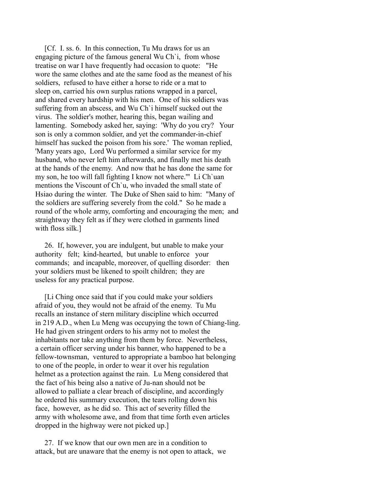[Cf. I. ss. 6. In this connection, Tu Mu draws for us an engaging picture of the famous general Wu Ch`i, from whose treatise on war I have frequently had occasion to quote: "He wore the same clothes and ate the same food as the meanest of his soldiers, refused to have either a horse to ride or a mat to sleep on, carried his own surplus rations wrapped in a parcel, and shared every hardship with his men. One of his soldiers was suffering from an abscess, and Wu Ch`i himself sucked out the virus. The soldier's mother, hearing this, began wailing and lamenting. Somebody asked her, saying: 'Why do you cry? Your son is only a common soldier, and yet the commander-in-chief himself has sucked the poison from his sore.' The woman replied, 'Many years ago, Lord Wu performed a similar service for my husband, who never left him afterwards, and finally met his death at the hands of the enemy. And now that he has done the same for my son, he too will fall fighting I know not where.'" Li Ch`uan mentions the Viscount of Ch`u, who invaded the small state of Hsiao during the winter. The Duke of Shen said to him: "Many of the soldiers are suffering severely from the cold." So he made a round of the whole army, comforting and encouraging the men; and straightway they felt as if they were clothed in garments lined with floss silk.]

 26. If, however, you are indulgent, but unable to make your authority felt; kind-hearted, but unable to enforce your commands; and incapable, moreover, of quelling disorder: then your soldiers must be likened to spoilt children; they are useless for any practical purpose.

 [Li Ching once said that if you could make your soldiers afraid of you, they would not be afraid of the enemy. Tu Mu recalls an instance of stern military discipline which occurred in 219 A.D., when Lu Meng was occupying the town of Chiang-ling. He had given stringent orders to his army not to molest the inhabitants nor take anything from them by force. Nevertheless, a certain officer serving under his banner, who happened to be a fellow-townsman, ventured to appropriate a bamboo hat belonging to one of the people, in order to wear it over his regulation helmet as a protection against the rain. Lu Meng considered that the fact of his being also a native of Ju-nan should not be allowed to palliate a clear breach of discipline, and accordingly he ordered his summary execution, the tears rolling down his face, however, as he did so. This act of severity filled the army with wholesome awe, and from that time forth even articles dropped in the highway were not picked up.]

 27. If we know that our own men are in a condition to attack, but are unaware that the enemy is not open to attack, we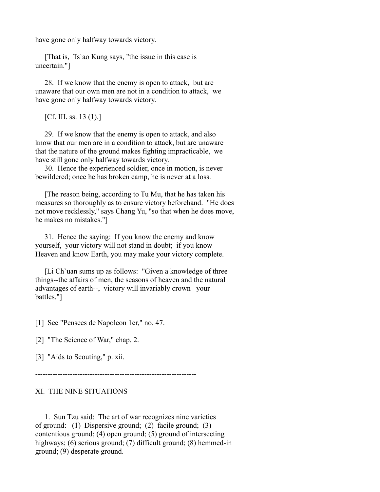have gone only halfway towards victory.

 [That is, Ts`ao Kung says, "the issue in this case is uncertain."]

 28. If we know that the enemy is open to attack, but are unaware that our own men are not in a condition to attack, we have gone only halfway towards victory.

[Cf. III. ss. 13 (1).]

 29. If we know that the enemy is open to attack, and also know that our men are in a condition to attack, but are unaware that the nature of the ground makes fighting impracticable, we have still gone only halfway towards victory.

 30. Hence the experienced soldier, once in motion, is never bewildered; once he has broken camp, he is never at a loss.

 [The reason being, according to Tu Mu, that he has taken his measures so thoroughly as to ensure victory beforehand. "He does not move recklessly," says Chang Yu, "so that when he does move, he makes no mistakes."]

 31. Hence the saying: If you know the enemy and know yourself, your victory will not stand in doubt; if you know Heaven and know Earth, you may make your victory complete.

 [Li Ch`uan sums up as follows: "Given a knowledge of three things--the affairs of men, the seasons of heaven and the natural advantages of earth--, victory will invariably crown your battles."]

[1] See "Pensees de Napoleon 1er," no. 47.

[2] "The Science of War," chap. 2.

[3] "Aids to Scouting," p. xii.

-----------------------------------------------------------------

## XI. THE NINE SITUATIONS

 1. Sun Tzu said: The art of war recognizes nine varieties of ground: (1) Dispersive ground; (2) facile ground; (3) contentious ground; (4) open ground; (5) ground of intersecting highways; (6) serious ground; (7) difficult ground; (8) hemmed-in ground; (9) desperate ground.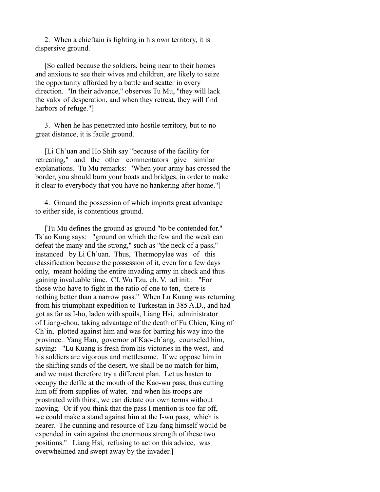2. When a chieftain is fighting in his own territory, it is dispersive ground.

 [So called because the soldiers, being near to their homes and anxious to see their wives and children, are likely to seize the opportunity afforded by a battle and scatter in every direction. "In their advance," observes Tu Mu, "they will lack the valor of desperation, and when they retreat, they will find harbors of refuge."]

 3. When he has penetrated into hostile territory, but to no great distance, it is facile ground.

 [Li Ch`uan and Ho Shih say "because of the facility for retreating," and the other commentators give similar explanations. Tu Mu remarks: "When your army has crossed the border, you should burn your boats and bridges, in order to make it clear to everybody that you have no hankering after home."]

 4. Ground the possession of which imports great advantage to either side, is contentious ground.

 [Tu Mu defines the ground as ground "to be contended for." Ts`ao Kung says: "ground on which the few and the weak can defeat the many and the strong," such as "the neck of a pass," instanced by Li Ch`uan. Thus, Thermopylae was of this classification because the possession of it, even for a few days only, meant holding the entire invading army in check and thus gaining invaluable time. Cf. Wu Tzu, ch. V. ad init.: "For those who have to fight in the ratio of one to ten, there is nothing better than a narrow pass." When Lu Kuang was returning from his triumphant expedition to Turkestan in 385 A.D., and had got as far as I-ho, laden with spoils, Liang Hsi, administrator of Liang-chou, taking advantage of the death of Fu Chien, King of Ch`in, plotted against him and was for barring his way into the province. Yang Han, governor of Kao-ch`ang, counseled him, saying: "Lu Kuang is fresh from his victories in the west, and his soldiers are vigorous and mettlesome. If we oppose him in the shifting sands of the desert, we shall be no match for him, and we must therefore try a different plan. Let us hasten to occupy the defile at the mouth of the Kao-wu pass, thus cutting him off from supplies of water, and when his troops are prostrated with thirst, we can dictate our own terms without moving. Or if you think that the pass I mention is too far off, we could make a stand against him at the I-wu pass, which is nearer. The cunning and resource of Tzu-fang himself would be expended in vain against the enormous strength of these two positions." Liang Hsi, refusing to act on this advice, was overwhelmed and swept away by the invader.]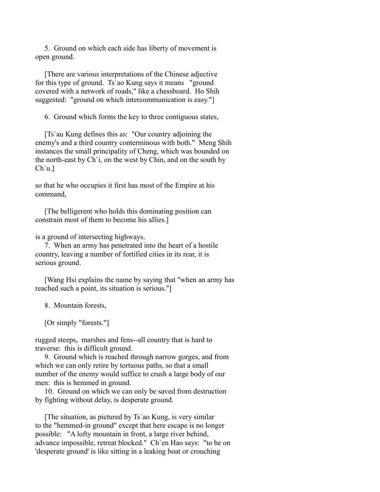5. Ground on which each side has liberty of movement is open ground.

 [There are various interpretations of the Chinese adjective for this type of ground. Ts`ao Kung says it means "ground covered with a network of roads," like a chessboard. Ho Shih suggested: "ground on which intercommunication is easy."]

6. Ground which forms the key to three contiguous states,

 [Ts`au Kung defines this as: "Our country adjoining the enemy's and a third country conterminous with both." Meng Shih instances the small principality of Cheng, which was bounded on the north-east by Ch`i, on the west by Chin, and on the south by Ch`u.]

so that he who occupies it first has most of the Empire at his command,

 [The belligerent who holds this dominating position can constrain most of them to become his allies.]

is a ground of intersecting highways.

 7. When an army has penetrated into the heart of a hostile country, leaving a number of fortified cities in its rear, it is serious ground.

 [Wang Hsi explains the name by saying that "when an army has reached such a point, its situation is serious."]

8. Mountain forests,

[Or simply "forests."]

rugged steeps, marshes and fens--all country that is hard to traverse: this is difficult ground.

 9. Ground which is reached through narrow gorges, and from which we can only retire by tortuous paths, so that a small number of the enemy would suffice to crush a large body of our men: this is hemmed in ground.

 10. Ground on which we can only be saved from destruction by fighting without delay, is desperate ground.

 [The situation, as pictured by Ts`ao Kung, is very similar to the "hemmed-in ground" except that here escape is no longer possible: "A lofty mountain in front, a large river behind, advance impossible, retreat blocked." Ch`en Hao says: "to be on 'desperate ground' is like sitting in a leaking boat or crouching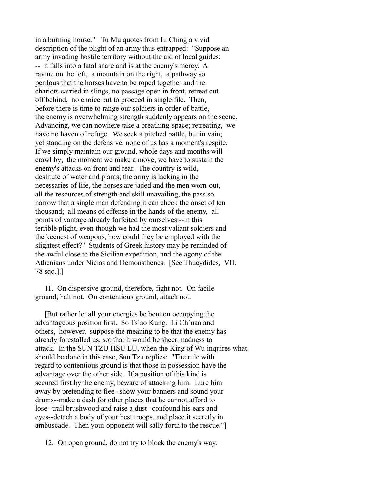in a burning house." Tu Mu quotes from Li Ching a vivid description of the plight of an army thus entrapped: "Suppose an army invading hostile territory without the aid of local guides: -- it falls into a fatal snare and is at the enemy's mercy. A ravine on the left, a mountain on the right, a pathway so perilous that the horses have to be roped together and the chariots carried in slings, no passage open in front, retreat cut off behind, no choice but to proceed in single file. Then, before there is time to range our soldiers in order of battle, the enemy is overwhelming strength suddenly appears on the scene. Advancing, we can nowhere take a breathing-space; retreating, we have no haven of refuge. We seek a pitched battle, but in vain; yet standing on the defensive, none of us has a moment's respite. If we simply maintain our ground, whole days and months will crawl by; the moment we make a move, we have to sustain the enemy's attacks on front and rear. The country is wild, destitute of water and plants; the army is lacking in the necessaries of life, the horses are jaded and the men worn-out, all the resources of strength and skill unavailing, the pass so narrow that a single man defending it can check the onset of ten thousand; all means of offense in the hands of the enemy, all points of vantage already forfeited by ourselves:--in this terrible plight, even though we had the most valiant soldiers and the keenest of weapons, how could they be employed with the slightest effect?" Students of Greek history may be reminded of the awful close to the Sicilian expedition, and the agony of the Athenians under Nicias and Demonsthenes. [See Thucydides, VII. 78 sqq.].]

 11. On dispersive ground, therefore, fight not. On facile ground, halt not. On contentious ground, attack not.

 [But rather let all your energies be bent on occupying the advantageous position first. So Ts`ao Kung. Li Ch`uan and others, however, suppose the meaning to be that the enemy has already forestalled us, sot that it would be sheer madness to attack. In the SUN TZU HSU LU, when the King of Wu inquires what should be done in this case, Sun Tzu replies: "The rule with regard to contentious ground is that those in possession have the advantage over the other side. If a position of this kind is secured first by the enemy, beware of attacking him. Lure him away by pretending to flee--show your banners and sound your drums--make a dash for other places that he cannot afford to lose--trail brushwood and raise a dust--confound his ears and eyes--detach a body of your best troops, and place it secretly in ambuscade. Then your opponent will sally forth to the rescue."]

12. On open ground, do not try to block the enemy's way.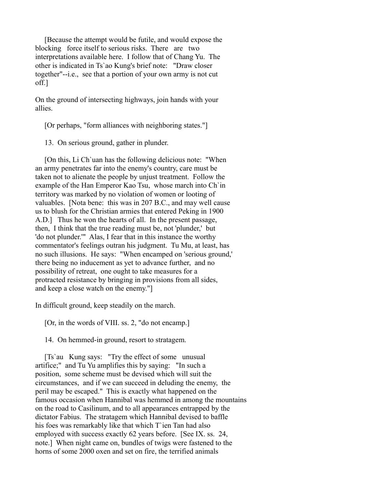[Because the attempt would be futile, and would expose the blocking force itself to serious risks. There are two interpretations available here. I follow that of Chang Yu. The other is indicated in Ts`ao Kung's brief note: "Draw closer together"--i.e., see that a portion of your own army is not cut off.]

On the ground of intersecting highways, join hands with your allies.

[Or perhaps, "form alliances with neighboring states."]

13. On serious ground, gather in plunder.

 [On this, Li Ch`uan has the following delicious note: "When an army penetrates far into the enemy's country, care must be taken not to alienate the people by unjust treatment. Follow the example of the Han Emperor Kao Tsu, whose march into Ch`in territory was marked by no violation of women or looting of valuables. [Nota bene: this was in 207 B.C., and may well cause us to blush for the Christian armies that entered Peking in 1900 A.D.] Thus he won the hearts of all. In the present passage, then, I think that the true reading must be, not 'plunder,' but 'do not plunder.'" Alas, I fear that in this instance the worthy commentator's feelings outran his judgment. Tu Mu, at least, has no such illusions. He says: "When encamped on 'serious ground,' there being no inducement as yet to advance further, and no possibility of retreat, one ought to take measures for a protracted resistance by bringing in provisions from all sides, and keep a close watch on the enemy."]

In difficult ground, keep steadily on the march.

[Or, in the words of VIII. ss. 2, "do not encamp.]

14. On hemmed-in ground, resort to stratagem.

 [Ts`au Kung says: "Try the effect of some unusual artifice;" and Tu Yu amplifies this by saying: "In such a position, some scheme must be devised which will suit the circumstances, and if we can succeed in deluding the enemy, the peril may be escaped." This is exactly what happened on the famous occasion when Hannibal was hemmed in among the mountains on the road to Casilinum, and to all appearances entrapped by the dictator Fabius. The stratagem which Hannibal devised to baffle his foes was remarkably like that which T`ien Tan had also employed with success exactly 62 years before. [See IX. ss. 24, note.] When night came on, bundles of twigs were fastened to the horns of some 2000 oxen and set on fire, the terrified animals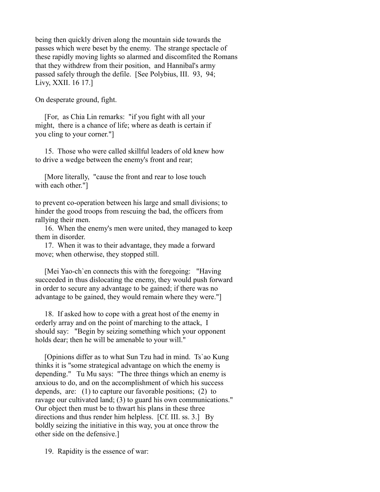being then quickly driven along the mountain side towards the passes which were beset by the enemy. The strange spectacle of these rapidly moving lights so alarmed and discomfited the Romans that they withdrew from their position, and Hannibal's army passed safely through the defile. [See Polybius, III. 93, 94; Livy, XXII. 16 17.]

On desperate ground, fight.

 [For, as Chia Lin remarks: "if you fight with all your might, there is a chance of life; where as death is certain if you cling to your corner."]

 15. Those who were called skillful leaders of old knew how to drive a wedge between the enemy's front and rear;

 [More literally, "cause the front and rear to lose touch with each other."]

to prevent co-operation between his large and small divisions; to hinder the good troops from rescuing the bad, the officers from rallying their men.

 16. When the enemy's men were united, they managed to keep them in disorder.

 17. When it was to their advantage, they made a forward move; when otherwise, they stopped still.

 [Mei Yao-ch`en connects this with the foregoing: "Having succeeded in thus dislocating the enemy, they would push forward in order to secure any advantage to be gained; if there was no advantage to be gained, they would remain where they were."]

 18. If asked how to cope with a great host of the enemy in orderly array and on the point of marching to the attack, I should say: "Begin by seizing something which your opponent holds dear; then he will be amenable to your will."

 [Opinions differ as to what Sun Tzu had in mind. Ts`ao Kung thinks it is "some strategical advantage on which the enemy is depending." Tu Mu says: "The three things which an enemy is anxious to do, and on the accomplishment of which his success depends, are: (1) to capture our favorable positions; (2) to ravage our cultivated land; (3) to guard his own communications." Our object then must be to thwart his plans in these three directions and thus render him helpless. [Cf. III. ss. 3.] By boldly seizing the initiative in this way, you at once throw the other side on the defensive.]

19. Rapidity is the essence of war: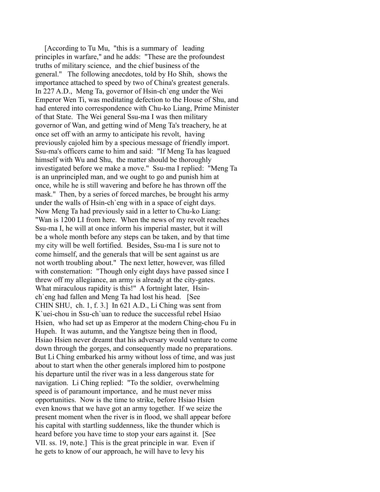[According to Tu Mu, "this is a summary of leading principles in warfare," and he adds: "These are the profoundest truths of military science, and the chief business of the general." The following anecdotes, told by Ho Shih, shows the importance attached to speed by two of China's greatest generals. In 227 A.D., Meng Ta, governor of Hsin-ch`eng under the Wei Emperor Wen Ti, was meditating defection to the House of Shu, and had entered into correspondence with Chu-ko Liang, Prime Minister of that State. The Wei general Ssu-ma I was then military governor of Wan, and getting wind of Meng Ta's treachery, he at once set off with an army to anticipate his revolt, having previously cajoled him by a specious message of friendly import. Ssu-ma's officers came to him and said: "If Meng Ta has leagued himself with Wu and Shu, the matter should be thoroughly investigated before we make a move." Ssu-ma I replied: "Meng Ta is an unprincipled man, and we ought to go and punish him at once, while he is still wavering and before he has thrown off the mask." Then, by a series of forced marches, be brought his army under the walls of Hsin-ch`eng with in a space of eight days. Now Meng Ta had previously said in a letter to Chu-ko Liang: "Wan is 1200 LI from here. When the news of my revolt reaches Ssu-ma I, he will at once inform his imperial master, but it will be a whole month before any steps can be taken, and by that time my city will be well fortified. Besides, Ssu-ma I is sure not to come himself, and the generals that will be sent against us are not worth troubling about." The next letter, however, was filled with consternation: "Though only eight days have passed since I threw off my allegiance, an army is already at the city-gates. What miraculous rapidity is this!" A fortnight later, Hsinch`eng had fallen and Meng Ta had lost his head. [See CHIN SHU, ch. 1, f. 3.] In 621 A.D., Li Ching was sent from K`uei-chou in Ssu-ch`uan to reduce the successful rebel Hsiao Hsien, who had set up as Emperor at the modern Ching-chou Fu in Hupeh. It was autumn, and the Yangtsze being then in flood, Hsiao Hsien never dreamt that his adversary would venture to come down through the gorges, and consequently made no preparations. But Li Ching embarked his army without loss of time, and was just about to start when the other generals implored him to postpone his departure until the river was in a less dangerous state for navigation. Li Ching replied: "To the soldier, overwhelming speed is of paramount importance, and he must never miss opportunities. Now is the time to strike, before Hsiao Hsien even knows that we have got an army together. If we seize the present moment when the river is in flood, we shall appear before his capital with startling suddenness, like the thunder which is heard before you have time to stop your ears against it. [See VII. ss. 19, note.] This is the great principle in war. Even if he gets to know of our approach, he will have to levy his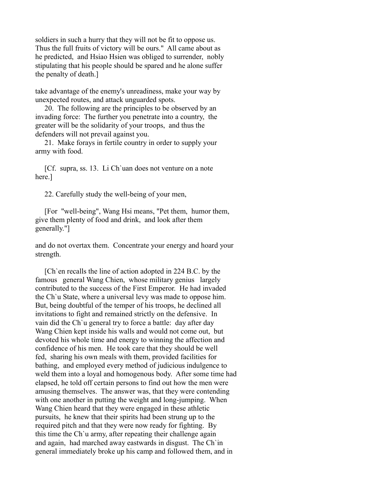soldiers in such a hurry that they will not be fit to oppose us. Thus the full fruits of victory will be ours." All came about as he predicted, and Hsiao Hsien was obliged to surrender, nobly stipulating that his people should be spared and he alone suffer the penalty of death.]

take advantage of the enemy's unreadiness, make your way by unexpected routes, and attack unguarded spots.

 20. The following are the principles to be observed by an invading force: The further you penetrate into a country, the greater will be the solidarity of your troops, and thus the defenders will not prevail against you.

 21. Make forays in fertile country in order to supply your army with food.

 [Cf. supra, ss. 13. Li Ch`uan does not venture on a note here.]

22. Carefully study the well-being of your men,

 [For "well-being", Wang Hsi means, "Pet them, humor them, give them plenty of food and drink, and look after them generally."]

and do not overtax them. Concentrate your energy and hoard your strength.

 [Ch`en recalls the line of action adopted in 224 B.C. by the famous general Wang Chien, whose military genius largely contributed to the success of the First Emperor. He had invaded the Ch`u State, where a universal levy was made to oppose him. But, being doubtful of the temper of his troops, he declined all invitations to fight and remained strictly on the defensive. In vain did the Ch`u general try to force a battle: day after day Wang Chien kept inside his walls and would not come out, but devoted his whole time and energy to winning the affection and confidence of his men. He took care that they should be well fed, sharing his own meals with them, provided facilities for bathing, and employed every method of judicious indulgence to weld them into a loyal and homogenous body. After some time had elapsed, he told off certain persons to find out how the men were amusing themselves. The answer was, that they were contending with one another in putting the weight and long-jumping. When Wang Chien heard that they were engaged in these athletic pursuits, he knew that their spirits had been strung up to the required pitch and that they were now ready for fighting. By this time the Ch`u army, after repeating their challenge again and again, had marched away eastwards in disgust. The Ch`in general immediately broke up his camp and followed them, and in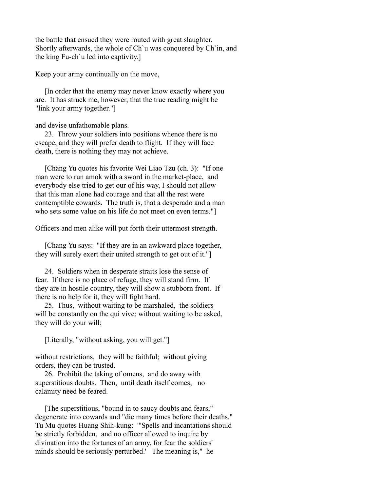the battle that ensued they were routed with great slaughter. Shortly afterwards, the whole of Ch`u was conquered by Ch`in, and the king Fu-ch`u led into captivity.]

Keep your army continually on the move,

 [In order that the enemy may never know exactly where you are. It has struck me, however, that the true reading might be "link your army together."]

and devise unfathomable plans.

 23. Throw your soldiers into positions whence there is no escape, and they will prefer death to flight. If they will face death, there is nothing they may not achieve.

 [Chang Yu quotes his favorite Wei Liao Tzu (ch. 3): "If one man were to run amok with a sword in the market-place, and everybody else tried to get our of his way, I should not allow that this man alone had courage and that all the rest were contemptible cowards. The truth is, that a desperado and a man who sets some value on his life do not meet on even terms."]

Officers and men alike will put forth their uttermost strength.

 [Chang Yu says: "If they are in an awkward place together, they will surely exert their united strength to get out of it."]

 24. Soldiers when in desperate straits lose the sense of fear. If there is no place of refuge, they will stand firm. If they are in hostile country, they will show a stubborn front. If there is no help for it, they will fight hard.

 25. Thus, without waiting to be marshaled, the soldiers will be constantly on the qui vive; without waiting to be asked, they will do your will;

[Literally, "without asking, you will get."]

without restrictions, they will be faithful; without giving orders, they can be trusted.

 26. Prohibit the taking of omens, and do away with superstitious doubts. Then, until death itself comes, no calamity need be feared.

 [The superstitious, "bound in to saucy doubts and fears," degenerate into cowards and "die many times before their deaths." Tu Mu quotes Huang Shih-kung: "'Spells and incantations should be strictly forbidden, and no officer allowed to inquire by divination into the fortunes of an army, for fear the soldiers' minds should be seriously perturbed.' The meaning is," he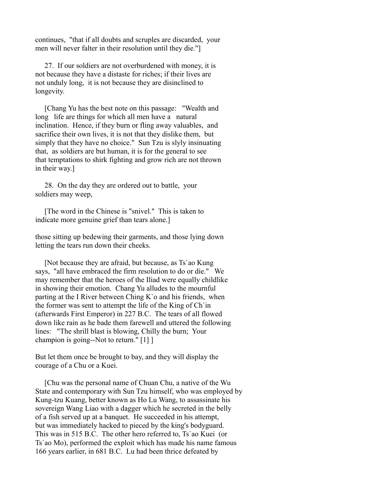continues, "that if all doubts and scruples are discarded, your men will never falter in their resolution until they die."]

 27. If our soldiers are not overburdened with money, it is not because they have a distaste for riches; if their lives are not unduly long, it is not because they are disinclined to longevity.

 [Chang Yu has the best note on this passage: "Wealth and long life are things for which all men have a natural inclination. Hence, if they burn or fling away valuables, and sacrifice their own lives, it is not that they dislike them, but simply that they have no choice." Sun Tzu is slyly insinuating that, as soldiers are but human, it is for the general to see that temptations to shirk fighting and grow rich are not thrown in their way.]

 28. On the day they are ordered out to battle, your soldiers may weep,

 [The word in the Chinese is "snivel." This is taken to indicate more genuine grief than tears alone.]

those sitting up bedewing their garments, and those lying down letting the tears run down their cheeks.

 [Not because they are afraid, but because, as Ts`ao Kung says, "all have embraced the firm resolution to do or die." We may remember that the heroes of the Iliad were equally childlike in showing their emotion. Chang Yu alludes to the mournful parting at the I River between Ching K`o and his friends, when the former was sent to attempt the life of the King of Ch`in (afterwards First Emperor) in 227 B.C. The tears of all flowed down like rain as he bade them farewell and uttered the following lines: "The shrill blast is blowing, Chilly the burn; Your champion is going--Not to return." [1] ]

But let them once be brought to bay, and they will display the courage of a Chu or a Kuei.

 [Chu was the personal name of Chuan Chu, a native of the Wu State and contemporary with Sun Tzu himself, who was employed by Kung-tzu Kuang, better known as Ho Lu Wang, to assassinate his sovereign Wang Liao with a dagger which he secreted in the belly of a fish served up at a banquet. He succeeded in his attempt, but was immediately hacked to pieced by the king's bodyguard. This was in 515 B.C. The other hero referred to, Ts`ao Kuei (or Ts`ao Mo), performed the exploit which has made his name famous 166 years earlier, in 681 B.C. Lu had been thrice defeated by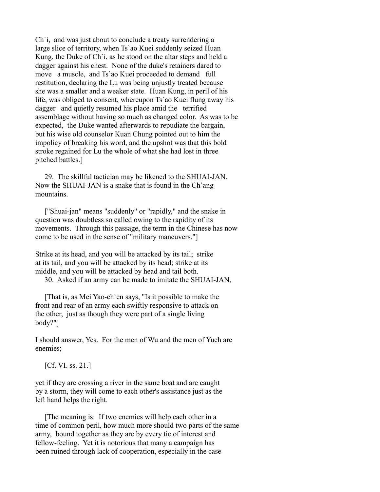Ch`i, and was just about to conclude a treaty surrendering a large slice of territory, when Ts`ao Kuei suddenly seized Huan Kung, the Duke of Ch`i, as he stood on the altar steps and held a dagger against his chest. None of the duke's retainers dared to move a muscle, and Ts`ao Kuei proceeded to demand full restitution, declaring the Lu was being unjustly treated because she was a smaller and a weaker state. Huan Kung, in peril of his life, was obliged to consent, whereupon Ts`ao Kuei flung away his dagger and quietly resumed his place amid the terrified assemblage without having so much as changed color. As was to be expected, the Duke wanted afterwards to repudiate the bargain, but his wise old counselor Kuan Chung pointed out to him the impolicy of breaking his word, and the upshot was that this bold stroke regained for Lu the whole of what she had lost in three pitched battles.]

 29. The skillful tactician may be likened to the SHUAI-JAN. Now the SHUAI-JAN is a snake that is found in the Ch`ang mountains.

 ["Shuai-jan" means "suddenly" or "rapidly," and the snake in question was doubtless so called owing to the rapidity of its movements. Through this passage, the term in the Chinese has now come to be used in the sense of "military maneuvers."]

Strike at its head, and you will be attacked by its tail; strike at its tail, and you will be attacked by its head; strike at its middle, and you will be attacked by head and tail both.

30. Asked if an army can be made to imitate the SHUAI-JAN,

 [That is, as Mei Yao-ch`en says, "Is it possible to make the front and rear of an army each swiftly responsive to attack on the other, just as though they were part of a single living body?"]

I should answer, Yes. For the men of Wu and the men of Yueh are enemies;

[Cf. VI. ss. 21.]

yet if they are crossing a river in the same boat and are caught by a storm, they will come to each other's assistance just as the left hand helps the right.

 [The meaning is: If two enemies will help each other in a time of common peril, how much more should two parts of the same army, bound together as they are by every tie of interest and fellow-feeling. Yet it is notorious that many a campaign has been ruined through lack of cooperation, especially in the case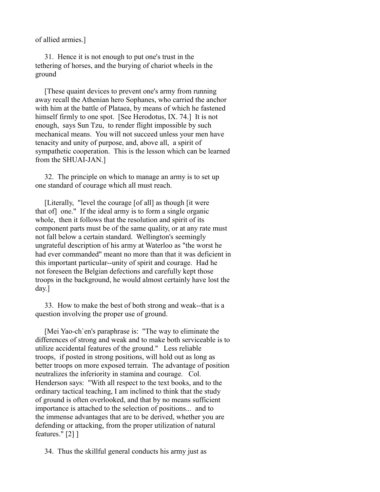of allied armies.]

 31. Hence it is not enough to put one's trust in the tethering of horses, and the burying of chariot wheels in the ground

 [These quaint devices to prevent one's army from running away recall the Athenian hero Sophanes, who carried the anchor with him at the battle of Plataea, by means of which he fastened himself firmly to one spot. [See Herodotus, IX. 74.] It is not enough, says Sun Tzu, to render flight impossible by such mechanical means. You will not succeed unless your men have tenacity and unity of purpose, and, above all, a spirit of sympathetic cooperation. This is the lesson which can be learned from the SHUAI-JAN.]

 32. The principle on which to manage an army is to set up one standard of courage which all must reach.

 [Literally, "level the courage [of all] as though [it were that of] one." If the ideal army is to form a single organic whole, then it follows that the resolution and spirit of its component parts must be of the same quality, or at any rate must not fall below a certain standard. Wellington's seemingly ungrateful description of his army at Waterloo as "the worst he had ever commanded" meant no more than that it was deficient in this important particular--unity of spirit and courage. Had he not foreseen the Belgian defections and carefully kept those troops in the background, he would almost certainly have lost the day.]

 33. How to make the best of both strong and weak--that is a question involving the proper use of ground.

 [Mei Yao-ch`en's paraphrase is: "The way to eliminate the differences of strong and weak and to make both serviceable is to utilize accidental features of the ground." Less reliable troops, if posted in strong positions, will hold out as long as better troops on more exposed terrain. The advantage of position neutralizes the inferiority in stamina and courage. Col. Henderson says: "With all respect to the text books, and to the ordinary tactical teaching, I am inclined to think that the study of ground is often overlooked, and that by no means sufficient importance is attached to the selection of positions... and to the immense advantages that are to be derived, whether you are defending or attacking, from the proper utilization of natural features." [2] ]

34. Thus the skillful general conducts his army just as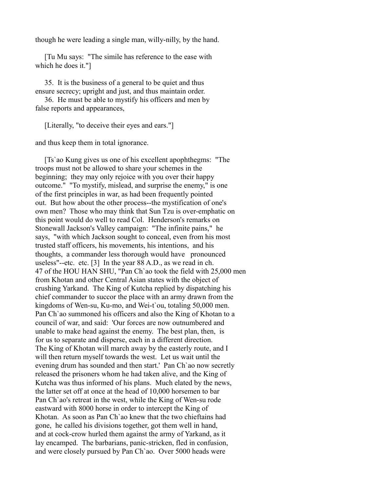though he were leading a single man, willy-nilly, by the hand.

 [Tu Mu says: "The simile has reference to the ease with which he does it."]

 35. It is the business of a general to be quiet and thus ensure secrecy; upright and just, and thus maintain order.

 36. He must be able to mystify his officers and men by false reports and appearances,

[Literally, "to deceive their eyes and ears."]

and thus keep them in total ignorance.

 [Ts`ao Kung gives us one of his excellent apophthegms: "The troops must not be allowed to share your schemes in the beginning; they may only rejoice with you over their happy outcome." "To mystify, mislead, and surprise the enemy," is one of the first principles in war, as had been frequently pointed out. But how about the other process--the mystification of one's own men? Those who may think that Sun Tzu is over-emphatic on this point would do well to read Col. Henderson's remarks on Stonewall Jackson's Valley campaign: "The infinite pains," he says, "with which Jackson sought to conceal, even from his most trusted staff officers, his movements, his intentions, and his thoughts, a commander less thorough would have pronounced useless"--etc. etc. [3] In the year 88 A.D., as we read in ch. 47 of the HOU HAN SHU, "Pan Ch`ao took the field with 25,000 men from Khotan and other Central Asian states with the object of crushing Yarkand. The King of Kutcha replied by dispatching his chief commander to succor the place with an army drawn from the kingdoms of Wen-su, Ku-mo, and Wei-t`ou, totaling 50,000 men. Pan Ch`ao summoned his officers and also the King of Khotan to a council of war, and said: 'Our forces are now outnumbered and unable to make head against the enemy. The best plan, then, is for us to separate and disperse, each in a different direction. The King of Khotan will march away by the easterly route, and I will then return myself towards the west. Let us wait until the evening drum has sounded and then start.' Pan Ch`ao now secretly released the prisoners whom he had taken alive, and the King of Kutcha was thus informed of his plans. Much elated by the news, the latter set off at once at the head of 10,000 horsemen to bar Pan Ch`ao's retreat in the west, while the King of Wen-su rode eastward with 8000 horse in order to intercept the King of Khotan. As soon as Pan Ch`ao knew that the two chieftains had gone, he called his divisions together, got them well in hand, and at cock-crow hurled them against the army of Yarkand, as it lay encamped. The barbarians, panic-stricken, fled in confusion, and were closely pursued by Pan Ch`ao. Over 5000 heads were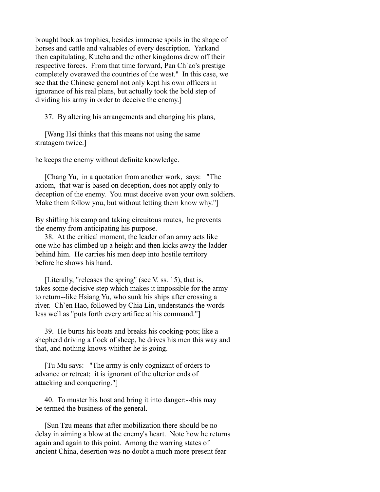brought back as trophies, besides immense spoils in the shape of horses and cattle and valuables of every description. Yarkand then capitulating, Kutcha and the other kingdoms drew off their respective forces. From that time forward, Pan Ch`ao's prestige completely overawed the countries of the west." In this case, we see that the Chinese general not only kept his own officers in ignorance of his real plans, but actually took the bold step of dividing his army in order to deceive the enemy.]

37. By altering his arrangements and changing his plans,

 [Wang Hsi thinks that this means not using the same stratagem twice.]

he keeps the enemy without definite knowledge.

 [Chang Yu, in a quotation from another work, says: "The axiom, that war is based on deception, does not apply only to deception of the enemy. You must deceive even your own soldiers. Make them follow you, but without letting them know why."

By shifting his camp and taking circuitous routes, he prevents the enemy from anticipating his purpose.

 38. At the critical moment, the leader of an army acts like one who has climbed up a height and then kicks away the ladder behind him. He carries his men deep into hostile territory before he shows his hand.

 [Literally, "releases the spring" (see V. ss. 15), that is, takes some decisive step which makes it impossible for the army to return--like Hsiang Yu, who sunk his ships after crossing a river. Ch`en Hao, followed by Chia Lin, understands the words less well as "puts forth every artifice at his command."]

 39. He burns his boats and breaks his cooking-pots; like a shepherd driving a flock of sheep, he drives his men this way and that, and nothing knows whither he is going.

 [Tu Mu says: "The army is only cognizant of orders to advance or retreat; it is ignorant of the ulterior ends of attacking and conquering."]

 40. To muster his host and bring it into danger:--this may be termed the business of the general.

 [Sun Tzu means that after mobilization there should be no delay in aiming a blow at the enemy's heart. Note how he returns again and again to this point. Among the warring states of ancient China, desertion was no doubt a much more present fear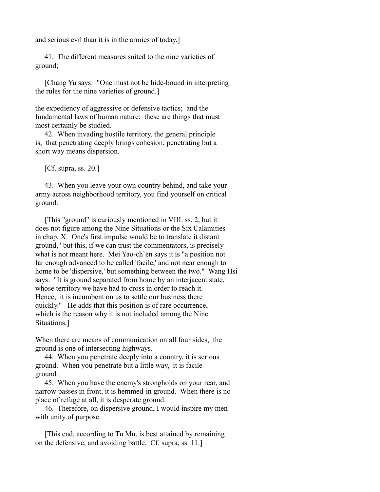and serious evil than it is in the armies of today.]

 41. The different measures suited to the nine varieties of ground;

 [Chang Yu says: "One must not be hide-bound in interpreting the rules for the nine varieties of ground.]

the expediency of aggressive or defensive tactics; and the fundamental laws of human nature: these are things that must most certainly be studied.

 42. When invading hostile territory, the general principle is, that penetrating deeply brings cohesion; penetrating but a short way means dispersion.

[Cf. supra, ss. 20.]

 43. When you leave your own country behind, and take your army across neighborhood territory, you find yourself on critical ground.

 [This "ground" is curiously mentioned in VIII. ss. 2, but it does not figure among the Nine Situations or the Six Calamities in chap. X. One's first impulse would be to translate it distant ground," but this, if we can trust the commentators, is precisely what is not meant here. Mei Yao-ch`en says it is "a position not far enough advanced to be called 'facile,' and not near enough to home to be 'dispersive,' but something between the two." Wang Hsi says: "It is ground separated from home by an interjacent state, whose territory we have had to cross in order to reach it. Hence, it is incumbent on us to settle our business there quickly." He adds that this position is of rare occurrence, which is the reason why it is not included among the Nine Situations.]

When there are means of communication on all four sides, the ground is one of intersecting highways.

 44. When you penetrate deeply into a country, it is serious ground. When you penetrate but a little way, it is facile ground.

 45. When you have the enemy's strongholds on your rear, and narrow passes in front, it is hemmed-in ground. When there is no place of refuge at all, it is desperate ground.

 46. Therefore, on dispersive ground, I would inspire my men with unity of purpose.

 [This end, according to Tu Mu, is best attained by remaining on the defensive, and avoiding battle. Cf. supra, ss. 11.]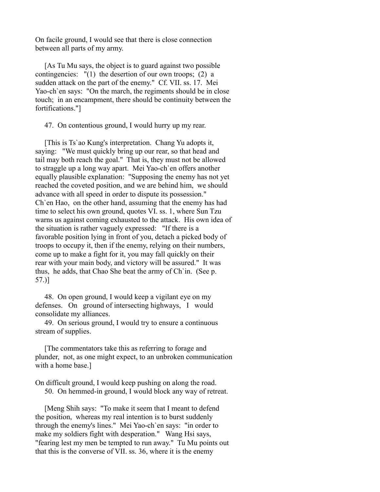On facile ground, I would see that there is close connection between all parts of my army.

 [As Tu Mu says, the object is to guard against two possible contingencies: "(1) the desertion of our own troops; (2) a sudden attack on the part of the enemy." Cf. VII. ss. 17. Mei Yao-ch`en says: "On the march, the regiments should be in close touch; in an encampment, there should be continuity between the fortifications."]

47. On contentious ground, I would hurry up my rear.

 [This is Ts`ao Kung's interpretation. Chang Yu adopts it, saying: "We must quickly bring up our rear, so that head and tail may both reach the goal." That is, they must not be allowed to straggle up a long way apart. Mei Yao-ch`en offers another equally plausible explanation: "Supposing the enemy has not yet reached the coveted position, and we are behind him, we should advance with all speed in order to dispute its possession." Ch`en Hao, on the other hand, assuming that the enemy has had time to select his own ground, quotes VI. ss. 1, where Sun Tzu warns us against coming exhausted to the attack. His own idea of the situation is rather vaguely expressed: "If there is a favorable position lying in front of you, detach a picked body of troops to occupy it, then if the enemy, relying on their numbers, come up to make a fight for it, you may fall quickly on their rear with your main body, and victory will be assured." It was thus, he adds, that Chao She beat the army of Ch`in. (See p. 57.)]

 48. On open ground, I would keep a vigilant eye on my defenses. On ground of intersecting highways, I would consolidate my alliances.

 49. On serious ground, I would try to ensure a continuous stream of supplies.

 [The commentators take this as referring to forage and plunder, not, as one might expect, to an unbroken communication with a home base.]

On difficult ground, I would keep pushing on along the road. 50. On hemmed-in ground, I would block any way of retreat.

 [Meng Shih says: "To make it seem that I meant to defend the position, whereas my real intention is to burst suddenly through the enemy's lines." Mei Yao-ch`en says: "in order to make my soldiers fight with desperation." Wang Hsi says, "fearing lest my men be tempted to run away." Tu Mu points out that this is the converse of VII. ss. 36, where it is the enemy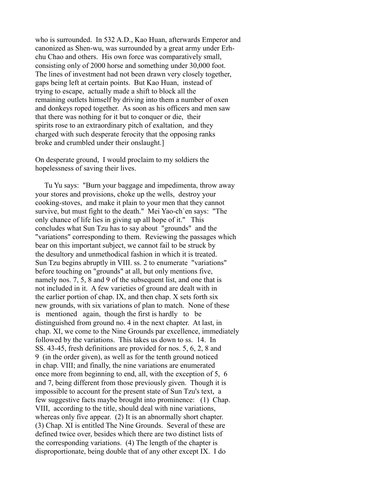who is surrounded. In 532 A.D., Kao Huan, afterwards Emperor and canonized as Shen-wu, was surrounded by a great army under Erhchu Chao and others. His own force was comparatively small, consisting only of 2000 horse and something under 30,000 foot. The lines of investment had not been drawn very closely together, gaps being left at certain points. But Kao Huan, instead of trying to escape, actually made a shift to block all the remaining outlets himself by driving into them a number of oxen and donkeys roped together. As soon as his officers and men saw that there was nothing for it but to conquer or die, their spirits rose to an extraordinary pitch of exaltation, and they charged with such desperate ferocity that the opposing ranks broke and crumbled under their onslaught.]

On desperate ground, I would proclaim to my soldiers the hopelessness of saving their lives.

 Tu Yu says: "Burn your baggage and impedimenta, throw away your stores and provisions, choke up the wells, destroy your cooking-stoves, and make it plain to your men that they cannot survive, but must fight to the death." Mei Yao-ch`en says: "The only chance of life lies in giving up all hope of it." This concludes what Sun Tzu has to say about "grounds" and the "variations" corresponding to them. Reviewing the passages which bear on this important subject, we cannot fail to be struck by the desultory and unmethodical fashion in which it is treated. Sun Tzu begins abruptly in VIII. ss. 2 to enumerate "variations" before touching on "grounds" at all, but only mentions five, namely nos. 7, 5, 8 and 9 of the subsequent list, and one that is not included in it. A few varieties of ground are dealt with in the earlier portion of chap. IX, and then chap. X sets forth six new grounds, with six variations of plan to match. None of these is mentioned again, though the first is hardly to be distinguished from ground no. 4 in the next chapter. At last, in chap. XI, we come to the Nine Grounds par excellence, immediately followed by the variations. This takes us down to ss. 14. In SS. 43-45, fresh definitions are provided for nos. 5, 6, 2, 8 and 9 (in the order given), as well as for the tenth ground noticed in chap. VIII; and finally, the nine variations are enumerated once more from beginning to end, all, with the exception of 5, 6 and 7, being different from those previously given. Though it is impossible to account for the present state of Sun Tzu's text, a few suggestive facts maybe brought into prominence: (1) Chap. VIII, according to the title, should deal with nine variations, whereas only five appear. (2) It is an abnormally short chapter. (3) Chap. XI is entitled The Nine Grounds. Several of these are defined twice over, besides which there are two distinct lists of the corresponding variations. (4) The length of the chapter is disproportionate, being double that of any other except IX. I do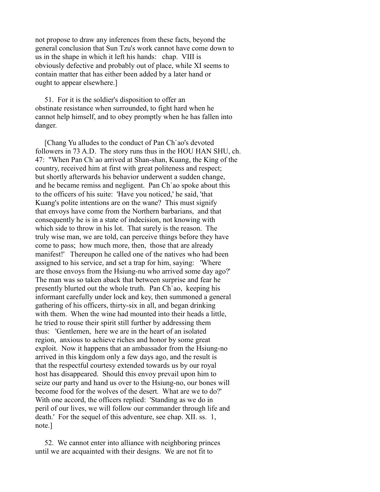not propose to draw any inferences from these facts, beyond the general conclusion that Sun Tzu's work cannot have come down to us in the shape in which it left his hands: chap. VIII is obviously defective and probably out of place, while XI seems to contain matter that has either been added by a later hand or ought to appear elsewhere.]

 51. For it is the soldier's disposition to offer an obstinate resistance when surrounded, to fight hard when he cannot help himself, and to obey promptly when he has fallen into danger.

 [Chang Yu alludes to the conduct of Pan Ch`ao's devoted followers in 73 A.D. The story runs thus in the HOU HAN SHU, ch. 47: "When Pan Ch`ao arrived at Shan-shan, Kuang, the King of the country, received him at first with great politeness and respect; but shortly afterwards his behavior underwent a sudden change, and he became remiss and negligent. Pan Ch`ao spoke about this to the officers of his suite: 'Have you noticed,' he said, 'that Kuang's polite intentions are on the wane? This must signify that envoys have come from the Northern barbarians, and that consequently he is in a state of indecision, not knowing with which side to throw in his lot. That surely is the reason. The truly wise man, we are told, can perceive things before they have come to pass; how much more, then, those that are already manifest!' Thereupon he called one of the natives who had been assigned to his service, and set a trap for him, saying: 'Where are those envoys from the Hsiung-nu who arrived some day ago?' The man was so taken aback that between surprise and fear he presently blurted out the whole truth. Pan Ch`ao, keeping his informant carefully under lock and key, then summoned a general gathering of his officers, thirty-six in all, and began drinking with them. When the wine had mounted into their heads a little, he tried to rouse their spirit still further by addressing them thus: 'Gentlemen, here we are in the heart of an isolated region, anxious to achieve riches and honor by some great exploit. Now it happens that an ambassador from the Hsiung-no arrived in this kingdom only a few days ago, and the result is that the respectful courtesy extended towards us by our royal host has disappeared. Should this envoy prevail upon him to seize our party and hand us over to the Hsiung-no, our bones will become food for the wolves of the desert. What are we to do?' With one accord, the officers replied: 'Standing as we do in peril of our lives, we will follow our commander through life and death.' For the sequel of this adventure, see chap. XII. ss. 1, note.]

 52. We cannot enter into alliance with neighboring princes until we are acquainted with their designs. We are not fit to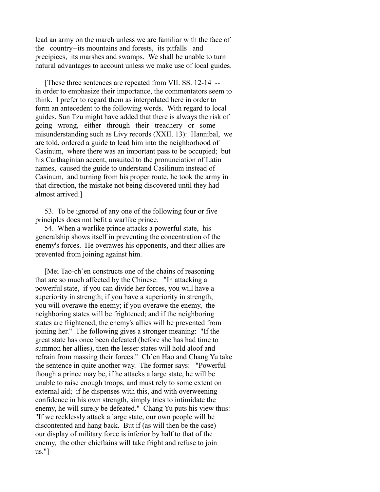lead an army on the march unless we are familiar with the face of the country--its mountains and forests, its pitfalls and precipices, its marshes and swamps. We shall be unable to turn natural advantages to account unless we make use of local guides.

 [These three sentences are repeated from VII. SS. 12-14 - in order to emphasize their importance, the commentators seem to think. I prefer to regard them as interpolated here in order to form an antecedent to the following words. With regard to local guides, Sun Tzu might have added that there is always the risk of going wrong, either through their treachery or some misunderstanding such as Livy records (XXII. 13): Hannibal, we are told, ordered a guide to lead him into the neighborhood of Casinum, where there was an important pass to be occupied; but his Carthaginian accent, unsuited to the pronunciation of Latin names, caused the guide to understand Casilinum instead of Casinum, and turning from his proper route, he took the army in that direction, the mistake not being discovered until they had almost arrived.]

 53. To be ignored of any one of the following four or five principles does not befit a warlike prince.

 54. When a warlike prince attacks a powerful state, his generalship shows itself in preventing the concentration of the enemy's forces. He overawes his opponents, and their allies are prevented from joining against him.

 [Mei Tao-ch`en constructs one of the chains of reasoning that are so much affected by the Chinese: "In attacking a powerful state, if you can divide her forces, you will have a superiority in strength; if you have a superiority in strength, you will overawe the enemy; if you overawe the enemy, the neighboring states will be frightened; and if the neighboring states are frightened, the enemy's allies will be prevented from joining her." The following gives a stronger meaning: "If the great state has once been defeated (before she has had time to summon her allies), then the lesser states will hold aloof and refrain from massing their forces." Ch`en Hao and Chang Yu take the sentence in quite another way. The former says: "Powerful though a prince may be, if he attacks a large state, he will be unable to raise enough troops, and must rely to some extent on external aid; if he dispenses with this, and with overweening confidence in his own strength, simply tries to intimidate the enemy, he will surely be defeated." Chang Yu puts his view thus: "If we recklessly attack a large state, our own people will be discontented and hang back. But if (as will then be the case) our display of military force is inferior by half to that of the enemy, the other chieftains will take fright and refuse to join us."]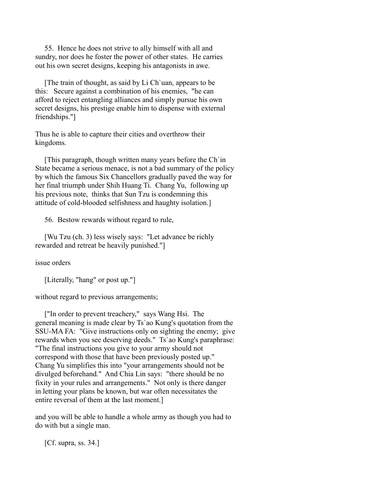55. Hence he does not strive to ally himself with all and sundry, nor does he foster the power of other states. He carries out his own secret designs, keeping his antagonists in awe.

 [The train of thought, as said by Li Ch`uan, appears to be this: Secure against a combination of his enemies, "he can afford to reject entangling alliances and simply pursue his own secret designs, his prestige enable him to dispense with external friendships."]

Thus he is able to capture their cities and overthrow their kingdoms.

 [This paragraph, though written many years before the Ch`in State became a serious menace, is not a bad summary of the policy by which the famous Six Chancellors gradually paved the way for her final triumph under Shih Huang Ti. Chang Yu, following up his previous note, thinks that Sun Tzu is condemning this attitude of cold-blooded selfishness and haughty isolation.]

56. Bestow rewards without regard to rule,

 [Wu Tzu (ch. 3) less wisely says: "Let advance be richly rewarded and retreat be heavily punished."]

issue orders

[Literally, "hang" or post up."]

without regard to previous arrangements;

 ["In order to prevent treachery," says Wang Hsi. The general meaning is made clear by Ts`ao Kung's quotation from the SSU-MA FA: "Give instructions only on sighting the enemy; give rewards when you see deserving deeds." Ts`ao Kung's paraphrase: "The final instructions you give to your army should not correspond with those that have been previously posted up." Chang Yu simplifies this into "your arrangements should not be divulged beforehand." And Chia Lin says: "there should be no fixity in your rules and arrangements." Not only is there danger in letting your plans be known, but war often necessitates the entire reversal of them at the last moment.]

and you will be able to handle a whole army as though you had to do with but a single man.

[Cf. supra, ss. 34.]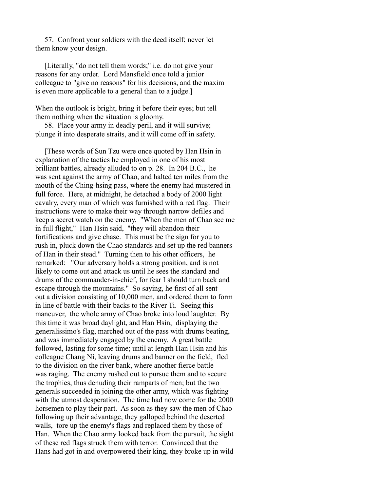57. Confront your soldiers with the deed itself; never let them know your design.

 [Literally, "do not tell them words;" i.e. do not give your reasons for any order. Lord Mansfield once told a junior colleague to "give no reasons" for his decisions, and the maxim is even more applicable to a general than to a judge.]

When the outlook is bright, bring it before their eyes; but tell them nothing when the situation is gloomy.

 58. Place your army in deadly peril, and it will survive; plunge it into desperate straits, and it will come off in safety.

 [These words of Sun Tzu were once quoted by Han Hsin in explanation of the tactics he employed in one of his most brilliant battles, already alluded to on p. 28. In 204 B.C., he was sent against the army of Chao, and halted ten miles from the mouth of the Ching-hsing pass, where the enemy had mustered in full force. Here, at midnight, he detached a body of 2000 light cavalry, every man of which was furnished with a red flag. Their instructions were to make their way through narrow defiles and keep a secret watch on the enemy. "When the men of Chao see me in full flight," Han Hsin said, "they will abandon their fortifications and give chase. This must be the sign for you to rush in, pluck down the Chao standards and set up the red banners of Han in their stead." Turning then to his other officers, he remarked: "Our adversary holds a strong position, and is not likely to come out and attack us until he sees the standard and drums of the commander-in-chief, for fear I should turn back and escape through the mountains." So saying, he first of all sent out a division consisting of 10,000 men, and ordered them to form in line of battle with their backs to the River Ti. Seeing this maneuver, the whole army of Chao broke into loud laughter. By this time it was broad daylight, and Han Hsin, displaying the generalissimo's flag, marched out of the pass with drums beating, and was immediately engaged by the enemy. A great battle followed, lasting for some time; until at length Han Hsin and his colleague Chang Ni, leaving drums and banner on the field, fled to the division on the river bank, where another fierce battle was raging. The enemy rushed out to pursue them and to secure the trophies, thus denuding their ramparts of men; but the two generals succeeded in joining the other army, which was fighting with the utmost desperation. The time had now come for the 2000 horsemen to play their part. As soon as they saw the men of Chao following up their advantage, they galloped behind the deserted walls, tore up the enemy's flags and replaced them by those of Han. When the Chao army looked back from the pursuit, the sight of these red flags struck them with terror. Convinced that the Hans had got in and overpowered their king, they broke up in wild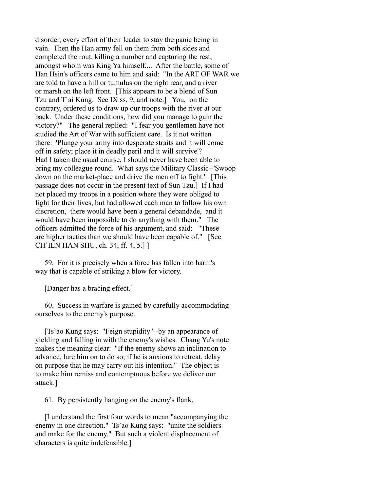disorder, every effort of their leader to stay the panic being in vain. Then the Han army fell on them from both sides and completed the rout, killing a number and capturing the rest, amongst whom was King Ya himself.... After the battle, some of Han Hsin's officers came to him and said: "In the ART OF WAR we are told to have a hill or tumulus on the right rear, and a river or marsh on the left front. [This appears to be a blend of Sun Tzu and T`ai Kung. See IX ss. 9, and note.] You, on the contrary, ordered us to draw up our troops with the river at our back. Under these conditions, how did you manage to gain the victory?" The general replied: "I fear you gentlemen have not studied the Art of War with sufficient care. Is it not written there: 'Plunge your army into desperate straits and it will come off in safety; place it in deadly peril and it will survive'? Had I taken the usual course, I should never have been able to bring my colleague round. What says the Military Classic--'Swoop down on the market-place and drive the men off to fight.' [This passage does not occur in the present text of Sun Tzu.] If I had not placed my troops in a position where they were obliged to fight for their lives, but had allowed each man to follow his own discretion, there would have been a general debandade, and it would have been impossible to do anything with them." The officers admitted the force of his argument, and said: "These are higher tactics than we should have been capable of." [See CH`IEN HAN SHU, ch. 34, ff. 4, 5.] ]

 59. For it is precisely when a force has fallen into harm's way that is capable of striking a blow for victory.

[Danger has a bracing effect.]

 60. Success in warfare is gained by carefully accommodating ourselves to the enemy's purpose.

 [Ts`ao Kung says: "Feign stupidity"--by an appearance of yielding and falling in with the enemy's wishes. Chang Yu's note makes the meaning clear: "If the enemy shows an inclination to advance, lure him on to do so; if he is anxious to retreat, delay on purpose that he may carry out his intention." The object is to make him remiss and contemptuous before we deliver our attack.]

61. By persistently hanging on the enemy's flank,

 [I understand the first four words to mean "accompanying the enemy in one direction." Ts`ao Kung says: "unite the soldiers and make for the enemy." But such a violent displacement of characters is quite indefensible.]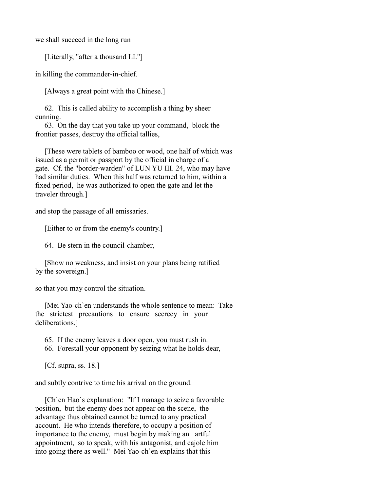we shall succeed in the long run

[Literally, "after a thousand LI."]

in killing the commander-in-chief.

[Always a great point with the Chinese.]

 62. This is called ability to accomplish a thing by sheer cunning.

 63. On the day that you take up your command, block the frontier passes, destroy the official tallies,

 [These were tablets of bamboo or wood, one half of which was issued as a permit or passport by the official in charge of a gate. Cf. the "border-warden" of LUN YU III. 24, who may have had similar duties. When this half was returned to him, within a fixed period, he was authorized to open the gate and let the traveler through.]

and stop the passage of all emissaries.

[Either to or from the enemy's country.]

64. Be stern in the council-chamber,

 [Show no weakness, and insist on your plans being ratified by the sovereign.]

so that you may control the situation.

 [Mei Yao-ch`en understands the whole sentence to mean: Take the strictest precautions to ensure secrecy in your deliberations.]

 65. If the enemy leaves a door open, you must rush in. 66. Forestall your opponent by seizing what he holds dear,

[Cf. supra, ss. 18.]

and subtly contrive to time his arrival on the ground.

 [Ch`en Hao`s explanation: "If I manage to seize a favorable position, but the enemy does not appear on the scene, the advantage thus obtained cannot be turned to any practical account. He who intends therefore, to occupy a position of importance to the enemy, must begin by making an artful appointment, so to speak, with his antagonist, and cajole him into going there as well." Mei Yao-ch`en explains that this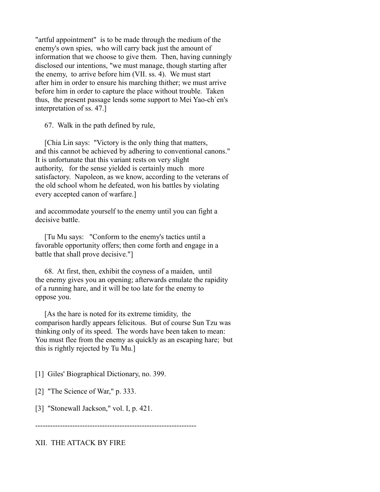"artful appointment" is to be made through the medium of the enemy's own spies, who will carry back just the amount of information that we choose to give them. Then, having cunningly disclosed our intentions, "we must manage, though starting after the enemy, to arrive before him (VII. ss. 4). We must start after him in order to ensure his marching thither; we must arrive before him in order to capture the place without trouble. Taken thus, the present passage lends some support to Mei Yao-ch`en's interpretation of ss. 47.]

67. Walk in the path defined by rule,

 [Chia Lin says: "Victory is the only thing that matters, and this cannot be achieved by adhering to conventional canons." It is unfortunate that this variant rests on very slight authority, for the sense yielded is certainly much more satisfactory. Napoleon, as we know, according to the veterans of the old school whom he defeated, won his battles by violating every accepted canon of warfare.]

and accommodate yourself to the enemy until you can fight a decisive battle

 [Tu Mu says: "Conform to the enemy's tactics until a favorable opportunity offers; then come forth and engage in a battle that shall prove decisive."]

 68. At first, then, exhibit the coyness of a maiden, until the enemy gives you an opening; afterwards emulate the rapidity of a running hare, and it will be too late for the enemy to oppose you.

 [As the hare is noted for its extreme timidity, the comparison hardly appears felicitous. But of course Sun Tzu was thinking only of its speed. The words have been taken to mean: You must flee from the enemy as quickly as an escaping hare; but this is rightly rejected by Tu Mu.]

[1] Giles' Biographical Dictionary, no. 399.

[2] "The Science of War," p. 333.

[3] "Stonewall Jackson," vol. I, p. 421.

-----------------------------------------------------------------

XII. THE ATTACK BY FIRE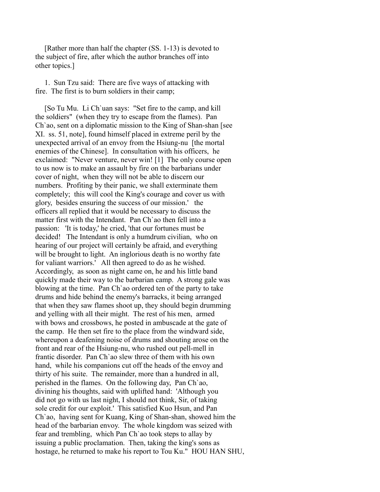[Rather more than half the chapter (SS. 1-13) is devoted to the subject of fire, after which the author branches off into other topics.]

 1. Sun Tzu said: There are five ways of attacking with fire. The first is to burn soldiers in their camp;

 [So Tu Mu. Li Ch`uan says: "Set fire to the camp, and kill the soldiers" (when they try to escape from the flames). Pan Ch`ao, sent on a diplomatic mission to the King of Shan-shan [see XI. ss. 51, note], found himself placed in extreme peril by the unexpected arrival of an envoy from the Hsiung-nu [the mortal enemies of the Chinese]. In consultation with his officers, he exclaimed: "Never venture, never win! [1] The only course open to us now is to make an assault by fire on the barbarians under cover of night, when they will not be able to discern our numbers. Profiting by their panic, we shall exterminate them completely; this will cool the King's courage and cover us with glory, besides ensuring the success of our mission.' the officers all replied that it would be necessary to discuss the matter first with the Intendant. Pan Ch`ao then fell into a passion: 'It is today,' he cried, 'that our fortunes must be decided! The Intendant is only a humdrum civilian, who on hearing of our project will certainly be afraid, and everything will be brought to light. An inglorious death is no worthy fate for valiant warriors.' All then agreed to do as he wished. Accordingly, as soon as night came on, he and his little band quickly made their way to the barbarian camp. A strong gale was blowing at the time. Pan Ch`ao ordered ten of the party to take drums and hide behind the enemy's barracks, it being arranged that when they saw flames shoot up, they should begin drumming and yelling with all their might. The rest of his men, armed with bows and crossbows, he posted in ambuscade at the gate of the camp. He then set fire to the place from the windward side, whereupon a deafening noise of drums and shouting arose on the front and rear of the Hsiung-nu, who rushed out pell-mell in frantic disorder. Pan Ch`ao slew three of them with his own hand, while his companions cut off the heads of the envoy and thirty of his suite. The remainder, more than a hundred in all, perished in the flames. On the following day, Pan Ch`ao, divining his thoughts, said with uplifted hand: 'Although you did not go with us last night, I should not think, Sir, of taking sole credit for our exploit.' This satisfied Kuo Hsun, and Pan Ch`ao, having sent for Kuang, King of Shan-shan, showed him the head of the barbarian envoy. The whole kingdom was seized with fear and trembling, which Pan Ch`ao took steps to allay by issuing a public proclamation. Then, taking the king's sons as hostage, he returned to make his report to Tou Ku." HOU HAN SHU,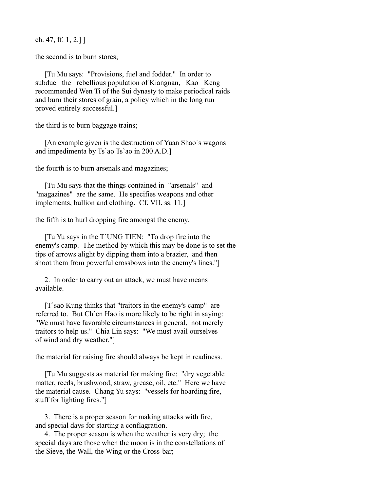ch. 47, ff. 1, 2.] ]

the second is to burn stores;

 [Tu Mu says: "Provisions, fuel and fodder." In order to subdue the rebellious population of Kiangnan, Kao Keng recommended Wen Ti of the Sui dynasty to make periodical raids and burn their stores of grain, a policy which in the long run proved entirely successful.]

the third is to burn baggage trains;

 [An example given is the destruction of Yuan Shao`s wagons and impedimenta by Ts`ao Ts`ao in 200 A.D.]

the fourth is to burn arsenals and magazines;

 [Tu Mu says that the things contained in "arsenals" and "magazines" are the same. He specifies weapons and other implements, bullion and clothing. Cf. VII. ss. 11.]

the fifth is to hurl dropping fire amongst the enemy.

 [Tu Yu says in the T`UNG TIEN: "To drop fire into the enemy's camp. The method by which this may be done is to set the tips of arrows alight by dipping them into a brazier, and then shoot them from powerful crossbows into the enemy's lines."]

 2. In order to carry out an attack, we must have means available.

 [T`sao Kung thinks that "traitors in the enemy's camp" are referred to. But Ch`en Hao is more likely to be right in saying: "We must have favorable circumstances in general, not merely traitors to help us." Chia Lin says: "We must avail ourselves of wind and dry weather."]

the material for raising fire should always be kept in readiness.

 [Tu Mu suggests as material for making fire: "dry vegetable matter, reeds, brushwood, straw, grease, oil, etc." Here we have the material cause. Chang Yu says: "vessels for hoarding fire, stuff for lighting fires."]

 3. There is a proper season for making attacks with fire, and special days for starting a conflagration.

 4. The proper season is when the weather is very dry; the special days are those when the moon is in the constellations of the Sieve, the Wall, the Wing or the Cross-bar;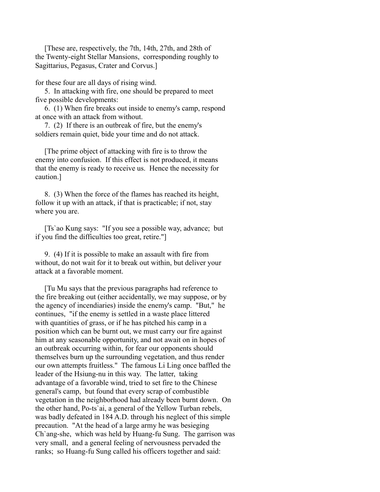[These are, respectively, the 7th, 14th, 27th, and 28th of the Twenty-eight Stellar Mansions, corresponding roughly to Sagittarius, Pegasus, Crater and Corvus.]

for these four are all days of rising wind.

 5. In attacking with fire, one should be prepared to meet five possible developments:

 6. (1) When fire breaks out inside to enemy's camp, respond at once with an attack from without.

 7. (2) If there is an outbreak of fire, but the enemy's soldiers remain quiet, bide your time and do not attack.

 [The prime object of attacking with fire is to throw the enemy into confusion. If this effect is not produced, it means that the enemy is ready to receive us. Hence the necessity for caution.]

 8. (3) When the force of the flames has reached its height, follow it up with an attack, if that is practicable; if not, stay where you are.

 [Ts`ao Kung says: "If you see a possible way, advance; but if you find the difficulties too great, retire."]

 9. (4) If it is possible to make an assault with fire from without, do not wait for it to break out within, but deliver your attack at a favorable moment.

 [Tu Mu says that the previous paragraphs had reference to the fire breaking out (either accidentally, we may suppose, or by the agency of incendiaries) inside the enemy's camp. "But," he continues, "if the enemy is settled in a waste place littered with quantities of grass, or if he has pitched his camp in a position which can be burnt out, we must carry our fire against him at any seasonable opportunity, and not await on in hopes of an outbreak occurring within, for fear our opponents should themselves burn up the surrounding vegetation, and thus render our own attempts fruitless." The famous Li Ling once baffled the leader of the Hsiung-nu in this way. The latter, taking advantage of a favorable wind, tried to set fire to the Chinese general's camp, but found that every scrap of combustible vegetation in the neighborhood had already been burnt down. On the other hand, Po-ts`ai, a general of the Yellow Turban rebels, was badly defeated in 184 A.D. through his neglect of this simple precaution. "At the head of a large army he was besieging Ch`ang-she, which was held by Huang-fu Sung. The garrison was very small, and a general feeling of nervousness pervaded the ranks; so Huang-fu Sung called his officers together and said: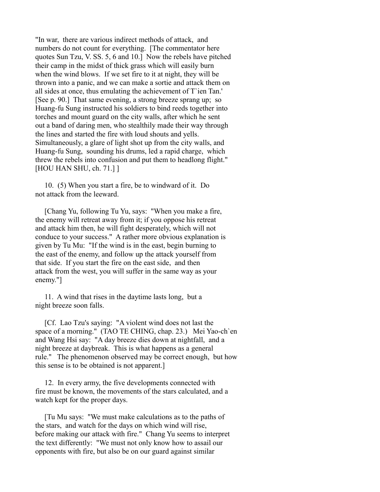"In war, there are various indirect methods of attack, and numbers do not count for everything. [The commentator here quotes Sun Tzu, V. SS. 5, 6 and 10.] Now the rebels have pitched their camp in the midst of thick grass which will easily burn when the wind blows. If we set fire to it at night, they will be thrown into a panic, and we can make a sortie and attack them on all sides at once, thus emulating the achievement of T`ien Tan.' [See p. 90.] That same evening, a strong breeze sprang up; so Huang-fu Sung instructed his soldiers to bind reeds together into torches and mount guard on the city walls, after which he sent out a band of daring men, who stealthily made their way through the lines and started the fire with loud shouts and yells. Simultaneously, a glare of light shot up from the city walls, and Huang-fu Sung, sounding his drums, led a rapid charge, which threw the rebels into confusion and put them to headlong flight." [HOU HAN SHU, ch. 71.] ]

 10. (5) When you start a fire, be to windward of it. Do not attack from the leeward.

 [Chang Yu, following Tu Yu, says: "When you make a fire, the enemy will retreat away from it; if you oppose his retreat and attack him then, he will fight desperately, which will not conduce to your success." A rather more obvious explanation is given by Tu Mu: "If the wind is in the east, begin burning to the east of the enemy, and follow up the attack yourself from that side. If you start the fire on the east side, and then attack from the west, you will suffer in the same way as your enemy."]

 11. A wind that rises in the daytime lasts long, but a night breeze soon falls.

 [Cf. Lao Tzu's saying: "A violent wind does not last the space of a morning." (TAO TE CHING, chap. 23.) Mei Yao-ch`en and Wang Hsi say: "A day breeze dies down at nightfall, and a night breeze at daybreak. This is what happens as a general rule." The phenomenon observed may be correct enough, but how this sense is to be obtained is not apparent.]

 12. In every army, the five developments connected with fire must be known, the movements of the stars calculated, and a watch kept for the proper days.

 [Tu Mu says: "We must make calculations as to the paths of the stars, and watch for the days on which wind will rise, before making our attack with fire." Chang Yu seems to interpret the text differently: "We must not only know how to assail our opponents with fire, but also be on our guard against similar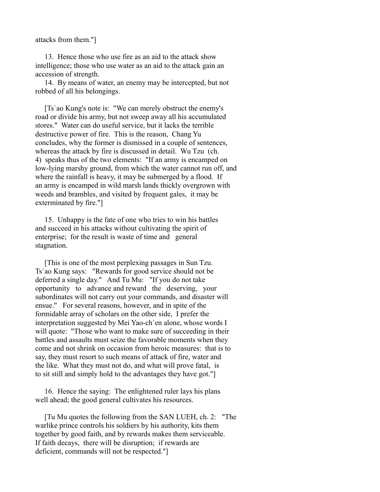attacks from them."]

 13. Hence those who use fire as an aid to the attack show intelligence; those who use water as an aid to the attack gain an accession of strength.

 14. By means of water, an enemy may be intercepted, but not robbed of all his belongings.

 [Ts`ao Kung's note is: "We can merely obstruct the enemy's road or divide his army, but not sweep away all his accumulated stores." Water can do useful service, but it lacks the terrible destructive power of fire. This is the reason, Chang Yu concludes, why the former is dismissed in a couple of sentences, whereas the attack by fire is discussed in detail. Wu Tzu (ch. 4) speaks thus of the two elements: "If an army is encamped on low-lying marshy ground, from which the water cannot run off, and where the rainfall is heavy, it may be submerged by a flood. If an army is encamped in wild marsh lands thickly overgrown with weeds and brambles, and visited by frequent gales, it may be exterminated by fire."]

 15. Unhappy is the fate of one who tries to win his battles and succeed in his attacks without cultivating the spirit of enterprise; for the result is waste of time and general stagnation.

 [This is one of the most perplexing passages in Sun Tzu. Ts`ao Kung says: "Rewards for good service should not be deferred a single day." And Tu Mu: "If you do not take opportunity to advance and reward the deserving, your subordinates will not carry out your commands, and disaster will ensue." For several reasons, however, and in spite of the formidable array of scholars on the other side, I prefer the interpretation suggested by Mei Yao-ch`en alone, whose words I will quote: "Those who want to make sure of succeeding in their battles and assaults must seize the favorable moments when they come and not shrink on occasion from heroic measures: that is to say, they must resort to such means of attack of fire, water and the like. What they must not do, and what will prove fatal, is to sit still and simply hold to the advantages they have got."]

 16. Hence the saying: The enlightened ruler lays his plans well ahead; the good general cultivates his resources.

 [Tu Mu quotes the following from the SAN LUEH, ch. 2: "The warlike prince controls his soldiers by his authority, kits them together by good faith, and by rewards makes them serviceable. If faith decays, there will be disruption; if rewards are deficient, commands will not be respected."]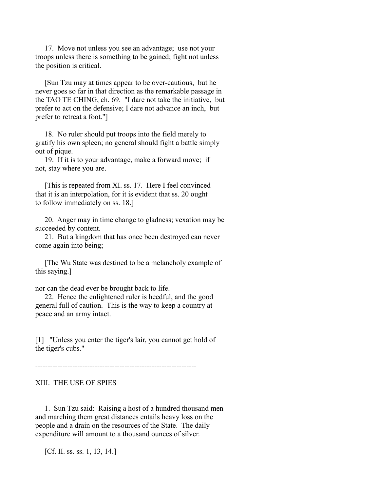17. Move not unless you see an advantage; use not your troops unless there is something to be gained; fight not unless the position is critical.

 [Sun Tzu may at times appear to be over-cautious, but he never goes so far in that direction as the remarkable passage in the TAO TE CHING, ch. 69. "I dare not take the initiative, but prefer to act on the defensive; I dare not advance an inch, but prefer to retreat a foot."]

 18. No ruler should put troops into the field merely to gratify his own spleen; no general should fight a battle simply out of pique.

 19. If it is to your advantage, make a forward move; if not, stay where you are.

[This is repeated from XI. ss. 17. Here I feel convinced] that it is an interpolation, for it is evident that ss. 20 ought to follow immediately on ss. 18.]

 20. Anger may in time change to gladness; vexation may be succeeded by content.

 21. But a kingdom that has once been destroyed can never come again into being;

 [The Wu State was destined to be a melancholy example of this saying.]

nor can the dead ever be brought back to life.

 22. Hence the enlightened ruler is heedful, and the good general full of caution. This is the way to keep a country at peace and an army intact.

[1] "Unless you enter the tiger's lair, you cannot get hold of the tiger's cubs."

-----------------------------------------------------------------

## XIII. THE USE OF SPIES

 1. Sun Tzu said: Raising a host of a hundred thousand men and marching them great distances entails heavy loss on the people and a drain on the resources of the State. The daily expenditure will amount to a thousand ounces of silver.

[Cf. II. ss. ss. 1, 13, 14.]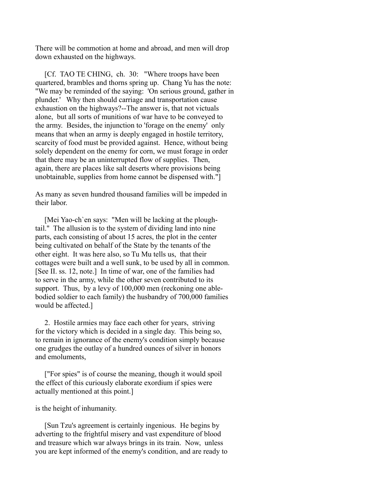There will be commotion at home and abroad, and men will drop down exhausted on the highways.

 [Cf. TAO TE CHING, ch. 30: "Where troops have been quartered, brambles and thorns spring up. Chang Yu has the note: "We may be reminded of the saying: 'On serious ground, gather in plunder.' Why then should carriage and transportation cause exhaustion on the highways?--The answer is, that not victuals alone, but all sorts of munitions of war have to be conveyed to the army. Besides, the injunction to 'forage on the enemy' only means that when an army is deeply engaged in hostile territory, scarcity of food must be provided against. Hence, without being solely dependent on the enemy for corn, we must forage in order that there may be an uninterrupted flow of supplies. Then, again, there are places like salt deserts where provisions being unobtainable, supplies from home cannot be dispensed with."]

As many as seven hundred thousand families will be impeded in their labor.

 [Mei Yao-ch`en says: "Men will be lacking at the ploughtail." The allusion is to the system of dividing land into nine parts, each consisting of about 15 acres, the plot in the center being cultivated on behalf of the State by the tenants of the other eight. It was here also, so Tu Mu tells us, that their cottages were built and a well sunk, to be used by all in common. [See II. ss. 12, note.] In time of war, one of the families had to serve in the army, while the other seven contributed to its support. Thus, by a levy of 100,000 men (reckoning one ablebodied soldier to each family) the husbandry of 700,000 families would be affected.]

 2. Hostile armies may face each other for years, striving for the victory which is decided in a single day. This being so, to remain in ignorance of the enemy's condition simply because one grudges the outlay of a hundred ounces of silver in honors and emoluments,

 ["For spies" is of course the meaning, though it would spoil the effect of this curiously elaborate exordium if spies were actually mentioned at this point.]

## is the height of inhumanity.

 [Sun Tzu's agreement is certainly ingenious. He begins by adverting to the frightful misery and vast expenditure of blood and treasure which war always brings in its train. Now, unless you are kept informed of the enemy's condition, and are ready to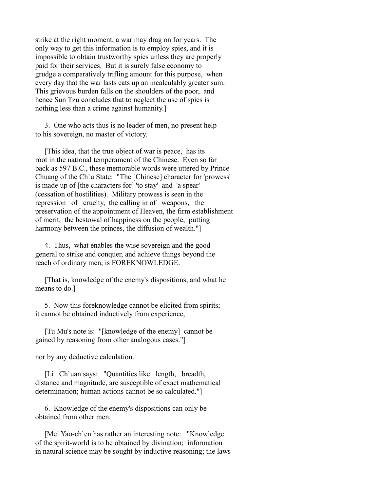strike at the right moment, a war may drag on for years. The only way to get this information is to employ spies, and it is impossible to obtain trustworthy spies unless they are properly paid for their services. But it is surely false economy to grudge a comparatively trifling amount for this purpose, when every day that the war lasts eats up an incalculably greater sum. This grievous burden falls on the shoulders of the poor, and hence Sun Tzu concludes that to neglect the use of spies is nothing less than a crime against humanity.]

 3. One who acts thus is no leader of men, no present help to his sovereign, no master of victory.

 [This idea, that the true object of war is peace, has its root in the national temperament of the Chinese. Even so far back as 597 B.C., these memorable words were uttered by Prince Chuang of the Ch`u State: "The [Chinese] character for 'prowess' is made up of [the characters for] 'to stay' and 'a spear' (cessation of hostilities). Military prowess is seen in the repression of cruelty, the calling in of weapons, the preservation of the appointment of Heaven, the firm establishment of merit, the bestowal of happiness on the people, putting harmony between the princes, the diffusion of wealth."

 4. Thus, what enables the wise sovereign and the good general to strike and conquer, and achieve things beyond the reach of ordinary men, is FOREKNOWLEDGE.

 [That is, knowledge of the enemy's dispositions, and what he means to do.]

 5. Now this foreknowledge cannot be elicited from spirits; it cannot be obtained inductively from experience,

 [Tu Mu's note is: "[knowledge of the enemy] cannot be gained by reasoning from other analogous cases."]

nor by any deductive calculation.

 [Li Ch`uan says: "Quantities like length, breadth, distance and magnitude, are susceptible of exact mathematical determination; human actions cannot be so calculated."]

 6. Knowledge of the enemy's dispositions can only be obtained from other men.

 [Mei Yao-ch`en has rather an interesting note: "Knowledge of the spirit-world is to be obtained by divination; information in natural science may be sought by inductive reasoning; the laws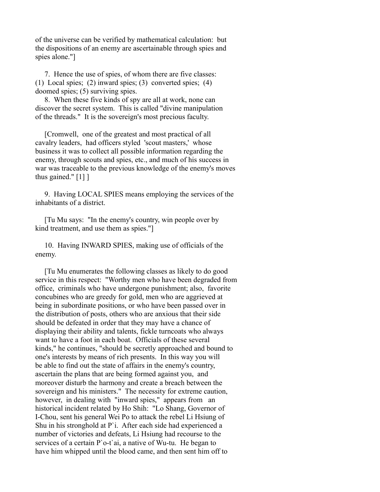of the universe can be verified by mathematical calculation: but the dispositions of an enemy are ascertainable through spies and spies alone."]

 7. Hence the use of spies, of whom there are five classes: (1) Local spies; (2) inward spies; (3) converted spies; (4) doomed spies; (5) surviving spies.

 8. When these five kinds of spy are all at work, none can discover the secret system. This is called "divine manipulation of the threads." It is the sovereign's most precious faculty.

 [Cromwell, one of the greatest and most practical of all cavalry leaders, had officers styled 'scout masters,' whose business it was to collect all possible information regarding the enemy, through scouts and spies, etc., and much of his success in war was traceable to the previous knowledge of the enemy's moves thus gained." [1] ]

 9. Having LOCAL SPIES means employing the services of the inhabitants of a district.

 [Tu Mu says: "In the enemy's country, win people over by kind treatment, and use them as spies."]

 10. Having INWARD SPIES, making use of officials of the enemy.

 [Tu Mu enumerates the following classes as likely to do good service in this respect: "Worthy men who have been degraded from office, criminals who have undergone punishment; also, favorite concubines who are greedy for gold, men who are aggrieved at being in subordinate positions, or who have been passed over in the distribution of posts, others who are anxious that their side should be defeated in order that they may have a chance of displaying their ability and talents, fickle turncoats who always want to have a foot in each boat. Officials of these several kinds," he continues, "should be secretly approached and bound to one's interests by means of rich presents. In this way you will be able to find out the state of affairs in the enemy's country, ascertain the plans that are being formed against you, and moreover disturb the harmony and create a breach between the sovereign and his ministers." The necessity for extreme caution, however, in dealing with "inward spies," appears from an historical incident related by Ho Shih: "Lo Shang, Governor of I-Chou, sent his general Wei Po to attack the rebel Li Hsiung of Shu in his stronghold at P`i. After each side had experienced a number of victories and defeats, Li Hsiung had recourse to the services of a certain P`o-t`ai, a native of Wu-tu. He began to have him whipped until the blood came, and then sent him off to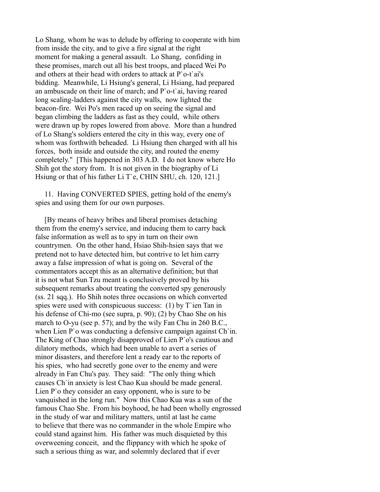Lo Shang, whom he was to delude by offering to cooperate with him from inside the city, and to give a fire signal at the right moment for making a general assault. Lo Shang, confiding in these promises, march out all his best troops, and placed Wei Po and others at their head with orders to attack at P`o-t`ai's bidding. Meanwhile, Li Hsiung's general, Li Hsiang, had prepared an ambuscade on their line of march; and P`o-t`ai, having reared long scaling-ladders against the city walls, now lighted the beacon-fire. Wei Po's men raced up on seeing the signal and began climbing the ladders as fast as they could, while others were drawn up by ropes lowered from above. More than a hundred of Lo Shang's soldiers entered the city in this way, every one of whom was forthwith beheaded. Li Hsiung then charged with all his forces, both inside and outside the city, and routed the enemy completely." [This happened in 303 A.D. I do not know where Ho Shih got the story from. It is not given in the biography of Li Hsiung or that of his father Li T`e, CHIN SHU, ch. 120, 121.]

 11. Having CONVERTED SPIES, getting hold of the enemy's spies and using them for our own purposes.

 [By means of heavy bribes and liberal promises detaching them from the enemy's service, and inducing them to carry back false information as well as to spy in turn on their own countrymen. On the other hand, Hsiao Shih-hsien says that we pretend not to have detected him, but contrive to let him carry away a false impression of what is going on. Several of the commentators accept this as an alternative definition; but that it is not what Sun Tzu meant is conclusively proved by his subsequent remarks about treating the converted spy generously (ss. 21 sqq.). Ho Shih notes three occasions on which converted spies were used with conspicuous success:  $(1)$  by T ien Tan in his defense of Chi-mo (see supra, p. 90); (2) by Chao She on his march to O-yu (see p. 57); and by the wily Fan Chu in 260 B.C., when Lien P`o was conducting a defensive campaign against Ch`in. The King of Chao strongly disapproved of Lien P`o's cautious and dilatory methods, which had been unable to avert a series of minor disasters, and therefore lent a ready ear to the reports of his spies, who had secretly gone over to the enemy and were already in Fan Chu's pay. They said: "The only thing which causes Ch`in anxiety is lest Chao Kua should be made general. Lien P`o they consider an easy opponent, who is sure to be vanquished in the long run." Now this Chao Kua was a sun of the famous Chao She. From his boyhood, he had been wholly engrossed in the study of war and military matters, until at last he came to believe that there was no commander in the whole Empire who could stand against him. His father was much disquieted by this overweening conceit, and the flippancy with which he spoke of such a serious thing as war, and solemnly declared that if ever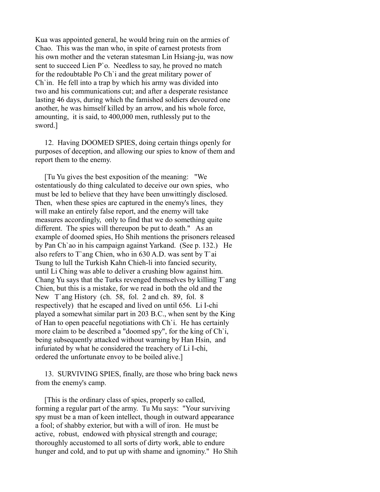Kua was appointed general, he would bring ruin on the armies of Chao. This was the man who, in spite of earnest protests from his own mother and the veteran statesman Lin Hsiang-ju, was now sent to succeed Lien P`o. Needless to say, he proved no match for the redoubtable Po Ch`i and the great military power of Ch`in. He fell into a trap by which his army was divided into two and his communications cut; and after a desperate resistance lasting 46 days, during which the famished soldiers devoured one another, he was himself killed by an arrow, and his whole force, amounting, it is said, to 400,000 men, ruthlessly put to the sword.]

 12. Having DOOMED SPIES, doing certain things openly for purposes of deception, and allowing our spies to know of them and report them to the enemy.

 [Tu Yu gives the best exposition of the meaning: "We ostentatiously do thing calculated to deceive our own spies, who must be led to believe that they have been unwittingly disclosed. Then, when these spies are captured in the enemy's lines, they will make an entirely false report, and the enemy will take measures accordingly, only to find that we do something quite different. The spies will thereupon be put to death." As an example of doomed spies, Ho Shih mentions the prisoners released by Pan Ch`ao in his campaign against Yarkand. (See p. 132.) He also refers to T`ang Chien, who in 630 A.D. was sent by T`ai Tsung to lull the Turkish Kahn Chieh-li into fancied security, until Li Ching was able to deliver a crushing blow against him. Chang Yu says that the Turks revenged themselves by killing T`ang Chien, but this is a mistake, for we read in both the old and the New T`ang History (ch. 58, fol. 2 and ch. 89, fol. 8 respectively) that he escaped and lived on until 656. Li I-chi played a somewhat similar part in 203 B.C., when sent by the King of Han to open peaceful negotiations with Ch`i. He has certainly more claim to be described a "doomed spy", for the king of Ch`i, being subsequently attacked without warning by Han Hsin, and infuriated by what he considered the treachery of Li I-chi, ordered the unfortunate envoy to be boiled alive.]

 13. SURVIVING SPIES, finally, are those who bring back news from the enemy's camp.

 [This is the ordinary class of spies, properly so called, forming a regular part of the army. Tu Mu says: "Your surviving spy must be a man of keen intellect, though in outward appearance a fool; of shabby exterior, but with a will of iron. He must be active, robust, endowed with physical strength and courage; thoroughly accustomed to all sorts of dirty work, able to endure hunger and cold, and to put up with shame and ignominy." Ho Shih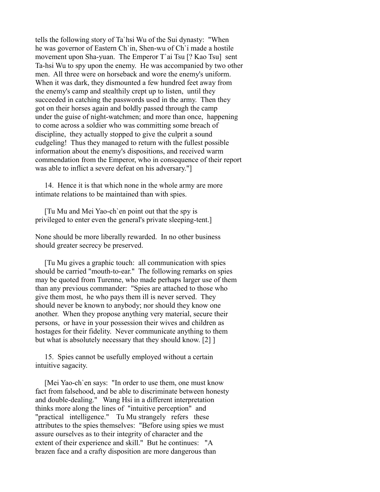tells the following story of Ta`hsi Wu of the Sui dynasty: "When he was governor of Eastern Ch`in, Shen-wu of Ch`i made a hostile movement upon Sha-yuan. The Emperor T`ai Tsu [? Kao Tsu] sent Ta-hsi Wu to spy upon the enemy. He was accompanied by two other men. All three were on horseback and wore the enemy's uniform. When it was dark, they dismounted a few hundred feet away from the enemy's camp and stealthily crept up to listen, until they succeeded in catching the passwords used in the army. Then they got on their horses again and boldly passed through the camp under the guise of night-watchmen; and more than once, happening to come across a soldier who was committing some breach of discipline, they actually stopped to give the culprit a sound cudgeling! Thus they managed to return with the fullest possible information about the enemy's dispositions, and received warm commendation from the Emperor, who in consequence of their report was able to inflict a severe defeat on his adversary."]

 14. Hence it is that which none in the whole army are more intimate relations to be maintained than with spies.

 [Tu Mu and Mei Yao-ch`en point out that the spy is privileged to enter even the general's private sleeping-tent.]

None should be more liberally rewarded. In no other business should greater secrecy be preserved.

 [Tu Mu gives a graphic touch: all communication with spies should be carried "mouth-to-ear." The following remarks on spies may be quoted from Turenne, who made perhaps larger use of them than any previous commander: "Spies are attached to those who give them most, he who pays them ill is never served. They should never be known to anybody; nor should they know one another. When they propose anything very material, secure their persons, or have in your possession their wives and children as hostages for their fidelity. Never communicate anything to them but what is absolutely necessary that they should know. [2] ]

 15. Spies cannot be usefully employed without a certain intuitive sagacity.

[Mei Yao-ch`en says: "In order to use them, one must know fact from falsehood, and be able to discriminate between honesty and double-dealing." Wang Hsi in a different interpretation thinks more along the lines of "intuitive perception" and "practical intelligence." Tu Mu strangely refers these attributes to the spies themselves: "Before using spies we must assure ourselves as to their integrity of character and the extent of their experience and skill." But he continues: "A brazen face and a crafty disposition are more dangerous than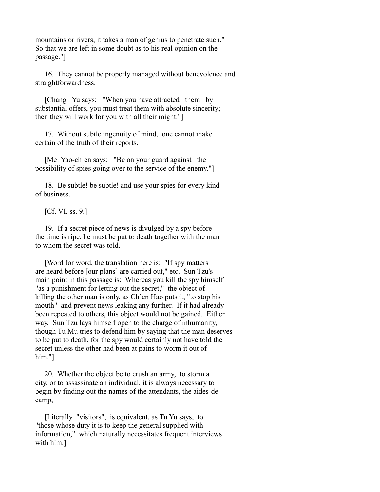mountains or rivers; it takes a man of genius to penetrate such." So that we are left in some doubt as to his real opinion on the passage."]

 16. They cannot be properly managed without benevolence and straightforwardness.

 [Chang Yu says: "When you have attracted them by substantial offers, you must treat them with absolute sincerity; then they will work for you with all their might."]

 17. Without subtle ingenuity of mind, one cannot make certain of the truth of their reports.

 [Mei Yao-ch`en says: "Be on your guard against the possibility of spies going over to the service of the enemy."]

 18. Be subtle! be subtle! and use your spies for every kind of business.

[Cf. VI. ss. 9.]

 19. If a secret piece of news is divulged by a spy before the time is ripe, he must be put to death together with the man to whom the secret was told.

 [Word for word, the translation here is: "If spy matters are heard before [our plans] are carried out," etc. Sun Tzu's main point in this passage is: Whereas you kill the spy himself "as a punishment for letting out the secret," the object of killing the other man is only, as Ch`en Hao puts it, "to stop his mouth" and prevent news leaking any further. If it had already been repeated to others, this object would not be gained. Either way, Sun Tzu lays himself open to the charge of inhumanity, though Tu Mu tries to defend him by saying that the man deserves to be put to death, for the spy would certainly not have told the secret unless the other had been at pains to worm it out of him."]

 20. Whether the object be to crush an army, to storm a city, or to assassinate an individual, it is always necessary to begin by finding out the names of the attendants, the aides-decamp,

 [Literally "visitors", is equivalent, as Tu Yu says, to "those whose duty it is to keep the general supplied with information," which naturally necessitates frequent interviews with him.]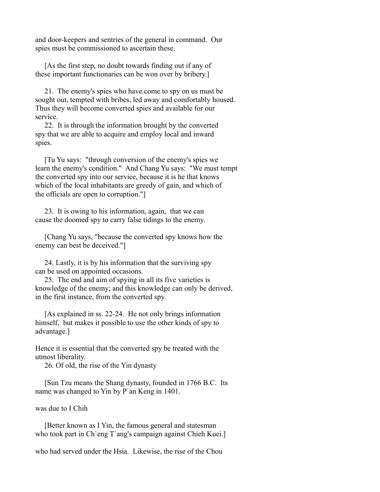and door-keepers and sentries of the general in command. Our spies must be commissioned to ascertain these.

 [As the first step, no doubt towards finding out if any of these important functionaries can be won over by bribery.]

 21. The enemy's spies who have come to spy on us must be sought out, tempted with bribes, led away and comfortably housed. Thus they will become converted spies and available for our service.

 22. It is through the information brought by the converted spy that we are able to acquire and employ local and inward spies.

 [Tu Yu says: "through conversion of the enemy's spies we learn the enemy's condition." And Chang Yu says: "We must tempt the converted spy into our service, because it is he that knows which of the local inhabitants are greedy of gain, and which of the officials are open to corruption."]

 23. It is owing to his information, again, that we can cause the doomed spy to carry false tidings to the enemy.

 [Chang Yu says, "because the converted spy knows how the enemy can best be deceived."]

 24. Lastly, it is by his information that the surviving spy can be used on appointed occasions.

 25. The end and aim of spying in all its five varieties is knowledge of the enemy; and this knowledge can only be derived, in the first instance, from the converted spy.

 [As explained in ss. 22-24. He not only brings information himself, but makes it possible to use the other kinds of spy to advantage.]

Hence it is essential that the converted spy be treated with the utmost liberality.

26. Of old, the rise of the Yin dynasty

 [Sun Tzu means the Shang dynasty, founded in 1766 B.C. Its name was changed to Yin by P`an Keng in 1401.

was due to I Chih

 [Better known as I Yin, the famous general and statesman who took part in Ch`eng T`ang's campaign against Chieh Kuei.]

who had served under the Hsia. Likewise, the rise of the Chou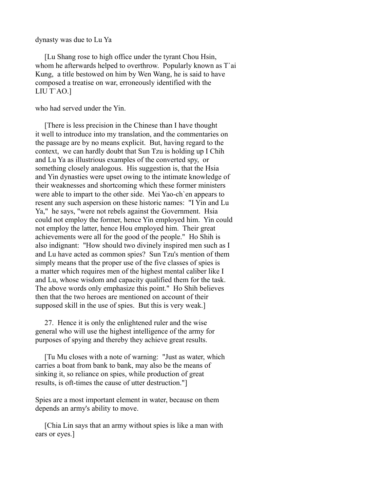dynasty was due to Lu Ya

 [Lu Shang rose to high office under the tyrant Chou Hsin, whom he afterwards helped to overthrow. Popularly known as T`ai Kung, a title bestowed on him by Wen Wang, he is said to have composed a treatise on war, erroneously identified with the LIU T`AO.]

who had served under the Yin.

 [There is less precision in the Chinese than I have thought it well to introduce into my translation, and the commentaries on the passage are by no means explicit. But, having regard to the context, we can hardly doubt that Sun Tzu is holding up I Chih and Lu Ya as illustrious examples of the converted spy, or something closely analogous. His suggestion is, that the Hsia and Yin dynasties were upset owing to the intimate knowledge of their weaknesses and shortcoming which these former ministers were able to impart to the other side. Mei Yao-ch`en appears to resent any such aspersion on these historic names: "I Yin and Lu Ya," he says, "were not rebels against the Government. Hsia could not employ the former, hence Yin employed him. Yin could not employ the latter, hence Hou employed him. Their great achievements were all for the good of the people." Ho Shih is also indignant: "How should two divinely inspired men such as I and Lu have acted as common spies? Sun Tzu's mention of them simply means that the proper use of the five classes of spies is a matter which requires men of the highest mental caliber like I and Lu, whose wisdom and capacity qualified them for the task. The above words only emphasize this point." Ho Shih believes then that the two heroes are mentioned on account of their supposed skill in the use of spies. But this is very weak.]

 27. Hence it is only the enlightened ruler and the wise general who will use the highest intelligence of the army for purposes of spying and thereby they achieve great results.

 [Tu Mu closes with a note of warning: "Just as water, which carries a boat from bank to bank, may also be the means of sinking it, so reliance on spies, while production of great results, is oft-times the cause of utter destruction."]

Spies are a most important element in water, because on them depends an army's ability to move.

 [Chia Lin says that an army without spies is like a man with ears or eyes.]